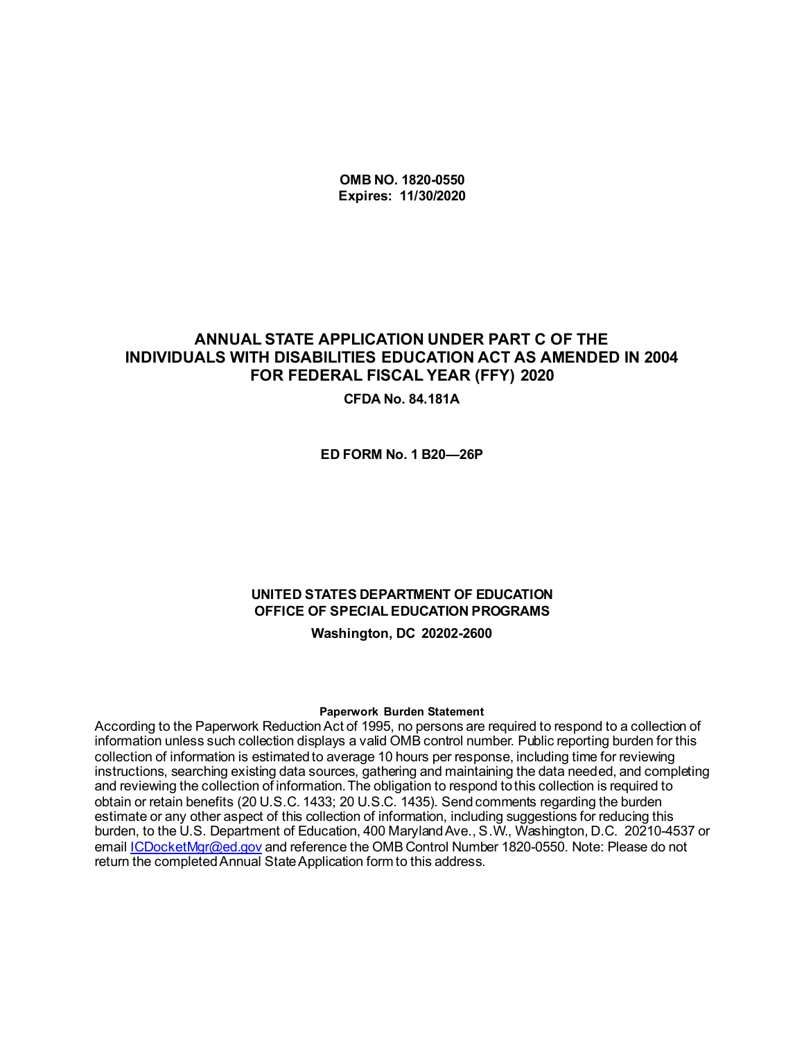**OMB NO. 1820-0550 Expires: 11/30/2020**

### **ANNUAL STATE APPLICATION UNDER PART C OF THE INDIVIDUALS WITH DISABILITIES EDUCATION ACT AS AMENDED IN 2004 FOR FEDERAL FISCAL YEAR (FFY) 2020**

**CFDA No. 84.181A**

**ED FORM No. 1 B20—26P**

## **UNITED STATES DEPARTMENT OF EDUCATION OFFICE OF SPECIAL EDUCATION PROGRAMS**

**Washington, DC 20202-2600**

#### **Paperwork Burden Statement**

According to the Paperwork Reduction Act of 1995, no persons are required to respond to a collection of information unless such collection displays a valid OMB control number. Public reporting burden for this collection of information is estimated to average 10 hours per response, including time for reviewing instructions, searching existing data sources, gathering and maintaining the data needed, and completing and reviewing the collection of information. The obligation to respond to this collection is required to obtain or retain benefits (20 U.S.C. 1433; 20 U.S.C. 1435). Send comments regarding the burden estimate or any other aspect of this collection of information, including suggestions for reducing this burden, to the U.S. Department of Education, 400 Maryland Ave., S.W., Washington, D.C. 20210-4537 or email *ICDocketMgr@ed.gov* and reference the OMB Control Number 1820-0550. Note: Please do not return the completed Annual State Application form to this address.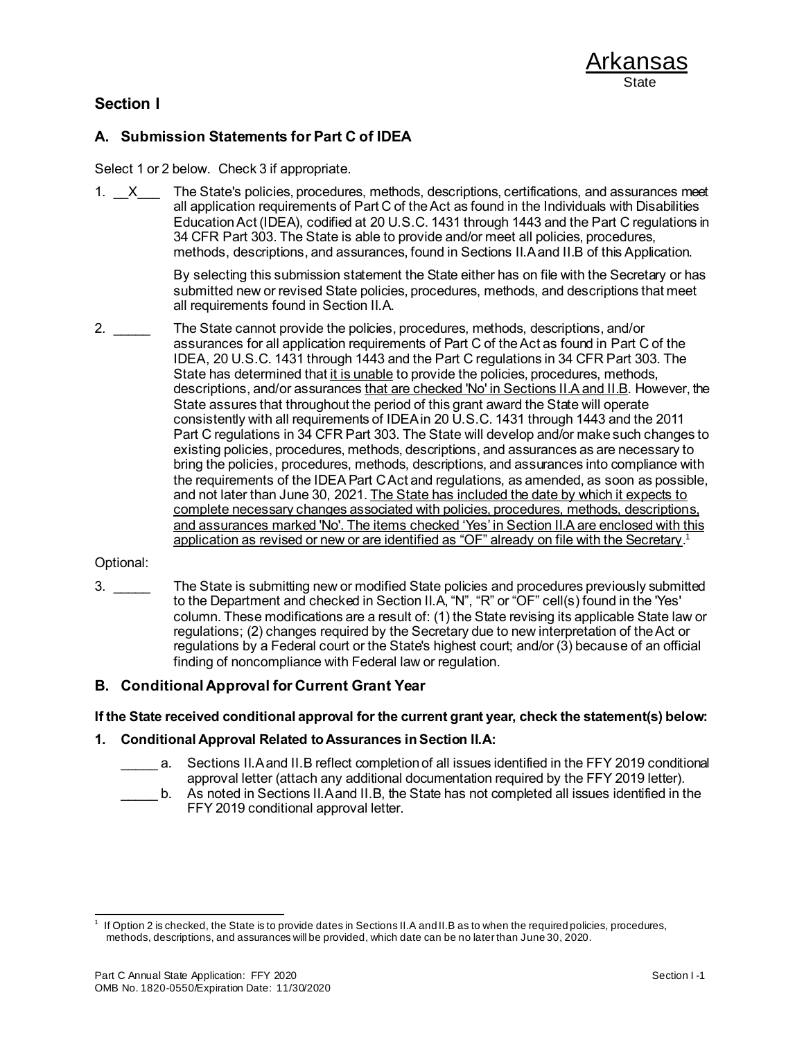### **Section I**

### **A. Submission Statements for Part C of IDEA**

Select 1 or 2 below. Check 3 if appropriate.

1.  $X$  The State's policies, procedures, methods, descriptions, certifications, and assurances meet all application requirements of Part C of the Act as found in the Individuals with Disabilities Education Act (IDEA), codified at 20 U.S.C. 1431 through 1443 and the Part C regulations in 34 CFR Part 303. The State is able to provide and/or meet all policies, procedures, methods, descriptions, and assurances, found in Sections II.A and II.B of this Application.

> By selecting this submission statement the State either has on file with the Secretary or has submitted new or revised State policies, procedures, methods, and descriptions that meet all requirements found in Section II.A.

2. \_\_\_\_\_ The State cannot provide the policies, procedures, methods, descriptions, and/or assurances for all application requirements of Part C of the Act as found in Part C of the IDEA, 20 U.S.C. 1431 through 1443 and the Part C regulations in 34 CFR Part 303. The State has determined that it is unable to provide the policies, procedures, methods, descriptions, and/or assurances that are checked 'No' in Sections II.A and II.B. However, the State assures that throughout the period of this grant award the State will operate consistently with all requirements of IDEA in 20 U.S.C. 1431 through 1443 and the 2011 Part C regulations in 34 CFR Part 303. The State will develop and/or make such changes to existing policies, procedures, methods, descriptions, and assurances as are necessary to bring the policies, procedures, methods, descriptions, and assurances into compliance with the requirements of the IDEA Part C Act and regulations, as amended, as soon as possible, and not later than June 30, 2021. The State has included the date by which it expects to complete necessary changes associated with policies, procedures, methods, descriptions, and assurances marked 'No'. The items checked 'Yes' in Section II.A are enclosed with this application as revised or new or are identified as "OF" already on file with the Secretary.<sup>1</sup>

#### Optional:

3. \_\_\_\_\_ The State is submitting new or modified State policies and procedures previously submitted to the Department and checked in Section II.A, "N", "R" or "OF" cell(s) found in the 'Yes' column. These modifications are a result of: (1) the State revising its applicable State law or regulations; (2) changes required by the Secretary due to new interpretation of the Act or regulations by a Federal court or the State's highest court; and/or (3) because of an official finding of noncompliance with Federal law or regulation.

### **B. Conditional Approval for Current Grant Year**

**If the State received conditional approval for the current grant year, check the statement(s) below:**

#### **1. Conditional Approval Related to Assurances in Section II.A:**

- a. Sections II.A and II.B reflect completion of all issues identified in the FFY 2019 conditional approval letter (attach any additional documentation required by the FFY 2019 letter).
	- b. As noted in Sections II.A and II.B, the State has not completed all issues identified in the FFY 2019 conditional approval letter.

<sup>1</sup> If Option 2 is checked, the State is to provide dates in Sections II.A and II.B as to when the required policies, procedures, methods, descriptions, and assurances will be provided, which date can be no later than June 30, 2020.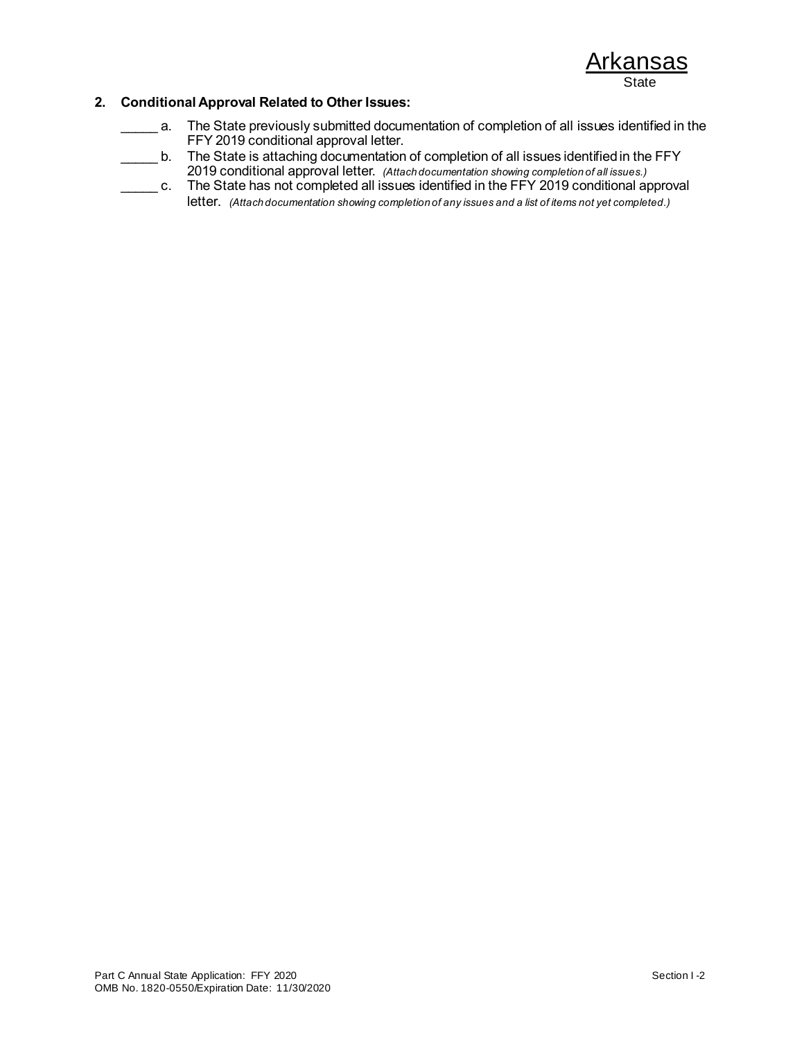#### **2. Conditional Approval Related to Other Issues:**

- \_\_\_\_\_ a. The State previously submitted documentation of completion of all issues identified in the FFY 2019 conditional approval letter.
- **\_\_\_\_\_\_ b.** The State is attaching documentation of completion of all issues identified in the FFY 2019 conditional approval letter. *(Attach documentation showing completion of all issues.)*
- c. The State has not completed all issues identified in the FFY 2019 conditional approval letter. *(Attach documentation showing completion of any issues and a list of items not yet completed.)*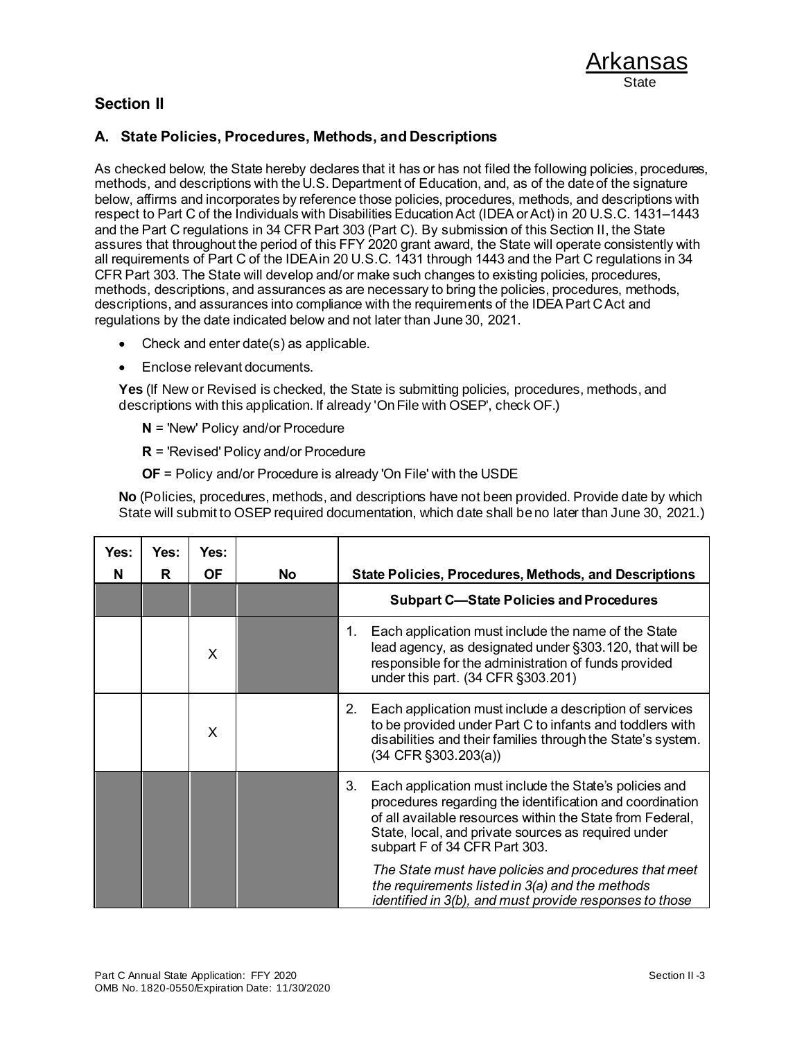



### **A. State Policies, Procedures, Methods, and Descriptions**

As checked below, the State hereby declares that it has or has not filed the following policies, procedures, methods, and descriptions with the U.S. Department of Education, and, as of the date of the signature below, affirms and incorporates by reference those policies, procedures, methods, and descriptions with respect to Part C of the Individuals with Disabilities Education Act (IDEA or Act) in 20 U.S.C. 1431–1443 and the Part C regulations in 34 CFR Part 303 (Part C). By submission of this Section II, the State assures that throughout the period of this FFY 2020 grant award, the State will operate consistently with all requirements of Part C of the IDEA in 20 U.S.C. 1431 through 1443 and the Part C regulations in 34 CFR Part 303. The State will develop and/or make such changes to existing policies, procedures, methods, descriptions, and assurances as are necessary to bring the policies, procedures, methods, descriptions, and assurances into compliance with the requirements of the IDEA Part C Act and regulations by the date indicated below and not later than June 30, 2021.

- Check and enter date(s) as applicable.
- Enclose relevant documents.

**Yes** (If New or Revised is checked, the State is submitting policies, procedures, methods, and descriptions with this application. If already 'On File with OSEP', check OF.)

- **N** = 'New' Policy and/or Procedure
- **R** = 'Revised' Policy and/or Procedure
- **OF** = Policy and/or Procedure is already 'On File' with the USDE

**No** (Policies, procedures, methods, and descriptions have not been provided. Provide date by which State will submit to OSEP required documentation, which date shall be no later than June 30, 2021.)

| Yes:<br>N | Yes:<br>R | Yes:<br><b>OF</b> | No | State Policies, Procedures, Methods, and Descriptions                                                                                                                                                                                                                         |
|-----------|-----------|-------------------|----|-------------------------------------------------------------------------------------------------------------------------------------------------------------------------------------------------------------------------------------------------------------------------------|
|           |           |                   |    | <b>Subpart C-State Policies and Procedures</b>                                                                                                                                                                                                                                |
|           |           | X                 |    | Each application must include the name of the State<br>1.<br>lead agency, as designated under §303.120, that will be<br>responsible for the administration of funds provided<br>under this part. (34 CFR §303.201)                                                            |
|           |           | X                 |    | Each application must include a description of services<br>2.<br>to be provided under Part C to infants and toddlers with<br>disabilities and their families through the State's system.<br>$(34$ CFR $\S 303.203(a))$                                                        |
|           |           |                   |    | 3.<br>Each application must include the State's policies and<br>procedures regarding the identification and coordination<br>of all available resources within the State from Federal,<br>State, local, and private sources as required under<br>subpart F of 34 CFR Part 303. |
|           |           |                   |    | The State must have policies and procedures that meet<br>the requirements listed in 3(a) and the methods<br>identified in 3(b), and must provide responses to those                                                                                                           |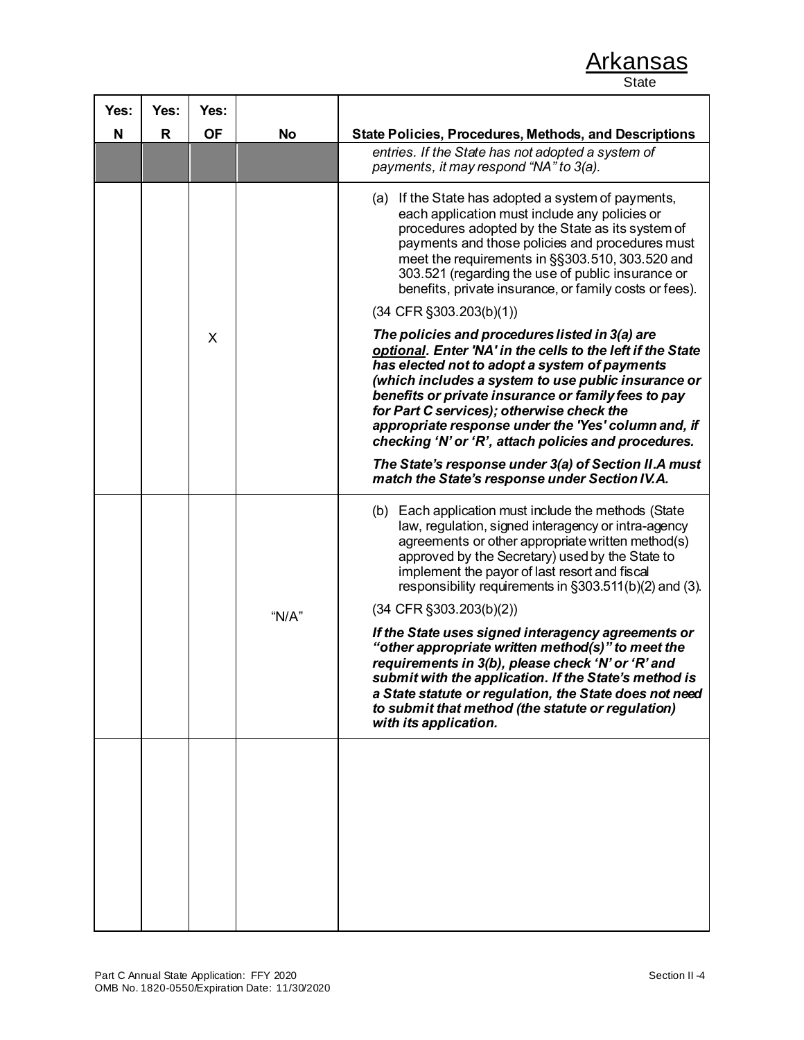**State** 

| Yes: | Yes: | Yes:      |           |                                                                                                                                                                                                                                                                                                                                                                                                                                         |
|------|------|-----------|-----------|-----------------------------------------------------------------------------------------------------------------------------------------------------------------------------------------------------------------------------------------------------------------------------------------------------------------------------------------------------------------------------------------------------------------------------------------|
| N    | R.   | <b>OF</b> | No        | <b>State Policies, Procedures, Methods, and Descriptions</b>                                                                                                                                                                                                                                                                                                                                                                            |
|      |      |           |           | entries. If the State has not adopted a system of<br>payments, it may respond "NA" to 3(a).                                                                                                                                                                                                                                                                                                                                             |
|      |      |           |           | (a) If the State has adopted a system of payments,<br>each application must include any policies or<br>procedures adopted by the State as its system of<br>payments and those policies and procedures must<br>meet the requirements in §§303.510, 303.520 and<br>303.521 (regarding the use of public insurance or<br>benefits, private insurance, or family costs or fees).                                                            |
|      |      |           |           | $(34$ CFR $\S 303.203(b)(1))$                                                                                                                                                                                                                                                                                                                                                                                                           |
|      |      | X         |           | The policies and procedures listed in 3(a) are<br>optional. Enter 'NA' in the cells to the left if the State<br>has elected not to adopt a system of payments<br>(which includes a system to use public insurance or<br>benefits or private insurance or family fees to pay<br>for Part C services); otherwise check the<br>appropriate response under the 'Yes' column and, if<br>checking 'N' or 'R', attach policies and procedures. |
|      |      |           |           | The State's response under 3(a) of Section II.A must<br>match the State's response under Section IV.A.                                                                                                                                                                                                                                                                                                                                  |
|      |      |           |           | (b) Each application must include the methods (State<br>law, regulation, signed interagency or intra-agency<br>agreements or other appropriate written method(s)<br>approved by the Secretary) used by the State to<br>implement the payor of last resort and fiscal<br>responsibility requirements in §303.511(b)(2) and (3).                                                                                                          |
|      |      |           | " $N/A$ " | $(34$ CFR $\S 303.203(b)(2))$                                                                                                                                                                                                                                                                                                                                                                                                           |
|      |      |           |           | If the State uses signed interagency agreements or<br>"other appropriate written method(s)" to meet the<br>requirements in 3(b), please check 'N' or 'R' and<br>submit with the application. If the State's method is<br>a State statute or regulation, the State does not need<br>to submit that method (the statute or regulation)<br>with its application.                                                                           |
|      |      |           |           |                                                                                                                                                                                                                                                                                                                                                                                                                                         |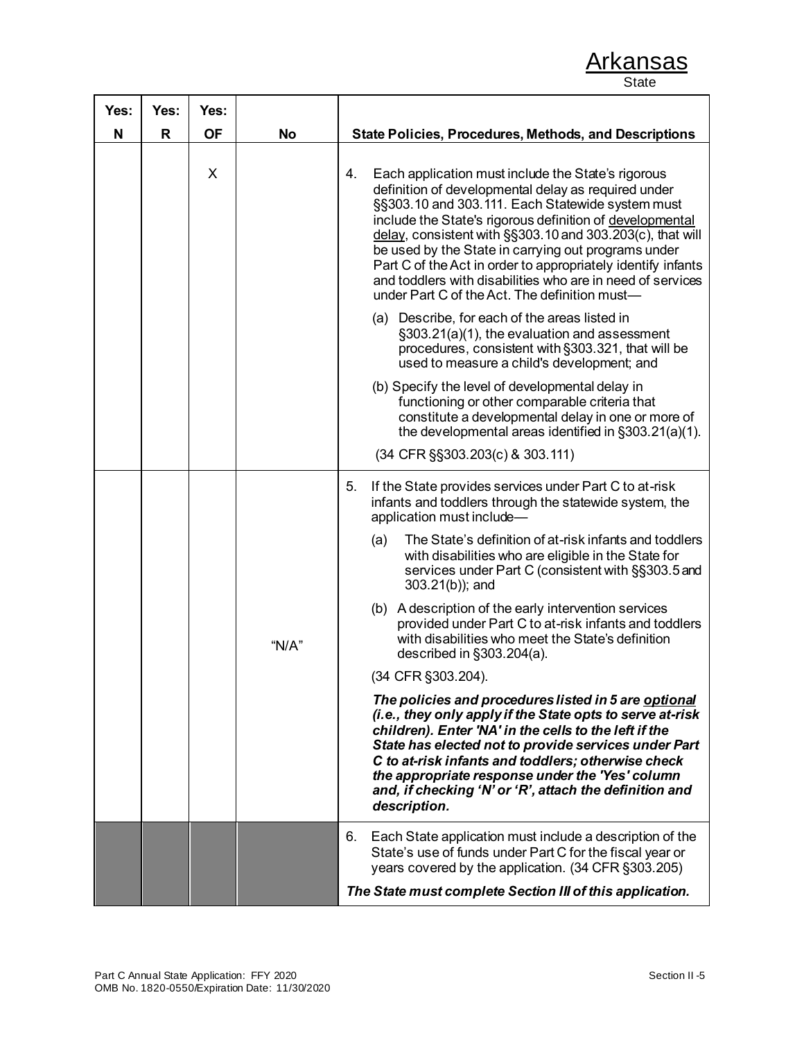| Yes: | Yes:         | Yes:      |           |                                                                                                                                                                                                                                                                                                                                                                                                                                                                                                                                    |
|------|--------------|-----------|-----------|------------------------------------------------------------------------------------------------------------------------------------------------------------------------------------------------------------------------------------------------------------------------------------------------------------------------------------------------------------------------------------------------------------------------------------------------------------------------------------------------------------------------------------|
| N    | $\mathsf{R}$ | <b>OF</b> | <b>No</b> | <b>State Policies, Procedures, Methods, and Descriptions</b>                                                                                                                                                                                                                                                                                                                                                                                                                                                                       |
|      |              | X         |           | Each application must include the State's rigorous<br>4.<br>definition of developmental delay as required under<br>§§303.10 and 303.111. Each Statewide system must<br>include the State's rigorous definition of developmental<br>delay, consistent with §§303.10 and 303.203(c), that will<br>be used by the State in carrying out programs under<br>Part C of the Act in order to appropriately identify infants<br>and toddlers with disabilities who are in need of services<br>under Part C of the Act. The definition must- |
|      |              |           |           | (a) Describe, for each of the areas listed in<br>§303.21(a)(1), the evaluation and assessment<br>procedures, consistent with §303.321, that will be<br>used to measure a child's development; and                                                                                                                                                                                                                                                                                                                                  |
|      |              |           |           | (b) Specify the level of developmental delay in<br>functioning or other comparable criteria that<br>constitute a developmental delay in one or more of<br>the developmental areas identified in §303.21(a)(1).                                                                                                                                                                                                                                                                                                                     |
|      |              |           |           | (34 CFR §§303.203(c) & 303.111)                                                                                                                                                                                                                                                                                                                                                                                                                                                                                                    |
|      |              |           |           | If the State provides services under Part C to at-risk<br>5.<br>infants and toddlers through the statewide system, the<br>application must include-                                                                                                                                                                                                                                                                                                                                                                                |
|      |              |           |           | The State's definition of at-risk infants and toddlers<br>(a)<br>with disabilities who are eligible in the State for<br>services under Part C (consistent with §§303.5 and<br>303.21(b)); and                                                                                                                                                                                                                                                                                                                                      |
|      |              |           | " $N/A$ " | (b) A description of the early intervention services<br>provided under Part C to at-risk infants and toddlers<br>with disabilities who meet the State's definition<br>described in §303.204(a).                                                                                                                                                                                                                                                                                                                                    |
|      |              |           |           | (34 CFR §303.204).                                                                                                                                                                                                                                                                                                                                                                                                                                                                                                                 |
|      |              |           |           | The policies and procedures listed in 5 are optional<br>(i.e., they only apply if the State opts to serve at-risk<br>children). Enter 'NA' in the cells to the left if the<br>State has elected not to provide services under Part<br>C to at-risk infants and toddlers; otherwise check<br>the appropriate response under the 'Yes' column<br>and, if checking 'N' or 'R', attach the definition and<br>description.                                                                                                              |
|      |              |           |           | Each State application must include a description of the<br>6.<br>State's use of funds under Part C for the fiscal year or<br>years covered by the application. (34 CFR §303.205)                                                                                                                                                                                                                                                                                                                                                  |
|      |              |           |           | The State must complete Section III of this application.                                                                                                                                                                                                                                                                                                                                                                                                                                                                           |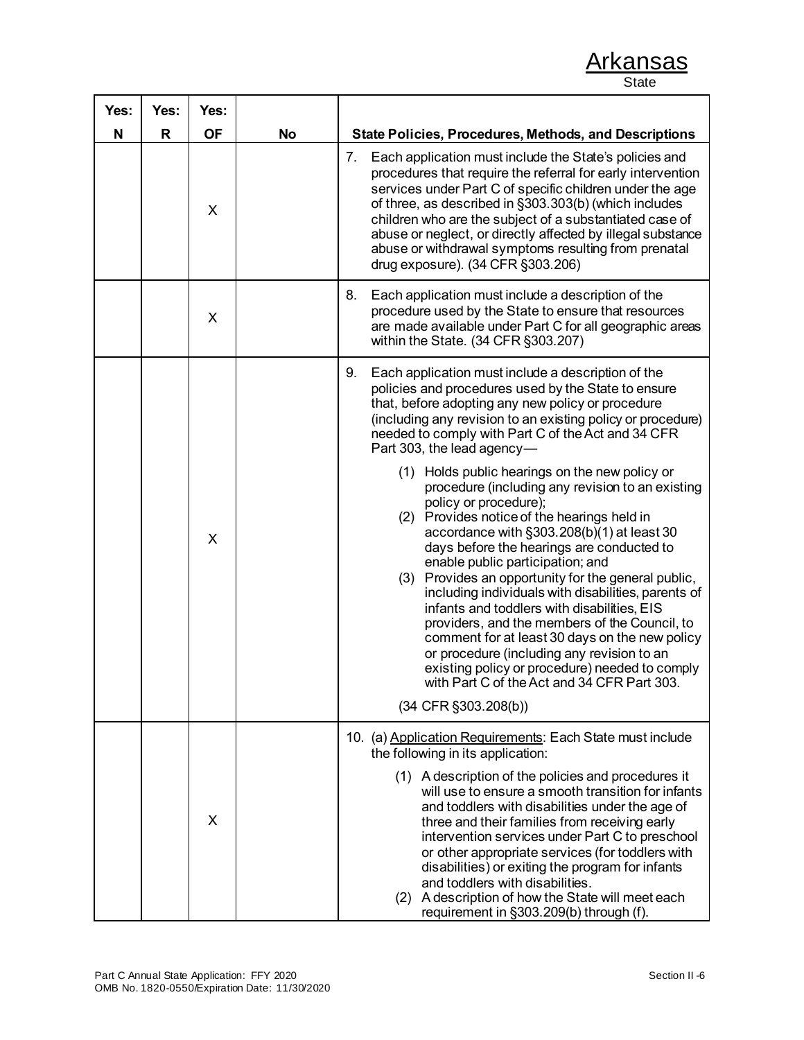| Yes: | Yes: | Yes:      |           |                                                                                                                                                                                                                                                                                                                                                                                                                                                                                                                                                                                                                                                                                                                                                                                                                                                    |
|------|------|-----------|-----------|----------------------------------------------------------------------------------------------------------------------------------------------------------------------------------------------------------------------------------------------------------------------------------------------------------------------------------------------------------------------------------------------------------------------------------------------------------------------------------------------------------------------------------------------------------------------------------------------------------------------------------------------------------------------------------------------------------------------------------------------------------------------------------------------------------------------------------------------------|
| N    | R    | <b>OF</b> | <b>No</b> | <b>State Policies, Procedures, Methods, and Descriptions</b>                                                                                                                                                                                                                                                                                                                                                                                                                                                                                                                                                                                                                                                                                                                                                                                       |
|      |      | X         |           | Each application must include the State's policies and<br>7.<br>procedures that require the referral for early intervention<br>services under Part C of specific children under the age<br>of three, as described in §303.303(b) (which includes<br>children who are the subject of a substantiated case of<br>abuse or neglect, or directly affected by illegal substance<br>abuse or withdrawal symptoms resulting from prenatal<br>drug exposure). (34 CFR §303.206)                                                                                                                                                                                                                                                                                                                                                                            |
|      |      | X         |           | 8.<br>Each application must include a description of the<br>procedure used by the State to ensure that resources<br>are made available under Part C for all geographic areas<br>within the State. (34 CFR §303.207)                                                                                                                                                                                                                                                                                                                                                                                                                                                                                                                                                                                                                                |
|      |      | X         |           | 9.<br>Each application must include a description of the<br>policies and procedures used by the State to ensure<br>that, before adopting any new policy or procedure<br>(including any revision to an existing policy or procedure)<br>needed to comply with Part C of the Act and 34 CFR<br>Part 303, the lead agency-<br>(1) Holds public hearings on the new policy or<br>procedure (including any revision to an existing<br>policy or procedure);<br>(2) Provides notice of the hearings held in<br>accordance with §303.208(b)(1) at least 30<br>days before the hearings are conducted to<br>enable public participation; and<br>(3) Provides an opportunity for the general public,<br>including individuals with disabilities, parents of<br>infants and toddlers with disabilities, EIS<br>providers, and the members of the Council, to |
|      |      |           |           | comment for at least 30 days on the new policy<br>or procedure (including any revision to an<br>existing policy or procedure) needed to comply<br>with Part C of the Act and 34 CFR Part 303.<br>$(34$ CFR $\S 303.208(b))$                                                                                                                                                                                                                                                                                                                                                                                                                                                                                                                                                                                                                        |
|      |      |           |           | 10. (a) Application Requirements: Each State must include<br>the following in its application:                                                                                                                                                                                                                                                                                                                                                                                                                                                                                                                                                                                                                                                                                                                                                     |
|      |      | X         |           | (1) A description of the policies and procedures it<br>will use to ensure a smooth transition for infants<br>and toddlers with disabilities under the age of<br>three and their families from receiving early<br>intervention services under Part C to preschool<br>or other appropriate services (for toddlers with<br>disabilities) or exiting the program for infants<br>and toddlers with disabilities.<br>(2) A description of how the State will meet each<br>requirement in §303.209(b) through (f).                                                                                                                                                                                                                                                                                                                                        |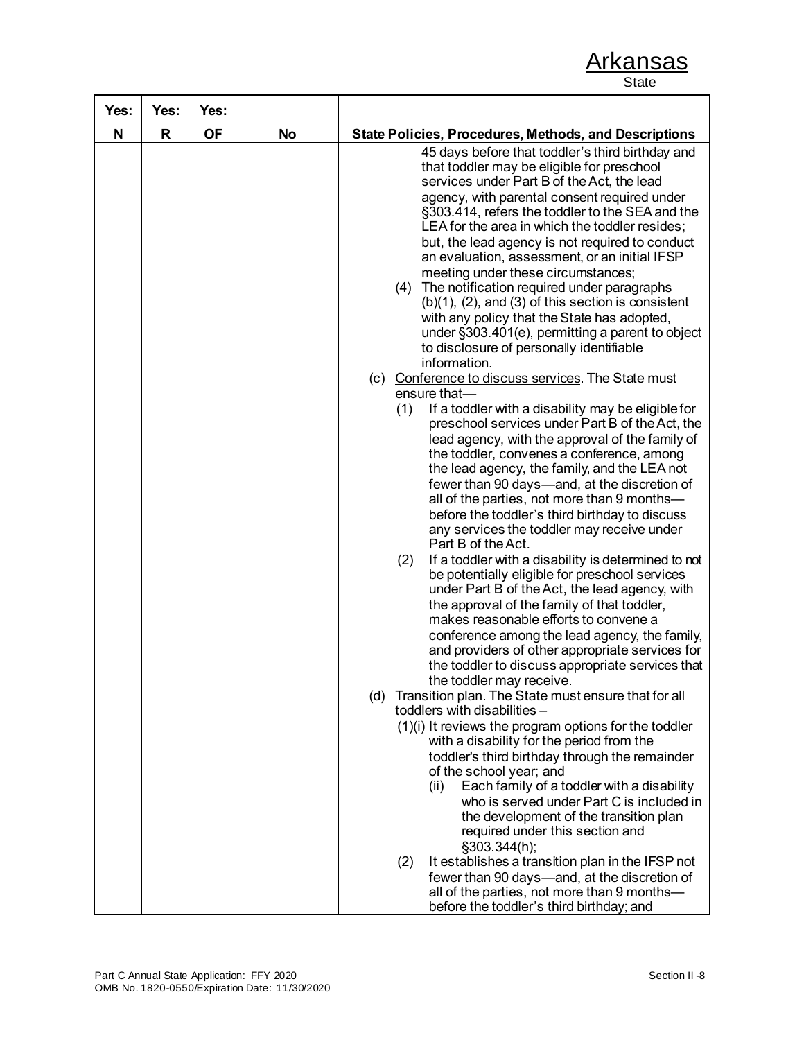| Yes: | Yes:         | Yes:      |           |                                                                                                                                                                                                                                                                                                                                                                                                                                                                                                                                                                                                                                                                                                                                                                                                                                                                                                                                                                                                                                                                                                                                                                                                                                                      |
|------|--------------|-----------|-----------|------------------------------------------------------------------------------------------------------------------------------------------------------------------------------------------------------------------------------------------------------------------------------------------------------------------------------------------------------------------------------------------------------------------------------------------------------------------------------------------------------------------------------------------------------------------------------------------------------------------------------------------------------------------------------------------------------------------------------------------------------------------------------------------------------------------------------------------------------------------------------------------------------------------------------------------------------------------------------------------------------------------------------------------------------------------------------------------------------------------------------------------------------------------------------------------------------------------------------------------------------|
| N    | $\mathsf{R}$ | <b>OF</b> | <b>No</b> | <b>State Policies, Procedures, Methods, and Descriptions</b>                                                                                                                                                                                                                                                                                                                                                                                                                                                                                                                                                                                                                                                                                                                                                                                                                                                                                                                                                                                                                                                                                                                                                                                         |
|      |              |           |           | 45 days before that toddler's third birthday and<br>that toddler may be eligible for preschool<br>services under Part B of the Act, the lead<br>agency, with parental consent required under<br>§303.414, refers the toddler to the SEA and the<br>LEA for the area in which the toddler resides;<br>but, the lead agency is not required to conduct<br>an evaluation, assessment, or an initial IFSP<br>meeting under these circumstances;<br>The notification required under paragraphs<br>(4)<br>$(b)(1)$ , $(2)$ , and $(3)$ of this section is consistent<br>with any policy that the State has adopted,<br>under §303.401(e), permitting a parent to object<br>to disclosure of personally identifiable<br>information.<br>(c) Conference to discuss services. The State must<br>ensure that-<br>(1)<br>If a toddler with a disability may be eligible for<br>preschool services under Part B of the Act, the<br>lead agency, with the approval of the family of<br>the toddler, convenes a conference, among<br>the lead agency, the family, and the LEA not<br>fewer than 90 days—and, at the discretion of<br>all of the parties, not more than 9 months-                                                                                   |
|      |              |           |           | before the toddler's third birthday to discuss<br>any services the toddler may receive under<br>Part B of the Act.<br>If a toddler with a disability is determined to not<br>(2)<br>be potentially eligible for preschool services<br>under Part B of the Act, the lead agency, with<br>the approval of the family of that toddler,<br>makes reasonable efforts to convene a<br>conference among the lead agency, the family,<br>and providers of other appropriate services for<br>the toddler to discuss appropriate services that<br>the toddler may receive.<br>(d) Transition plan. The State must ensure that for all<br>toddlers with disabilities -<br>(1)(i) It reviews the program options for the toddler<br>with a disability for the period from the<br>toddler's third birthday through the remainder<br>of the school year; and<br>Each family of a toddler with a disability<br>(ii)<br>who is served under Part C is included in<br>the development of the transition plan<br>required under this section and<br>§303.344(h);<br>It establishes a transition plan in the IFSP not<br>(2)<br>fewer than 90 days—and, at the discretion of<br>all of the parties, not more than 9 months-<br>before the toddler's third birthday; and |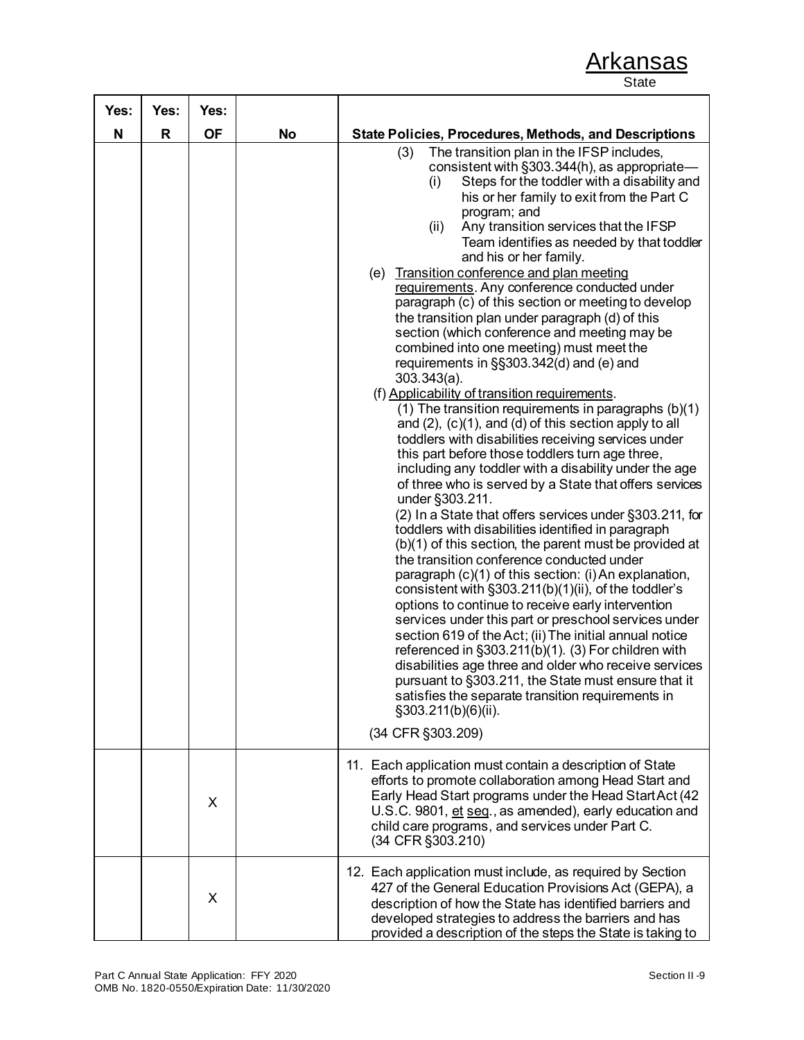| Yes: | Yes: | Yes:      |           |                                                                                                                                                                                                                                                                                                                                                                                                                                                                                                                                                                                                                                                                                                                                                                                                                                                                                                                                                                                                                                                                                                                                                                                                                                                                                                                                                                                                                                                                                                                                                                                                                                                                                                                                                                                                                                                                                                                                 |
|------|------|-----------|-----------|---------------------------------------------------------------------------------------------------------------------------------------------------------------------------------------------------------------------------------------------------------------------------------------------------------------------------------------------------------------------------------------------------------------------------------------------------------------------------------------------------------------------------------------------------------------------------------------------------------------------------------------------------------------------------------------------------------------------------------------------------------------------------------------------------------------------------------------------------------------------------------------------------------------------------------------------------------------------------------------------------------------------------------------------------------------------------------------------------------------------------------------------------------------------------------------------------------------------------------------------------------------------------------------------------------------------------------------------------------------------------------------------------------------------------------------------------------------------------------------------------------------------------------------------------------------------------------------------------------------------------------------------------------------------------------------------------------------------------------------------------------------------------------------------------------------------------------------------------------------------------------------------------------------------------------|
| N    | R    | <b>OF</b> | <b>No</b> | <b>State Policies, Procedures, Methods, and Descriptions</b>                                                                                                                                                                                                                                                                                                                                                                                                                                                                                                                                                                                                                                                                                                                                                                                                                                                                                                                                                                                                                                                                                                                                                                                                                                                                                                                                                                                                                                                                                                                                                                                                                                                                                                                                                                                                                                                                    |
|      |      |           |           | The transition plan in the IFSP includes,<br>(3)<br>consistent with §303.344(h), as appropriate-<br>Steps for the toddler with a disability and<br>(i)<br>his or her family to exit from the Part C<br>program; and<br>(ii)<br>Any transition services that the IFSP<br>Team identifies as needed by that toddler<br>and his or her family.<br>(e) Transition conference and plan meeting<br>requirements. Any conference conducted under<br>paragraph (c) of this section or meeting to develop<br>the transition plan under paragraph (d) of this<br>section (which conference and meeting may be<br>combined into one meeting) must meet the<br>requirements in §§303.342(d) and (e) and<br>$303.343(a)$ .<br>(f) Applicability of transition requirements.<br>(1) The transition requirements in paragraphs (b)(1)<br>and $(2)$ , $(c)(1)$ , and $(d)$ of this section apply to all<br>toddlers with disabilities receiving services under<br>this part before those toddlers turn age three,<br>including any toddler with a disability under the age<br>of three who is served by a State that offers services<br>under §303.211.<br>(2) In a State that offers services under §303.211, for<br>toddlers with disabilities identified in paragraph<br>(b)(1) of this section, the parent must be provided at<br>the transition conference conducted under<br>paragraph (c)(1) of this section: (i) An explanation,<br>consistent with §303.211(b)(1)(ii), of the toddler's<br>options to continue to receive early intervention<br>services under this part or preschool services under<br>section 619 of the Act; (ii) The initial annual notice<br>referenced in §303.211(b)(1). (3) For children with<br>disabilities age three and older who receive services<br>pursuant to §303.211, the State must ensure that it<br>satisfies the separate transition requirements in<br>§303.211(b)(6)(ii).<br>(34 CFR §303.209) |
|      |      | X         |           | 11. Each application must contain a description of State<br>efforts to promote collaboration among Head Start and<br>Early Head Start programs under the Head Start Act (42<br>U.S.C. 9801, et seq., as amended), early education and<br>child care programs, and services under Part C.<br>(34 CFR §303.210)                                                                                                                                                                                                                                                                                                                                                                                                                                                                                                                                                                                                                                                                                                                                                                                                                                                                                                                                                                                                                                                                                                                                                                                                                                                                                                                                                                                                                                                                                                                                                                                                                   |
|      |      | X         |           | 12. Each application must include, as required by Section<br>427 of the General Education Provisions Act (GEPA), a<br>description of how the State has identified barriers and<br>developed strategies to address the barriers and has<br>provided a description of the steps the State is taking to                                                                                                                                                                                                                                                                                                                                                                                                                                                                                                                                                                                                                                                                                                                                                                                                                                                                                                                                                                                                                                                                                                                                                                                                                                                                                                                                                                                                                                                                                                                                                                                                                            |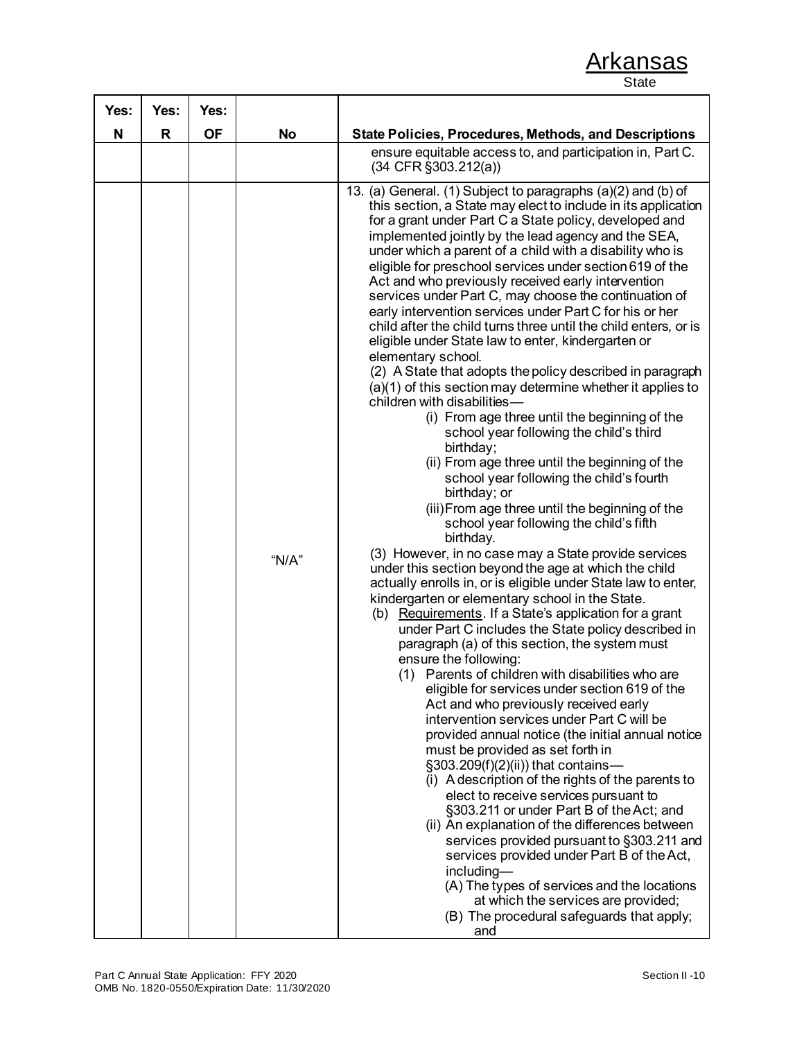| Yes: | Yes:         | Yes:      |           |                                                                                                                                                                                                                                                                                                                                                                                                                                                                                                                                                                                                                                                                                                                                                                                                                                                                                                                                                                                                                                                                                                                                                                                                                                                                                                                                                                                                                                                                                                                                                                                                                                                                                                                                                                                                                                                                                                                                                                                                                                                                                                                                                                                                                                                                                                                                                                                                          |
|------|--------------|-----------|-----------|----------------------------------------------------------------------------------------------------------------------------------------------------------------------------------------------------------------------------------------------------------------------------------------------------------------------------------------------------------------------------------------------------------------------------------------------------------------------------------------------------------------------------------------------------------------------------------------------------------------------------------------------------------------------------------------------------------------------------------------------------------------------------------------------------------------------------------------------------------------------------------------------------------------------------------------------------------------------------------------------------------------------------------------------------------------------------------------------------------------------------------------------------------------------------------------------------------------------------------------------------------------------------------------------------------------------------------------------------------------------------------------------------------------------------------------------------------------------------------------------------------------------------------------------------------------------------------------------------------------------------------------------------------------------------------------------------------------------------------------------------------------------------------------------------------------------------------------------------------------------------------------------------------------------------------------------------------------------------------------------------------------------------------------------------------------------------------------------------------------------------------------------------------------------------------------------------------------------------------------------------------------------------------------------------------------------------------------------------------------------------------------------------------|
| N    | $\mathsf{R}$ | <b>OF</b> | <b>No</b> | <b>State Policies, Procedures, Methods, and Descriptions</b>                                                                                                                                                                                                                                                                                                                                                                                                                                                                                                                                                                                                                                                                                                                                                                                                                                                                                                                                                                                                                                                                                                                                                                                                                                                                                                                                                                                                                                                                                                                                                                                                                                                                                                                                                                                                                                                                                                                                                                                                                                                                                                                                                                                                                                                                                                                                             |
|      |              |           |           | ensure equitable access to, and participation in, Part C.<br>$(34$ CFR $\S 303.212(a))$                                                                                                                                                                                                                                                                                                                                                                                                                                                                                                                                                                                                                                                                                                                                                                                                                                                                                                                                                                                                                                                                                                                                                                                                                                                                                                                                                                                                                                                                                                                                                                                                                                                                                                                                                                                                                                                                                                                                                                                                                                                                                                                                                                                                                                                                                                                  |
|      |              |           | " $N/A$ " | 13. (a) General. (1) Subject to paragraphs (a)(2) and (b) of<br>this section, a State may elect to include in its application<br>for a grant under Part C a State policy, developed and<br>implemented jointly by the lead agency and the SEA,<br>under which a parent of a child with a disability who is<br>eligible for preschool services under section 619 of the<br>Act and who previously received early intervention<br>services under Part C, may choose the continuation of<br>early intervention services under Part C for his or her<br>child after the child turns three until the child enters, or is<br>eligible under State law to enter, kindergarten or<br>elementary school.<br>(2) A State that adopts the policy described in paragraph<br>(a)(1) of this section may determine whether it applies to<br>children with disabilities-<br>(i) From age three until the beginning of the<br>school year following the child's third<br>birthday;<br>(ii) From age three until the beginning of the<br>school year following the child's fourth<br>birthday; or<br>(iii) From age three until the beginning of the<br>school year following the child's fifth<br>birthday.<br>(3) However, in no case may a State provide services<br>under this section beyond the age at which the child<br>actually enrolls in, or is eligible under State law to enter,<br>kindergarten or elementary school in the State.<br>(b) Requirements. If a State's application for a grant<br>under Part C includes the State policy described in<br>paragraph (a) of this section, the system must<br>ensure the following:<br>(1) Parents of children with disabilities who are<br>eligible for services under section 619 of the<br>Act and who previously received early<br>intervention services under Part C will be<br>provided annual notice (the initial annual notice<br>must be provided as set forth in<br>§303.209(f)(2)(ii)) that contains-<br>(i) A description of the rights of the parents to<br>elect to receive services pursuant to<br>§303.211 or under Part B of the Act; and<br>(ii) An explanation of the differences between<br>services provided pursuant to §303.211 and<br>services provided under Part B of the Act,<br>including-<br>(A) The types of services and the locations<br>at which the services are provided;<br>(B) The procedural safeguards that apply;<br>and |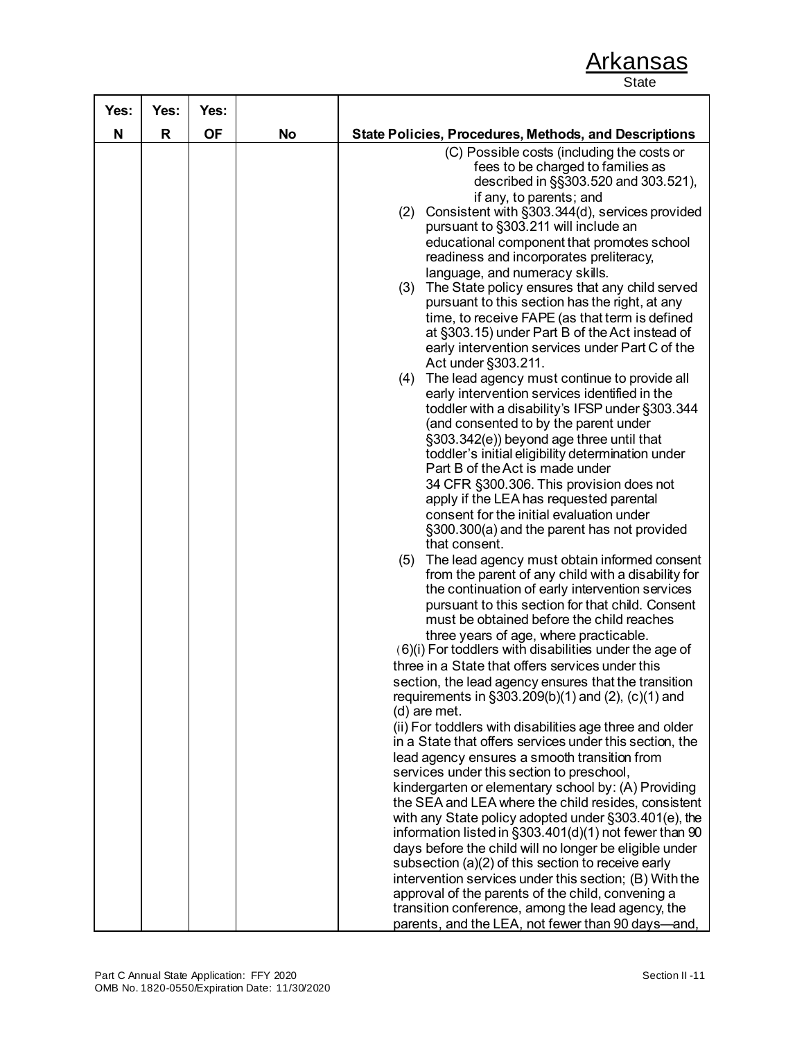| Yes: | Yes: | Yes:      |           |                                                                                                                                                                                                                                                                                                                                                                                                                                                                                                                                                                                                                                                                                                                                                                                                                                                                                                                                                                                                                                                                                                                                                                                                                                                                                                                                                                                                                                                                                                                                                                                                                                                                                                                                                                                                                                                                                                                                                                                                                                                                                                                                                                                                                                                                                                                                                                                                                                                         |
|------|------|-----------|-----------|---------------------------------------------------------------------------------------------------------------------------------------------------------------------------------------------------------------------------------------------------------------------------------------------------------------------------------------------------------------------------------------------------------------------------------------------------------------------------------------------------------------------------------------------------------------------------------------------------------------------------------------------------------------------------------------------------------------------------------------------------------------------------------------------------------------------------------------------------------------------------------------------------------------------------------------------------------------------------------------------------------------------------------------------------------------------------------------------------------------------------------------------------------------------------------------------------------------------------------------------------------------------------------------------------------------------------------------------------------------------------------------------------------------------------------------------------------------------------------------------------------------------------------------------------------------------------------------------------------------------------------------------------------------------------------------------------------------------------------------------------------------------------------------------------------------------------------------------------------------------------------------------------------------------------------------------------------------------------------------------------------------------------------------------------------------------------------------------------------------------------------------------------------------------------------------------------------------------------------------------------------------------------------------------------------------------------------------------------------------------------------------------------------------------------------------------------------|
| N    | R    | <b>OF</b> | <b>No</b> | <b>State Policies, Procedures, Methods, and Descriptions</b>                                                                                                                                                                                                                                                                                                                                                                                                                                                                                                                                                                                                                                                                                                                                                                                                                                                                                                                                                                                                                                                                                                                                                                                                                                                                                                                                                                                                                                                                                                                                                                                                                                                                                                                                                                                                                                                                                                                                                                                                                                                                                                                                                                                                                                                                                                                                                                                            |
|      |      |           |           | (C) Possible costs (including the costs or<br>fees to be charged to families as<br>described in §§303.520 and 303.521),<br>if any, to parents; and<br>Consistent with §303.344(d), services provided<br>(2)<br>pursuant to §303.211 will include an<br>educational component that promotes school<br>readiness and incorporates preliteracy,<br>language, and numeracy skills.<br>The State policy ensures that any child served<br>(3)<br>pursuant to this section has the right, at any<br>time, to receive FAPE (as that term is defined<br>at §303.15) under Part B of the Act instead of<br>early intervention services under Part C of the<br>Act under §303.211.<br>(4) The lead agency must continue to provide all<br>early intervention services identified in the<br>toddler with a disability's IFSP under §303.344<br>(and consented to by the parent under<br>§303.342(e)) beyond age three until that<br>toddler's initial eligibility determination under<br>Part B of the Act is made under<br>34 CFR §300.306. This provision does not<br>apply if the LEA has requested parental<br>consent for the initial evaluation under<br>§300.300(a) and the parent has not provided<br>that consent.<br>(5) The lead agency must obtain informed consent<br>from the parent of any child with a disability for<br>the continuation of early intervention services<br>pursuant to this section for that child. Consent<br>must be obtained before the child reaches<br>three years of age, where practicable.<br>$(6)(i)$ For toddlers with disabilities under the age of<br>three in a State that offers services under this<br>section, the lead agency ensures that the transition<br>requirements in §303.209(b)(1) and (2), (c)(1) and<br>(d) are met.<br>(ii) For toddlers with disabilities age three and older<br>in a State that offers services under this section, the<br>lead agency ensures a smooth transition from<br>services under this section to preschool,<br>kindergarten or elementary school by: (A) Providing<br>the SEA and LEA where the child resides, consistent<br>with any State policy adopted under §303.401(e), the<br>information listed in §303.401(d)(1) not fewer than 90<br>days before the child will no longer be eligible under<br>subsection (a)(2) of this section to receive early<br>intervention services under this section; (B) With the<br>approval of the parents of the child, convening a |
|      |      |           |           | transition conference, among the lead agency, the                                                                                                                                                                                                                                                                                                                                                                                                                                                                                                                                                                                                                                                                                                                                                                                                                                                                                                                                                                                                                                                                                                                                                                                                                                                                                                                                                                                                                                                                                                                                                                                                                                                                                                                                                                                                                                                                                                                                                                                                                                                                                                                                                                                                                                                                                                                                                                                                       |
|      |      |           |           | parents, and the LEA, not fewer than 90 days—and,                                                                                                                                                                                                                                                                                                                                                                                                                                                                                                                                                                                                                                                                                                                                                                                                                                                                                                                                                                                                                                                                                                                                                                                                                                                                                                                                                                                                                                                                                                                                                                                                                                                                                                                                                                                                                                                                                                                                                                                                                                                                                                                                                                                                                                                                                                                                                                                                       |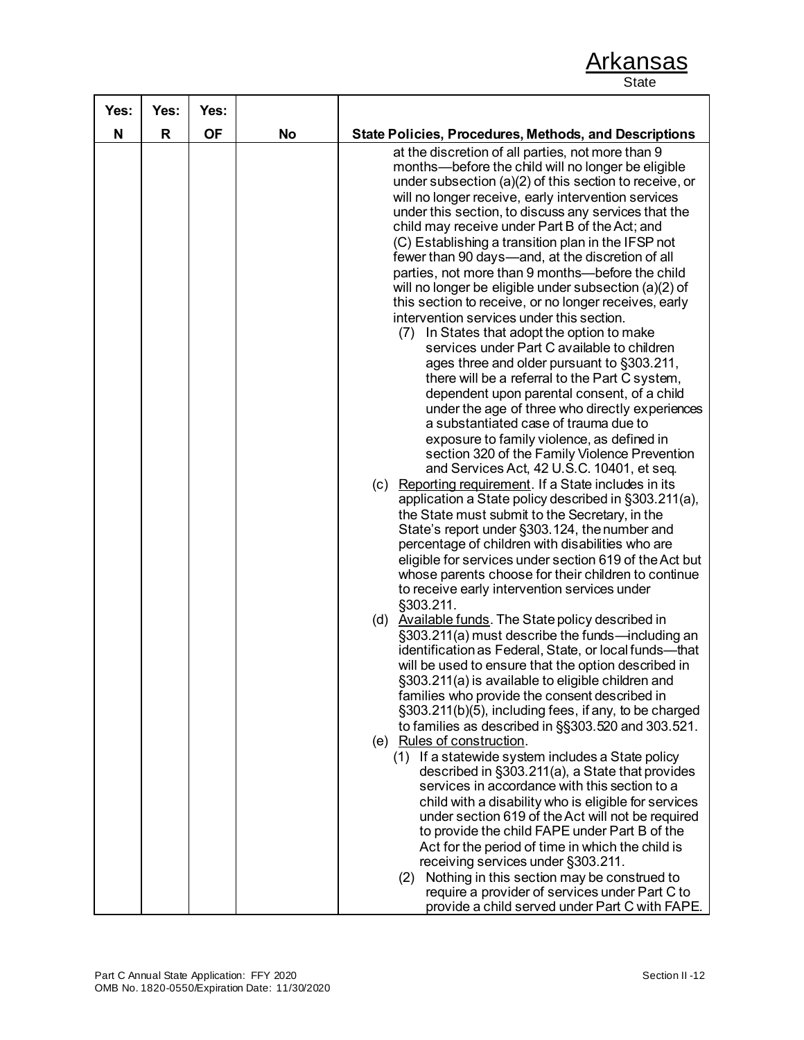| Yes: | Yes: | Yes:      |           |                                                                                                                                                                                                                                                                                                                                                                                                                                                                                                                                                                                                                                                                                                                                                                                                                                                                                                                                                                                                                                                                                                                                                                                                                                                                                                                                                                                                                                                                                                                                                                                                                                                                                                                                                                                                                                                                                                                                                                                                                                                                                                                                                                                                                                                                                                                                                                                                                                     |
|------|------|-----------|-----------|-------------------------------------------------------------------------------------------------------------------------------------------------------------------------------------------------------------------------------------------------------------------------------------------------------------------------------------------------------------------------------------------------------------------------------------------------------------------------------------------------------------------------------------------------------------------------------------------------------------------------------------------------------------------------------------------------------------------------------------------------------------------------------------------------------------------------------------------------------------------------------------------------------------------------------------------------------------------------------------------------------------------------------------------------------------------------------------------------------------------------------------------------------------------------------------------------------------------------------------------------------------------------------------------------------------------------------------------------------------------------------------------------------------------------------------------------------------------------------------------------------------------------------------------------------------------------------------------------------------------------------------------------------------------------------------------------------------------------------------------------------------------------------------------------------------------------------------------------------------------------------------------------------------------------------------------------------------------------------------------------------------------------------------------------------------------------------------------------------------------------------------------------------------------------------------------------------------------------------------------------------------------------------------------------------------------------------------------------------------------------------------------------------------------------------------|
|      |      |           |           |                                                                                                                                                                                                                                                                                                                                                                                                                                                                                                                                                                                                                                                                                                                                                                                                                                                                                                                                                                                                                                                                                                                                                                                                                                                                                                                                                                                                                                                                                                                                                                                                                                                                                                                                                                                                                                                                                                                                                                                                                                                                                                                                                                                                                                                                                                                                                                                                                                     |
| N    | R    | <b>OF</b> | <b>No</b> | <b>State Policies, Procedures, Methods, and Descriptions</b><br>at the discretion of all parties, not more than 9<br>months-before the child will no longer be eligible<br>under subsection $(a)(2)$ of this section to receive, or<br>will no longer receive, early intervention services<br>under this section, to discuss any services that the<br>child may receive under Part B of the Act; and<br>(C) Establishing a transition plan in the IFSP not<br>fewer than 90 days—and, at the discretion of all<br>parties, not more than 9 months-before the child<br>will no longer be eligible under subsection (a)(2) of<br>this section to receive, or no longer receives, early<br>intervention services under this section.<br>In States that adopt the option to make<br>(7)<br>services under Part C available to children<br>ages three and older pursuant to §303.211,<br>there will be a referral to the Part C system,<br>dependent upon parental consent, of a child<br>under the age of three who directly experiences<br>a substantiated case of trauma due to<br>exposure to family violence, as defined in<br>section 320 of the Family Violence Prevention<br>and Services Act, 42 U.S.C. 10401, et seq.<br>(c) Reporting requirement. If a State includes in its<br>application a State policy described in §303.211(a),<br>the State must submit to the Secretary, in the<br>State's report under §303.124, the number and<br>percentage of children with disabilities who are<br>eligible for services under section 619 of the Act but<br>whose parents choose for their children to continue<br>to receive early intervention services under<br>§303.211.<br>(d) Available funds. The State policy described in<br>§303.211(a) must describe the funds—including an<br>identification as Federal, State, or local funds-that<br>will be used to ensure that the option described in<br>§303.211(a) is available to eligible children and<br>families who provide the consent described in<br>§303.211(b)(5), including fees, if any, to be charged<br>to families as described in §§303.520 and 303.521.<br>(e) Rules of construction.<br>(1) If a statewide system includes a State policy<br>described in §303.211(a), a State that provides<br>services in accordance with this section to a<br>child with a disability who is eligible for services<br>under section 619 of the Act will not be required |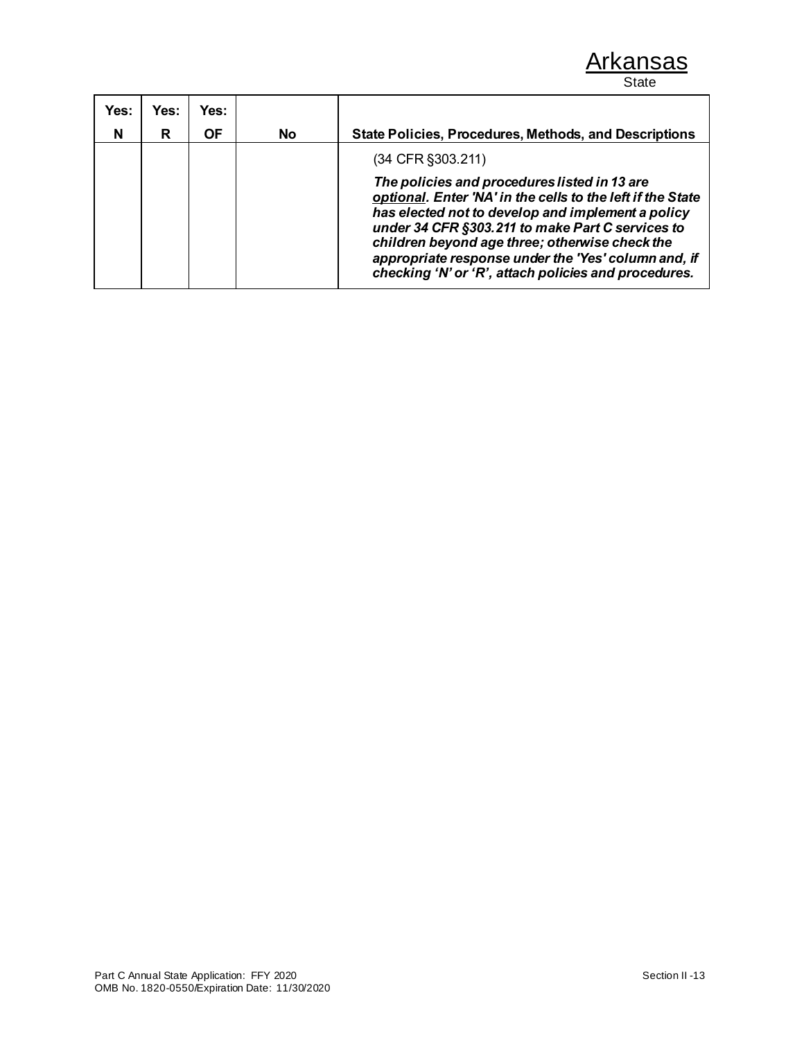| Yes: | Yes: | Yes: |           |                                                                                                                                                                                                                                                                                                                                                                                      |
|------|------|------|-----------|--------------------------------------------------------------------------------------------------------------------------------------------------------------------------------------------------------------------------------------------------------------------------------------------------------------------------------------------------------------------------------------|
| N    | R    | ΟF   | <b>No</b> | <b>State Policies, Procedures, Methods, and Descriptions</b>                                                                                                                                                                                                                                                                                                                         |
|      |      |      |           | (34 CFR §303.211)                                                                                                                                                                                                                                                                                                                                                                    |
|      |      |      |           | The policies and procedures listed in 13 are<br>optional. Enter 'NA' in the cells to the left if the State<br>has elected not to develop and implement a policy<br>under 34 CFR §303.211 to make Part C services to<br>children beyond age three; otherwise check the<br>appropriate response under the 'Yes' column and, if<br>checking 'N' or 'R', attach policies and procedures. |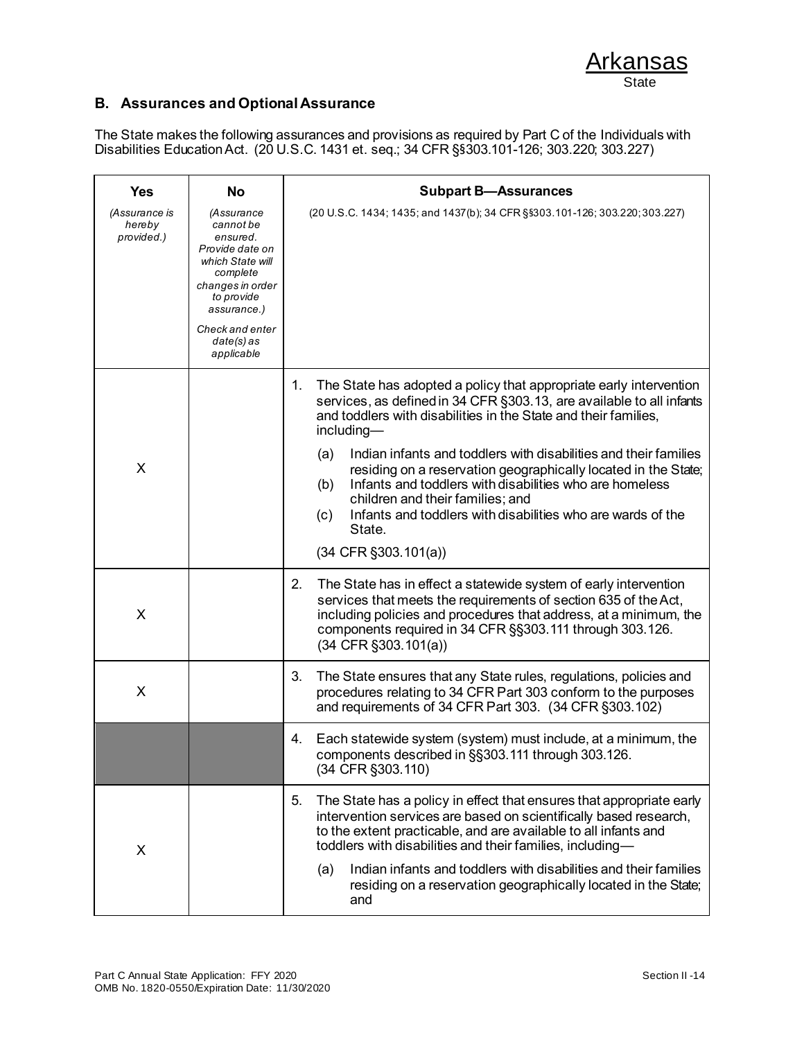

### **B. Assurances and Optional Assurance**

The State makes the following assurances and provisions as required by Part C of the Individuals with Disabilities Education Act. (20 U.S.C. 1431 et. seq.; 34 CFR §§303.101-126; 303.220; 303.227)

| <b>Yes</b>                            | <b>No</b>                                                                                                                                                                                | <b>Subpart B-Assurances</b>                                                                                                                                                                                                                                                                                                                                                                                                                                                                                                                                                                        |  |  |
|---------------------------------------|------------------------------------------------------------------------------------------------------------------------------------------------------------------------------------------|----------------------------------------------------------------------------------------------------------------------------------------------------------------------------------------------------------------------------------------------------------------------------------------------------------------------------------------------------------------------------------------------------------------------------------------------------------------------------------------------------------------------------------------------------------------------------------------------------|--|--|
| (Assurance is<br>hereby<br>provided.) | (Assurance<br>cannot be<br>ensured.<br>Provide date on<br>which State will<br>complete<br>changes in order<br>to provide<br>assurance.)<br>Check and enter<br>$date(s)$ as<br>applicable | (20 U.S.C. 1434; 1435; and 1437(b); 34 CFR §§303.101-126; 303.220; 303.227)                                                                                                                                                                                                                                                                                                                                                                                                                                                                                                                        |  |  |
| X                                     |                                                                                                                                                                                          | The State has adopted a policy that appropriate early intervention<br>1.<br>services, as defined in 34 CFR §303.13, are available to all infants<br>and toddlers with disabilities in the State and their families,<br>including-<br>Indian infants and toddlers with disabilities and their families<br>(a)<br>residing on a reservation geographically located in the State;<br>Infants and toddlers with disabilities who are homeless<br>(b)<br>children and their families; and<br>Infants and toddlers with disabilities who are wards of the<br>(c)<br>State.<br>$(34$ CFR $\S 303.101(a))$ |  |  |
| X                                     |                                                                                                                                                                                          | 2.<br>The State has in effect a statewide system of early intervention<br>services that meets the requirements of section 635 of the Act,<br>including policies and procedures that address, at a minimum, the<br>components required in 34 CFR §§303.111 through 303.126.<br>$(34$ CFR $\S 303.101(a))$                                                                                                                                                                                                                                                                                           |  |  |
| X                                     |                                                                                                                                                                                          | 3.<br>The State ensures that any State rules, regulations, policies and<br>procedures relating to 34 CFR Part 303 conform to the purposes<br>and requirements of 34 CFR Part 303. (34 CFR §303.102)                                                                                                                                                                                                                                                                                                                                                                                                |  |  |
|                                       |                                                                                                                                                                                          | Each statewide system (system) must include, at a minimum, the<br>4.<br>components described in §§303.111 through 303.126.<br>(34 CFR §303.110)                                                                                                                                                                                                                                                                                                                                                                                                                                                    |  |  |
| X                                     |                                                                                                                                                                                          | 5.<br>The State has a policy in effect that ensures that appropriate early<br>intervention services are based on scientifically based research,<br>to the extent practicable, and are available to all infants and<br>toddlers with disabilities and their families, including-<br>Indian infants and toddlers with disabilities and their families<br>(a)<br>residing on a reservation geographically located in the State;<br>and                                                                                                                                                                |  |  |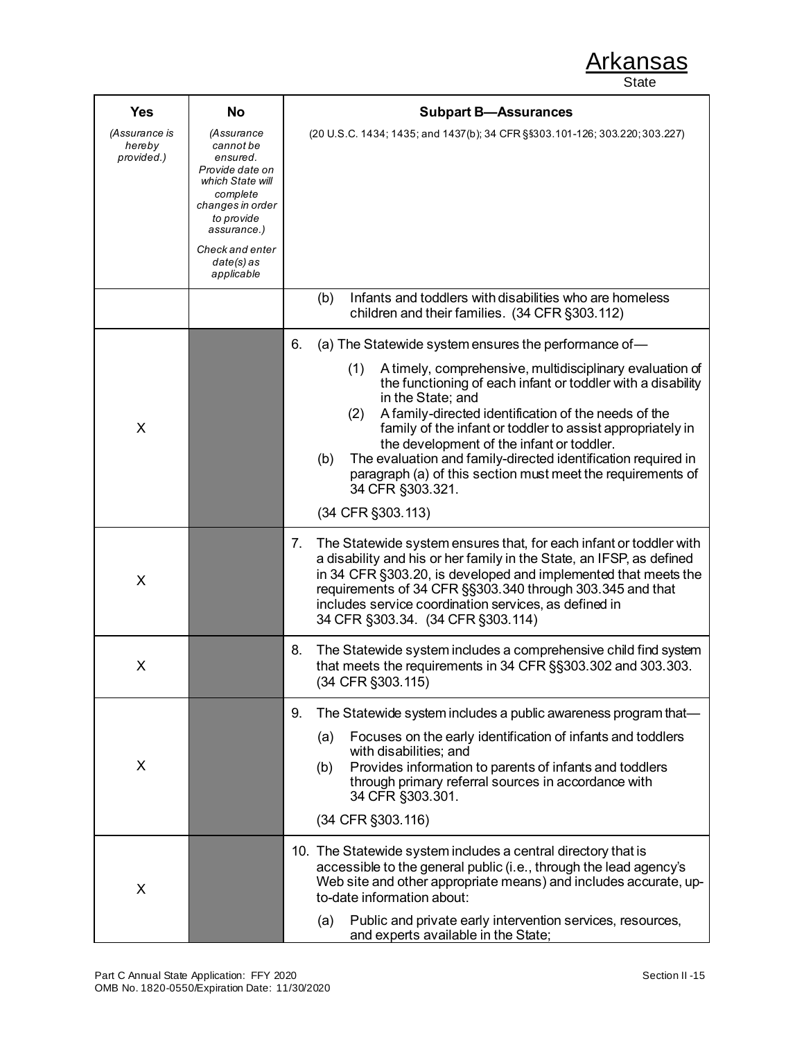| <b>Yes</b>                            | No                                                                                                                                                                                       | <b>Subpart B-Assurances</b>                                                                                                                                                                                                                                                                                                                                                                                                                                                                                                                                                 |  |  |
|---------------------------------------|------------------------------------------------------------------------------------------------------------------------------------------------------------------------------------------|-----------------------------------------------------------------------------------------------------------------------------------------------------------------------------------------------------------------------------------------------------------------------------------------------------------------------------------------------------------------------------------------------------------------------------------------------------------------------------------------------------------------------------------------------------------------------------|--|--|
| (Assurance is<br>hereby<br>provided.) | (Assurance<br>cannot be<br>ensured.<br>Provide date on<br>which State will<br>complete<br>changes in order<br>to provide<br>assurance.)<br>Check and enter<br>$date(s)$ as<br>applicable | (20 U.S.C. 1434; 1435; and 1437(b); 34 CFR §§303.101-126; 303.220; 303.227)                                                                                                                                                                                                                                                                                                                                                                                                                                                                                                 |  |  |
|                                       |                                                                                                                                                                                          | Infants and toddlers with disabilities who are homeless<br>(b)<br>children and their families. (34 CFR §303.112)                                                                                                                                                                                                                                                                                                                                                                                                                                                            |  |  |
| X                                     |                                                                                                                                                                                          | 6.<br>(a) The Statewide system ensures the performance of-<br>(1)<br>A timely, comprehensive, multidisciplinary evaluation of<br>the functioning of each infant or toddler with a disability<br>in the State; and<br>A family-directed identification of the needs of the<br>(2)<br>family of the infant or toddler to assist appropriately in<br>the development of the infant or toddler.<br>The evaluation and family-directed identification required in<br>(b)<br>paragraph (a) of this section must meet the requirements of<br>34 CFR §303.321.<br>(34 CFR §303.113) |  |  |
| X                                     |                                                                                                                                                                                          | 7.<br>The Statewide system ensures that, for each infant or toddler with<br>a disability and his or her family in the State, an IFSP, as defined<br>in 34 CFR §303.20, is developed and implemented that meets the<br>requirements of 34 CFR §§303.340 through 303.345 and that<br>includes service coordination services, as defined in<br>34 CFR §303.34. (34 CFR §303.114)                                                                                                                                                                                               |  |  |
| X                                     |                                                                                                                                                                                          | 8.<br>The Statewide system includes a comprehensive child find system<br>that meets the requirements in 34 CFR §§303.302 and 303.303.<br>(34 CFR §303.115)                                                                                                                                                                                                                                                                                                                                                                                                                  |  |  |
| X                                     |                                                                                                                                                                                          | The Statewide system includes a public awareness program that-<br>9.<br>Focuses on the early identification of infants and toddlers<br>(a)<br>with disabilities; and<br>Provides information to parents of infants and toddlers<br>(b)<br>through primary referral sources in accordance with<br>34 CFR §303.301.<br>(34 CFR §303.116)                                                                                                                                                                                                                                      |  |  |
| X                                     |                                                                                                                                                                                          | 10. The Statewide system includes a central directory that is<br>accessible to the general public (i.e., through the lead agency's<br>Web site and other appropriate means) and includes accurate, up-<br>to-date information about:<br>Public and private early intervention services, resources,<br>(a)<br>and experts available in the State;                                                                                                                                                                                                                            |  |  |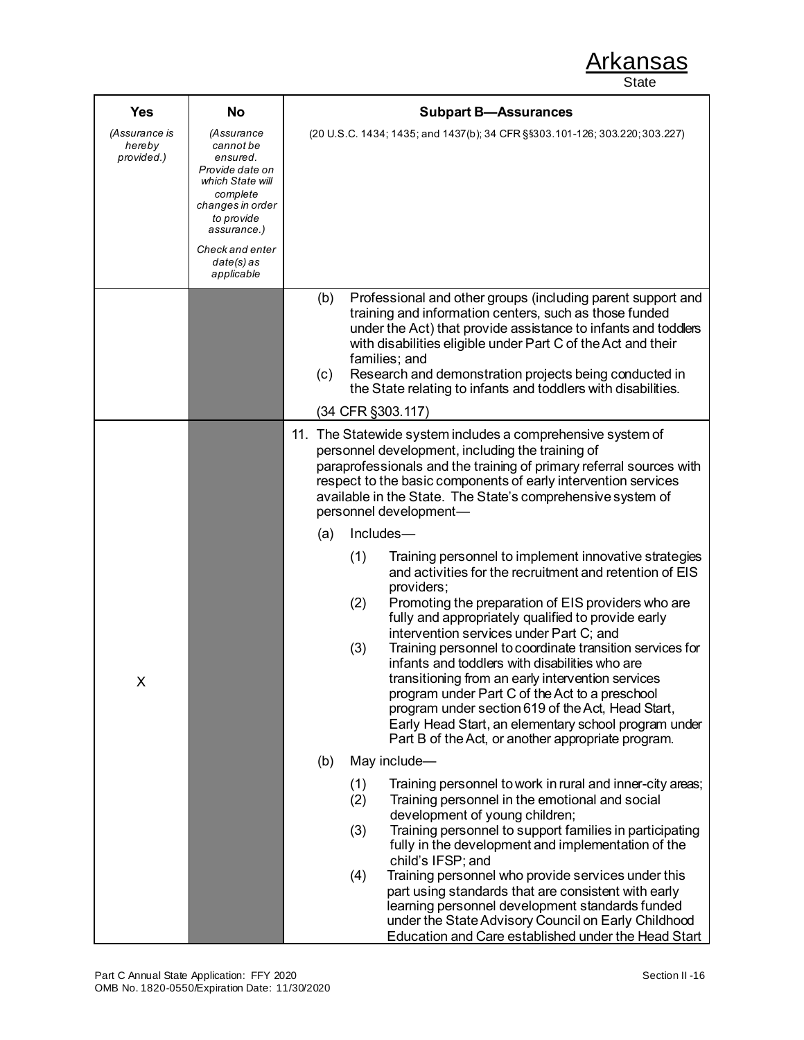| <b>Yes</b>                            | No                                                                                                                                                                                       | <b>Subpart B-Assurances</b>                                                                                                                                                                                                                                                                                                                                                                                                                                                                                                                                                                                                                                                                                                                                                                                                                                                                                                                                                                                                                                                 |  |  |  |
|---------------------------------------|------------------------------------------------------------------------------------------------------------------------------------------------------------------------------------------|-----------------------------------------------------------------------------------------------------------------------------------------------------------------------------------------------------------------------------------------------------------------------------------------------------------------------------------------------------------------------------------------------------------------------------------------------------------------------------------------------------------------------------------------------------------------------------------------------------------------------------------------------------------------------------------------------------------------------------------------------------------------------------------------------------------------------------------------------------------------------------------------------------------------------------------------------------------------------------------------------------------------------------------------------------------------------------|--|--|--|
| (Assurance is<br>hereby<br>provided.) | (Assurance<br>cannot be<br>ensured.<br>Provide date on<br>which State will<br>complete<br>changes in order<br>to provide<br>assurance.)<br>Check and enter<br>$date(s)$ as<br>applicable | (20 U.S.C. 1434; 1435; and 1437(b); 34 CFR §§303.101-126; 303.220; 303.227)                                                                                                                                                                                                                                                                                                                                                                                                                                                                                                                                                                                                                                                                                                                                                                                                                                                                                                                                                                                                 |  |  |  |
|                                       |                                                                                                                                                                                          | Professional and other groups (including parent support and<br>(b)<br>training and information centers, such as those funded<br>under the Act) that provide assistance to infants and toddlers<br>with disabilities eligible under Part C of the Act and their<br>families; and<br>Research and demonstration projects being conducted in<br>(c)<br>the State relating to infants and toddlers with disabilities.<br>(34 CFR §303.117)                                                                                                                                                                                                                                                                                                                                                                                                                                                                                                                                                                                                                                      |  |  |  |
| Χ                                     |                                                                                                                                                                                          | 11. The Statewide system includes a comprehensive system of<br>personnel development, including the training of<br>paraprofessionals and the training of primary referral sources with<br>respect to the basic components of early intervention services<br>available in the State. The State's comprehensive system of<br>personnel development-<br>Includes-<br>(a)<br>(1)<br>Training personnel to implement innovative strategies<br>and activities for the recruitment and retention of EIS<br>providers;<br>(2)<br>Promoting the preparation of EIS providers who are<br>fully and appropriately qualified to provide early<br>intervention services under Part C; and<br>Training personnel to coordinate transition services for<br>(3)<br>infants and toddlers with disabilities who are<br>transitioning from an early intervention services<br>program under Part C of the Act to a preschool<br>program under section 619 of the Act, Head Start,<br>Early Head Start, an elementary school program under<br>Part B of the Act, or another appropriate program. |  |  |  |
|                                       |                                                                                                                                                                                          | May include-<br>(b)<br>(1)<br>Training personnel to work in rural and inner-city areas;<br>Training personnel in the emotional and social<br>(2)<br>development of young children;<br>Training personnel to support families in participating<br>(3)<br>fully in the development and implementation of the<br>child's IFSP; and<br>Training personnel who provide services under this<br>(4)<br>part using standards that are consistent with early<br>learning personnel development standards funded<br>under the State Advisory Council on Early Childhood<br>Education and Care established under the Head Start                                                                                                                                                                                                                                                                                                                                                                                                                                                        |  |  |  |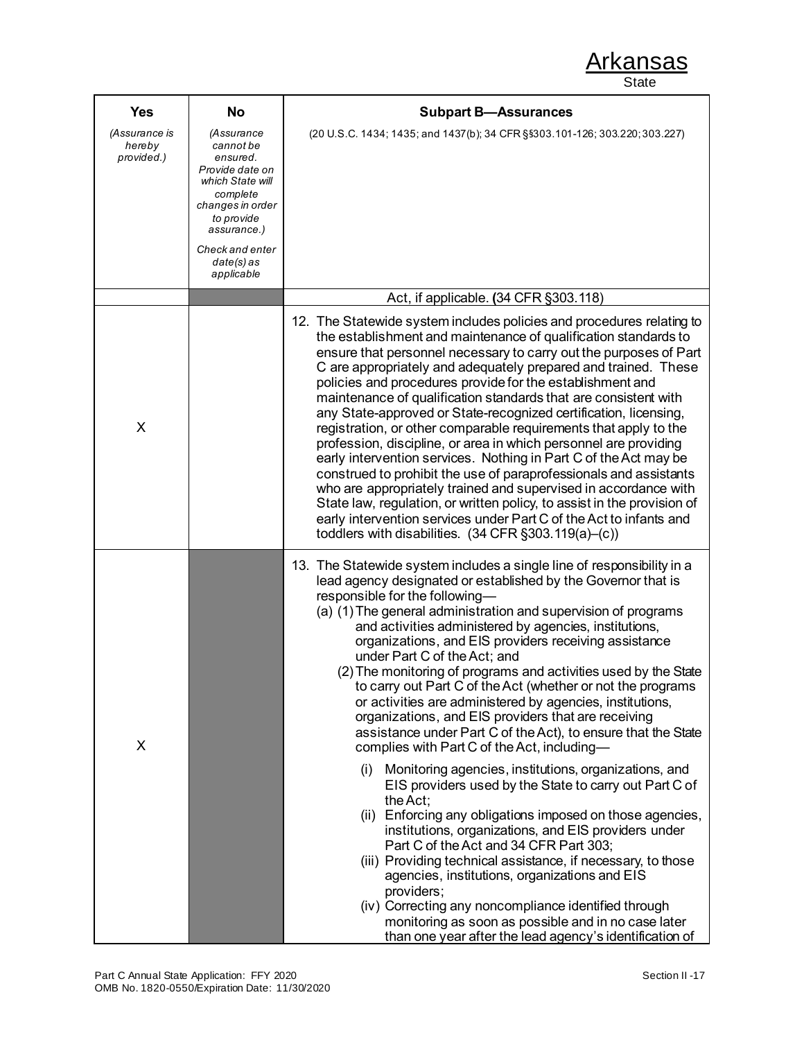| <b>Yes</b>                            | No                                                                                                                                                                                       | <b>Subpart B-Assurances</b>                                                                                                                                                                                                                                                                                                                                                                                                                                                                                                                                                                                                                                                                                                                                                                                                                                                                                                                                                                                                                                                                                                                                                                                                                                                                                                                                                        |
|---------------------------------------|------------------------------------------------------------------------------------------------------------------------------------------------------------------------------------------|------------------------------------------------------------------------------------------------------------------------------------------------------------------------------------------------------------------------------------------------------------------------------------------------------------------------------------------------------------------------------------------------------------------------------------------------------------------------------------------------------------------------------------------------------------------------------------------------------------------------------------------------------------------------------------------------------------------------------------------------------------------------------------------------------------------------------------------------------------------------------------------------------------------------------------------------------------------------------------------------------------------------------------------------------------------------------------------------------------------------------------------------------------------------------------------------------------------------------------------------------------------------------------------------------------------------------------------------------------------------------------|
| (Assurance is<br>hereby<br>provided.) | (Assurance<br>cannot be<br>ensured.<br>Provide date on<br>which State will<br>complete<br>changes in order<br>to provide<br>assurance.)<br>Check and enter<br>$date(s)$ as<br>applicable | (20 U.S.C. 1434; 1435; and 1437(b); 34 CFR §§303.101-126; 303.220; 303.227)                                                                                                                                                                                                                                                                                                                                                                                                                                                                                                                                                                                                                                                                                                                                                                                                                                                                                                                                                                                                                                                                                                                                                                                                                                                                                                        |
|                                       |                                                                                                                                                                                          | Act, if applicable. (34 CFR §303.118)                                                                                                                                                                                                                                                                                                                                                                                                                                                                                                                                                                                                                                                                                                                                                                                                                                                                                                                                                                                                                                                                                                                                                                                                                                                                                                                                              |
| X                                     |                                                                                                                                                                                          | 12. The Statewide system includes policies and procedures relating to<br>the establishment and maintenance of qualification standards to<br>ensure that personnel necessary to carry out the purposes of Part<br>C are appropriately and adequately prepared and trained. These<br>policies and procedures provide for the establishment and<br>maintenance of qualification standards that are consistent with<br>any State-approved or State-recognized certification, licensing,<br>registration, or other comparable requirements that apply to the<br>profession, discipline, or area in which personnel are providing<br>early intervention services. Nothing in Part C of the Act may be<br>construed to prohibit the use of paraprofessionals and assistants<br>who are appropriately trained and supervised in accordance with<br>State law, regulation, or written policy, to assist in the provision of<br>early intervention services under Part C of the Act to infants and<br>toddlers with disabilities. (34 CFR §303.119(a)-(c))                                                                                                                                                                                                                                                                                                                                   |
| X                                     |                                                                                                                                                                                          | 13. The Statewide system includes a single line of responsibility in a<br>lead agency designated or established by the Governor that is<br>responsible for the following-<br>(a) (1) The general administration and supervision of programs<br>and activities administered by agencies, institutions,<br>organizations, and EIS providers receiving assistance<br>under Part C of the Act; and<br>(2) The monitoring of programs and activities used by the State<br>to carry out Part C of the Act (whether or not the programs<br>or activities are administered by agencies, institutions,<br>organizations, and EIS providers that are receiving<br>assistance under Part C of the Act), to ensure that the State<br>complies with Part C of the Act, including-<br>Monitoring agencies, institutions, organizations, and<br>(i)<br>EIS providers used by the State to carry out Part C of<br>the Act:<br>(ii) Enforcing any obligations imposed on those agencies,<br>institutions, organizations, and EIS providers under<br>Part C of the Act and 34 CFR Part 303;<br>(iii) Providing technical assistance, if necessary, to those<br>agencies, institutions, organizations and EIS<br>providers;<br>(iv) Correcting any noncompliance identified through<br>monitoring as soon as possible and in no case later<br>than one year after the lead agency's identification of |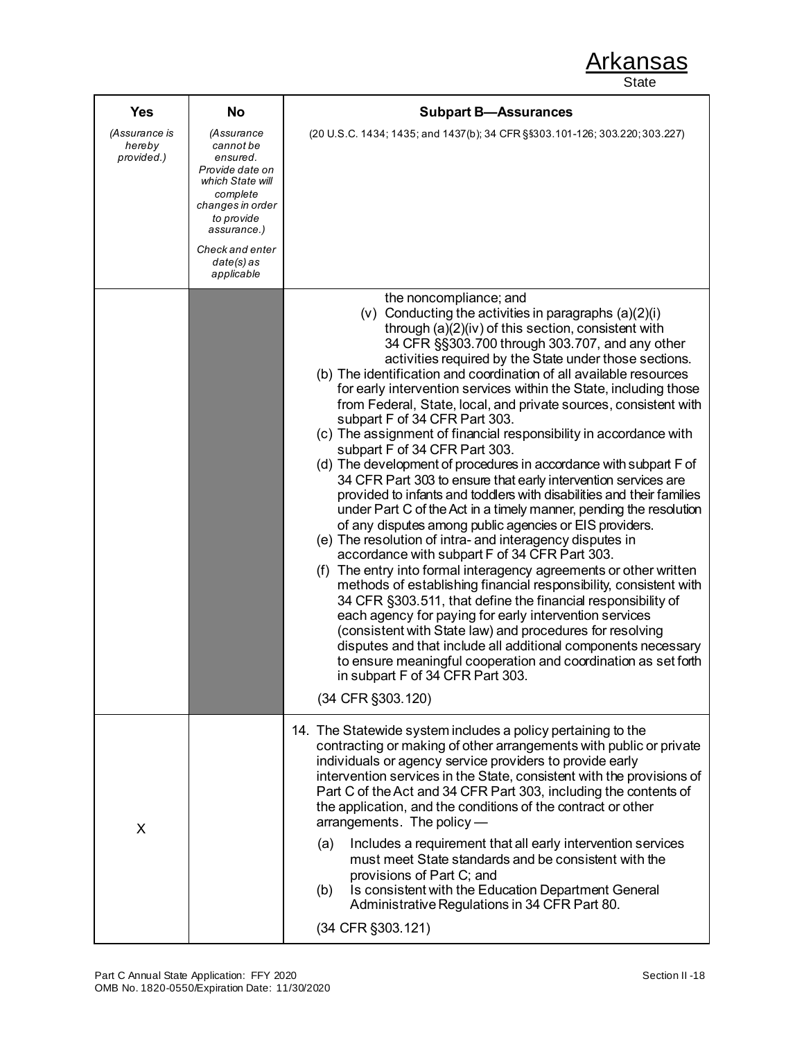| <b>Yes</b>                            | No                                                                                                                                                                                       | <b>Subpart B-Assurances</b>                                                                                                                                                                                                                                                                                                                                                                                                                                                                                                                                                                                                                                                                                                                                                                                                                                                                                                                                                                                                                                                                                                                                                                                                                                                                                                                                                                                                                                                                                                                                                                           |  |  |  |
|---------------------------------------|------------------------------------------------------------------------------------------------------------------------------------------------------------------------------------------|-------------------------------------------------------------------------------------------------------------------------------------------------------------------------------------------------------------------------------------------------------------------------------------------------------------------------------------------------------------------------------------------------------------------------------------------------------------------------------------------------------------------------------------------------------------------------------------------------------------------------------------------------------------------------------------------------------------------------------------------------------------------------------------------------------------------------------------------------------------------------------------------------------------------------------------------------------------------------------------------------------------------------------------------------------------------------------------------------------------------------------------------------------------------------------------------------------------------------------------------------------------------------------------------------------------------------------------------------------------------------------------------------------------------------------------------------------------------------------------------------------------------------------------------------------------------------------------------------------|--|--|--|
| (Assurance is<br>hereby<br>provided.) | (Assurance<br>cannot be<br>ensured.<br>Provide date on<br>which State will<br>complete<br>changes in order<br>to provide<br>assurance.)<br>Check and enter<br>$date(s)$ as<br>applicable | (20 U.S.C. 1434; 1435; and 1437(b); 34 CFR §§303.101-126; 303.220; 303.227)                                                                                                                                                                                                                                                                                                                                                                                                                                                                                                                                                                                                                                                                                                                                                                                                                                                                                                                                                                                                                                                                                                                                                                                                                                                                                                                                                                                                                                                                                                                           |  |  |  |
|                                       |                                                                                                                                                                                          | the noncompliance; and<br>(v) Conducting the activities in paragraphs $(a)(2)(i)$<br>through (a)(2)(iv) of this section, consistent with<br>34 CFR §§303.700 through 303.707, and any other<br>activities required by the State under those sections.<br>(b) The identification and coordination of all available resources<br>for early intervention services within the State, including those<br>from Federal, State, local, and private sources, consistent with<br>subpart F of 34 CFR Part 303.<br>(c) The assignment of financial responsibility in accordance with<br>subpart F of 34 CFR Part 303.<br>(d) The development of procedures in accordance with subpart F of<br>34 CFR Part 303 to ensure that early intervention services are<br>provided to infants and toddlers with disabilities and their families<br>under Part C of the Act in a timely manner, pending the resolution<br>of any disputes among public agencies or EIS providers.<br>(e) The resolution of intra- and interagency disputes in<br>accordance with subpart F of 34 CFR Part 303.<br>(f) The entry into formal interagency agreements or other written<br>methods of establishing financial responsibility, consistent with<br>34 CFR §303.511, that define the financial responsibility of<br>each agency for paying for early intervention services<br>(consistent with State law) and procedures for resolving<br>disputes and that include all additional components necessary<br>to ensure meaningful cooperation and coordination as set forth<br>in subpart F of 34 CFR Part 303.<br>(34 CFR §303.120) |  |  |  |
| X                                     |                                                                                                                                                                                          | 14. The Statewide system includes a policy pertaining to the<br>contracting or making of other arrangements with public or private<br>individuals or agency service providers to provide early<br>intervention services in the State, consistent with the provisions of<br>Part C of the Act and 34 CFR Part 303, including the contents of<br>the application, and the conditions of the contract or other<br>arrangements. The policy -<br>Includes a requirement that all early intervention services<br>(a)<br>must meet State standards and be consistent with the<br>provisions of Part C; and<br>Is consistent with the Education Department General<br>(b)<br>Administrative Regulations in 34 CFR Part 80.<br>(34 CFR §303.121)                                                                                                                                                                                                                                                                                                                                                                                                                                                                                                                                                                                                                                                                                                                                                                                                                                                              |  |  |  |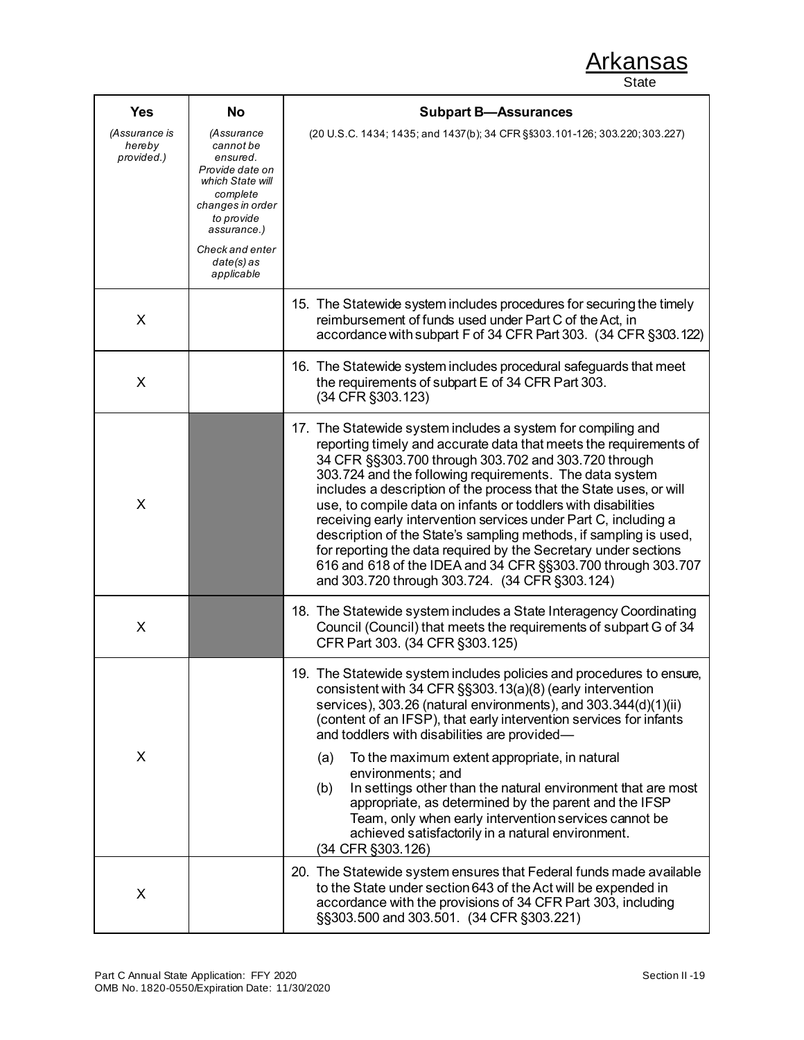| <b>Yes</b>                            | <b>No</b>                                                                                                                                                                                | <b>Subpart B-Assurances</b>                                                                                                                                                                                                                                                                                                                                                                                                                                                                                                                                                                                                                                                                                              |
|---------------------------------------|------------------------------------------------------------------------------------------------------------------------------------------------------------------------------------------|--------------------------------------------------------------------------------------------------------------------------------------------------------------------------------------------------------------------------------------------------------------------------------------------------------------------------------------------------------------------------------------------------------------------------------------------------------------------------------------------------------------------------------------------------------------------------------------------------------------------------------------------------------------------------------------------------------------------------|
| (Assurance is<br>hereby<br>provided.) | (Assurance<br>cannot be<br>ensured.<br>Provide date on<br>which State will<br>complete<br>changes in order<br>to provide<br>assurance.)<br>Check and enter<br>$date(s)$ as<br>applicable | (20 U.S.C. 1434; 1435; and 1437(b); 34 CFR §§303.101-126; 303.220; 303.227)                                                                                                                                                                                                                                                                                                                                                                                                                                                                                                                                                                                                                                              |
| X                                     |                                                                                                                                                                                          | 15. The Statewide system includes procedures for securing the timely<br>reimbursement of funds used under Part C of the Act, in<br>accordance with subpart F of 34 CFR Part 303. (34 CFR §303.122)                                                                                                                                                                                                                                                                                                                                                                                                                                                                                                                       |
| X                                     |                                                                                                                                                                                          | 16. The Statewide system includes procedural safeguards that meet<br>the requirements of subpart E of 34 CFR Part 303.<br>(34 CFR §303.123)                                                                                                                                                                                                                                                                                                                                                                                                                                                                                                                                                                              |
| X                                     |                                                                                                                                                                                          | 17. The Statewide system includes a system for compiling and<br>reporting timely and accurate data that meets the requirements of<br>34 CFR §§303.700 through 303.702 and 303.720 through<br>303.724 and the following requirements. The data system<br>includes a description of the process that the State uses, or will<br>use, to compile data on infants or toddlers with disabilities<br>receiving early intervention services under Part C, including a<br>description of the State's sampling methods, if sampling is used,<br>for reporting the data required by the Secretary under sections<br>616 and 618 of the IDEA and 34 CFR §§303.700 through 303.707<br>and 303.720 through 303.724. (34 CFR §303.124) |
| X                                     |                                                                                                                                                                                          | 18. The Statewide system includes a State Interagency Coordinating<br>Council (Council) that meets the requirements of subpart G of 34<br>CFR Part 303. (34 CFR §303.125)                                                                                                                                                                                                                                                                                                                                                                                                                                                                                                                                                |
| X                                     |                                                                                                                                                                                          | 19. The Statewide system includes policies and procedures to ensure,<br>consistent with 34 CFR §§303.13(a)(8) (early intervention<br>services), 303.26 (natural environments), and 303.344(d)(1)(ii)<br>(content of an IFSP), that early intervention services for infants<br>and toddlers with disabilities are provided-<br>(a)<br>To the maximum extent appropriate, in natural<br>environments; and<br>In settings other than the natural environment that are most<br>(b)<br>appropriate, as determined by the parent and the IFSP<br>Team, only when early intervention services cannot be<br>achieved satisfactorily in a natural environment.<br>(34 CFR §303.126)                                               |
| X                                     |                                                                                                                                                                                          | 20. The Statewide system ensures that Federal funds made available<br>to the State under section 643 of the Act will be expended in<br>accordance with the provisions of 34 CFR Part 303, including<br>§§303.500 and 303.501. (34 CFR §303.221)                                                                                                                                                                                                                                                                                                                                                                                                                                                                          |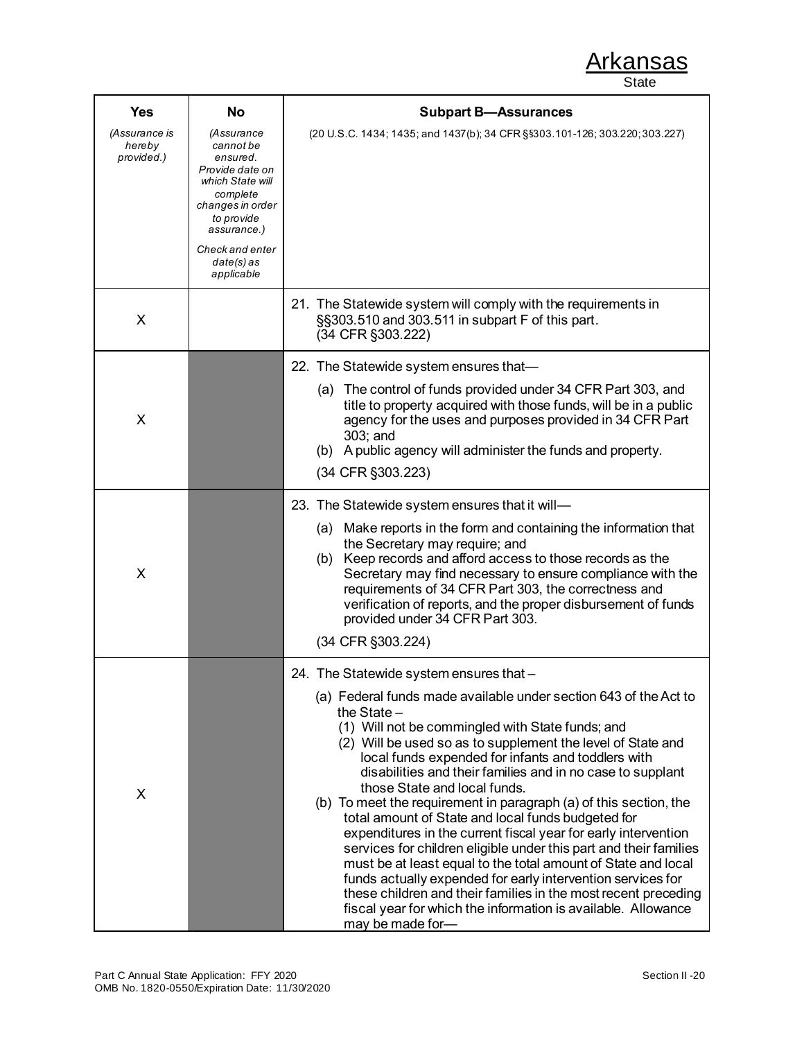| <b>Yes</b>                            | No                                                                                                                                                                                            | <b>Subpart B-Assurances</b>                                                                                                                                                                                                                                                                                                                                                                                                                                                                                                                                                                                                                                                                                                                                                                                                                                                                                                                                  |  |  |  |
|---------------------------------------|-----------------------------------------------------------------------------------------------------------------------------------------------------------------------------------------------|--------------------------------------------------------------------------------------------------------------------------------------------------------------------------------------------------------------------------------------------------------------------------------------------------------------------------------------------------------------------------------------------------------------------------------------------------------------------------------------------------------------------------------------------------------------------------------------------------------------------------------------------------------------------------------------------------------------------------------------------------------------------------------------------------------------------------------------------------------------------------------------------------------------------------------------------------------------|--|--|--|
| (Assurance is<br>hereby<br>provided.) | <i>(Assurance</i><br>cannot be<br>ensured.<br>Provide date on<br>which State will<br>complete<br>changes in order<br>to provide<br>assurance.)<br>Check and enter<br>date(s) as<br>applicable | (20 U.S.C. 1434; 1435; and 1437(b); 34 CFR §§303.101-126; 303.220; 303.227)                                                                                                                                                                                                                                                                                                                                                                                                                                                                                                                                                                                                                                                                                                                                                                                                                                                                                  |  |  |  |
| X                                     |                                                                                                                                                                                               | 21. The Statewide system will comply with the requirements in<br>§§303.510 and 303.511 in subpart F of this part.<br>(34 CFR §303.222)                                                                                                                                                                                                                                                                                                                                                                                                                                                                                                                                                                                                                                                                                                                                                                                                                       |  |  |  |
| X                                     |                                                                                                                                                                                               | 22. The Statewide system ensures that-<br>The control of funds provided under 34 CFR Part 303, and<br>(a)<br>title to property acquired with those funds, will be in a public<br>agency for the uses and purposes provided in 34 CFR Part<br>303; and<br>(b) A public agency will administer the funds and property.<br>(34 CFR §303.223)                                                                                                                                                                                                                                                                                                                                                                                                                                                                                                                                                                                                                    |  |  |  |
| X                                     |                                                                                                                                                                                               | 23. The Statewide system ensures that it will-<br>(a) Make reports in the form and containing the information that<br>the Secretary may require; and<br>(b) Keep records and afford access to those records as the<br>Secretary may find necessary to ensure compliance with the<br>requirements of 34 CFR Part 303, the correctness and<br>verification of reports, and the proper disbursement of funds<br>provided under 34 CFR Part 303.<br>(34 CFR §303.224)                                                                                                                                                                                                                                                                                                                                                                                                                                                                                            |  |  |  |
| X                                     |                                                                                                                                                                                               | 24. The Statewide system ensures that -<br>(a) Federal funds made available under section 643 of the Act to<br>the State $-$<br>(1) Will not be commingled with State funds; and<br>(2) Will be used so as to supplement the level of State and<br>local funds expended for infants and toddlers with<br>disabilities and their families and in no case to supplant<br>those State and local funds.<br>(b) To meet the requirement in paragraph (a) of this section, the<br>total amount of State and local funds budgeted for<br>expenditures in the current fiscal year for early intervention<br>services for children eligible under this part and their families<br>must be at least equal to the total amount of State and local<br>funds actually expended for early intervention services for<br>these children and their families in the most recent preceding<br>fiscal year for which the information is available. Allowance<br>may be made for- |  |  |  |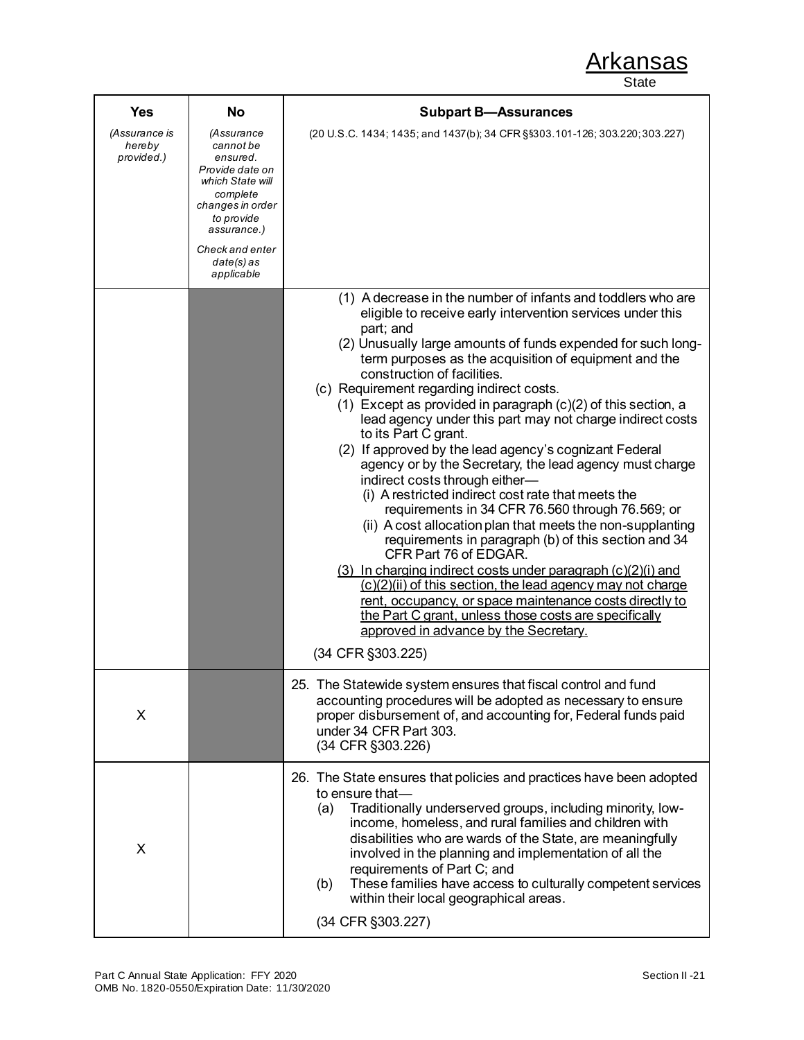| <b>Yes</b>                            | <b>No</b>                                                                                                                                                                                       | <b>Subpart B-Assurances</b>                                                                                                                                                                                                                                                                                                                                                                                                                                                                                                                                                                                                                                                                                                                                                                                                                                                                                                                                                                                                                                                                                                                                                                                                                |  |  |  |
|---------------------------------------|-------------------------------------------------------------------------------------------------------------------------------------------------------------------------------------------------|--------------------------------------------------------------------------------------------------------------------------------------------------------------------------------------------------------------------------------------------------------------------------------------------------------------------------------------------------------------------------------------------------------------------------------------------------------------------------------------------------------------------------------------------------------------------------------------------------------------------------------------------------------------------------------------------------------------------------------------------------------------------------------------------------------------------------------------------------------------------------------------------------------------------------------------------------------------------------------------------------------------------------------------------------------------------------------------------------------------------------------------------------------------------------------------------------------------------------------------------|--|--|--|
| (Assurance is<br>hereby<br>provided.) | <i>(Assurance</i><br>cannot be<br>ensured.<br>Provide date on<br>which State will<br>complete<br>changes in order<br>to provide<br>assurance.)<br>Check and enter<br>$date(s)$ as<br>applicable | (20 U.S.C. 1434; 1435; and 1437(b); 34 CFR §§303.101-126; 303.220; 303.227)                                                                                                                                                                                                                                                                                                                                                                                                                                                                                                                                                                                                                                                                                                                                                                                                                                                                                                                                                                                                                                                                                                                                                                |  |  |  |
|                                       |                                                                                                                                                                                                 | (1) A decrease in the number of infants and toddlers who are<br>eligible to receive early intervention services under this<br>part; and<br>(2) Unusually large amounts of funds expended for such long-<br>term purposes as the acquisition of equipment and the<br>construction of facilities.<br>(c) Requirement regarding indirect costs.<br>$(1)$ Except as provided in paragraph $(c)(2)$ of this section, a<br>lead agency under this part may not charge indirect costs<br>to its Part C grant.<br>(2) If approved by the lead agency's cognizant Federal<br>agency or by the Secretary, the lead agency must charge<br>indirect costs through either-<br>(i) A restricted indirect cost rate that meets the<br>requirements in 34 CFR 76.560 through 76.569; or<br>(ii) A cost allocation plan that meets the non-supplanting<br>requirements in paragraph (b) of this section and 34<br>CFR Part 76 of EDGAR.<br>$(3)$ In charging indirect costs under paragraph $(c)(2)(i)$ and<br>(c)(2)(ii) of this section, the lead agency may not charge<br>rent, occupancy, or space maintenance costs directly to<br>the Part C grant, unless those costs are specifically<br>approved in advance by the Secretary.<br>(34 CFR §303.225) |  |  |  |
| X                                     |                                                                                                                                                                                                 | 25. The Statewide system ensures that fiscal control and fund<br>accounting procedures will be adopted as necessary to ensure<br>proper disbursement of, and accounting for, Federal funds paid<br>under 34 CFR Part 303.<br>(34 CFR §303.226)                                                                                                                                                                                                                                                                                                                                                                                                                                                                                                                                                                                                                                                                                                                                                                                                                                                                                                                                                                                             |  |  |  |
| X                                     |                                                                                                                                                                                                 | 26. The State ensures that policies and practices have been adopted<br>to ensure that-<br>Traditionally underserved groups, including minority, low-<br>(a)<br>income, homeless, and rural families and children with<br>disabilities who are wards of the State, are meaningfully<br>involved in the planning and implementation of all the<br>requirements of Part C; and<br>These families have access to culturally competent services<br>(b)<br>within their local geographical areas.<br>(34 CFR §303.227)                                                                                                                                                                                                                                                                                                                                                                                                                                                                                                                                                                                                                                                                                                                           |  |  |  |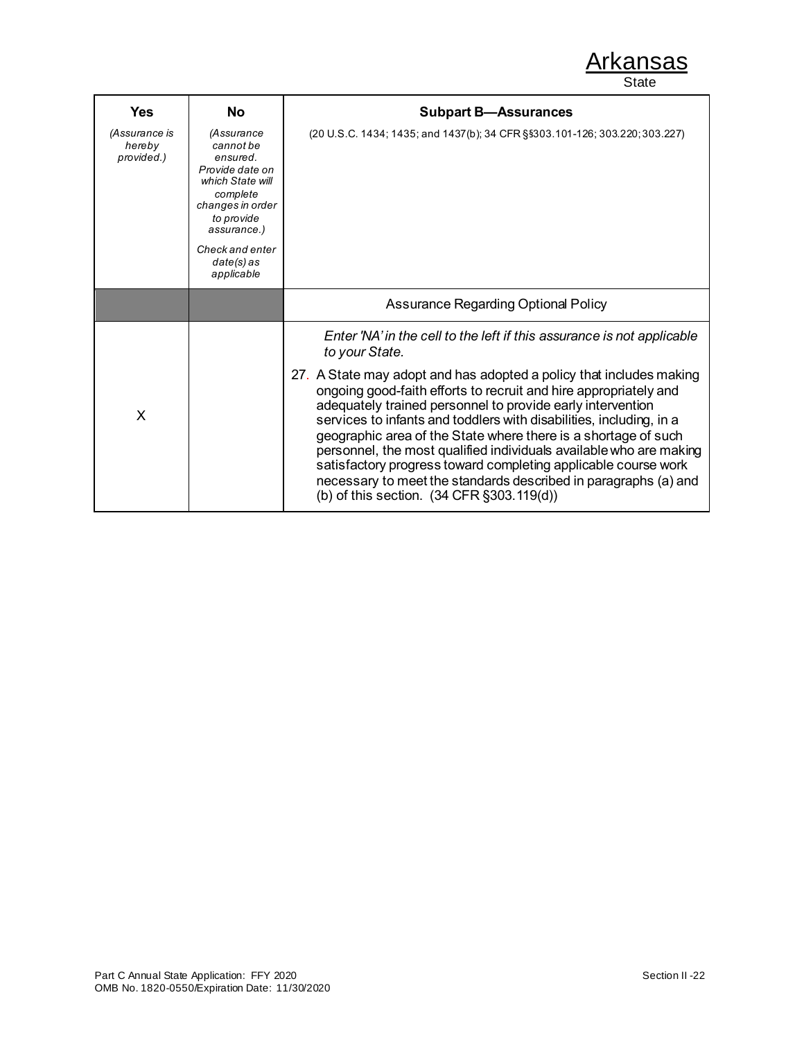| Yes                                   | No                                                                                                                                      | <b>Subpart B-Assurances</b>                                                                                                                                                                                                                                                                                                                                                                                                                                                                                                                                                                                                                                                                                     |  |  |  |
|---------------------------------------|-----------------------------------------------------------------------------------------------------------------------------------------|-----------------------------------------------------------------------------------------------------------------------------------------------------------------------------------------------------------------------------------------------------------------------------------------------------------------------------------------------------------------------------------------------------------------------------------------------------------------------------------------------------------------------------------------------------------------------------------------------------------------------------------------------------------------------------------------------------------------|--|--|--|
| (Assurance is<br>hereby<br>provided.) | (Assurance<br>cannot be<br>ensured.<br>Provide date on<br>which State will<br>complete<br>changes in order<br>to provide<br>assurance.) | (20 U.S.C. 1434; 1435; and 1437(b); 34 CFR §§303.101-126; 303.220; 303.227)                                                                                                                                                                                                                                                                                                                                                                                                                                                                                                                                                                                                                                     |  |  |  |
|                                       | Check and enter<br>$date(s)$ as<br>applicable                                                                                           |                                                                                                                                                                                                                                                                                                                                                                                                                                                                                                                                                                                                                                                                                                                 |  |  |  |
|                                       |                                                                                                                                         | Assurance Regarding Optional Policy                                                                                                                                                                                                                                                                                                                                                                                                                                                                                                                                                                                                                                                                             |  |  |  |
| X                                     |                                                                                                                                         | Enter 'NA' in the cell to the left if this assurance is not applicable<br>to your State.<br>27. A State may adopt and has adopted a policy that includes making<br>ongoing good-faith efforts to recruit and hire appropriately and<br>adequately trained personnel to provide early intervention<br>services to infants and toddlers with disabilities, including, in a<br>geographic area of the State where there is a shortage of such<br>personnel, the most qualified individuals available who are making<br>satisfactory progress toward completing applicable course work<br>necessary to meet the standards described in paragraphs (a) and<br>(b) of this section. $(34 \text{ CFR } \S 303.119(d))$ |  |  |  |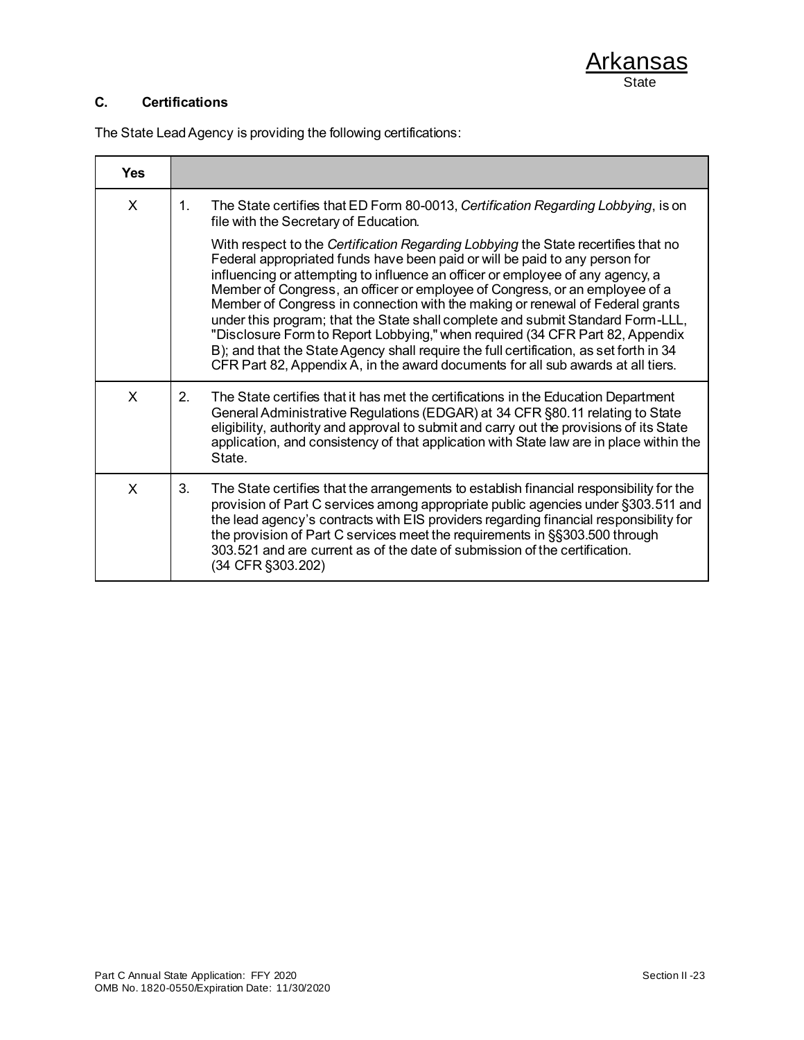### **C. Certifications**

The State Lead Agency is providing the following certifications:

| <b>Yes</b> |                                                                                                                                                                                                                                                                                                                                                                                                                                                                                                                                                                                                                                                                                                                                                                       |
|------------|-----------------------------------------------------------------------------------------------------------------------------------------------------------------------------------------------------------------------------------------------------------------------------------------------------------------------------------------------------------------------------------------------------------------------------------------------------------------------------------------------------------------------------------------------------------------------------------------------------------------------------------------------------------------------------------------------------------------------------------------------------------------------|
| X          | The State certifies that ED Form 80-0013, Certification Regarding Lobbying, is on<br>$\mathbf{1}$ .<br>file with the Secretary of Education.                                                                                                                                                                                                                                                                                                                                                                                                                                                                                                                                                                                                                          |
|            | With respect to the Certification Regarding Lobbying the State recertifies that no<br>Federal appropriated funds have been paid or will be paid to any person for<br>influencing or attempting to influence an officer or employee of any agency, a<br>Member of Congress, an officer or employee of Congress, or an employee of a<br>Member of Congress in connection with the making or renewal of Federal grants<br>under this program; that the State shall complete and submit Standard Form-LLL,<br>"Disclosure Form to Report Lobbying," when required (34 CFR Part 82, Appendix<br>B); and that the State Agency shall require the full certification, as set forth in 34<br>CFR Part 82, Appendix A, in the award documents for all sub awards at all tiers. |
| X          | 2.<br>The State certifies that it has met the certifications in the Education Department<br>General Administrative Regulations (EDGAR) at 34 CFR §80.11 relating to State<br>eligibility, authority and approval to submit and carry out the provisions of its State<br>application, and consistency of that application with State law are in place within the<br>State.                                                                                                                                                                                                                                                                                                                                                                                             |
| X          | 3.<br>The State certifies that the arrangements to establish financial responsibility for the<br>provision of Part C services among appropriate public agencies under §303.511 and<br>the lead agency's contracts with EIS providers regarding financial responsibility for<br>the provision of Part C services meet the requirements in §§303.500 through<br>303.521 and are current as of the date of submission of the certification.<br>(34 CFR §303.202)                                                                                                                                                                                                                                                                                                         |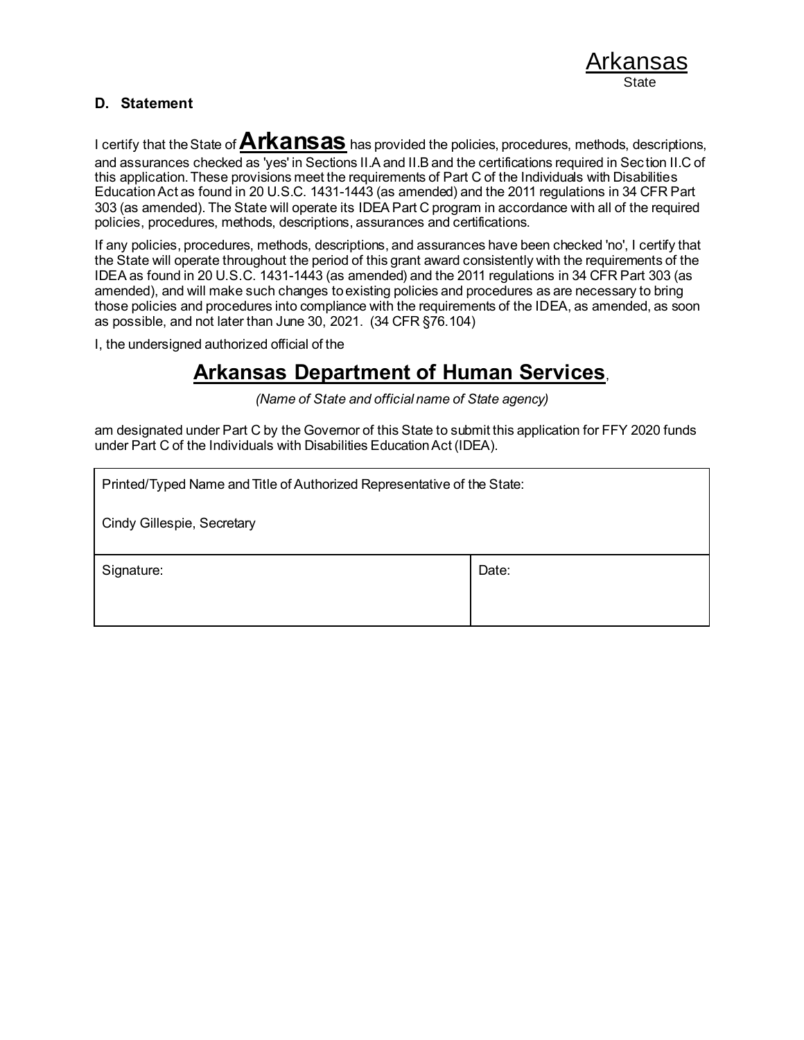#### **D. Statement**

I certify that the State of **Arkansas** has provided the policies, procedures, methods, descriptions, and assurances checked as 'yes' in Sections II.A and II.B and the certifications required in Sec tion II.C of this application. These provisions meet the requirements of Part C of the Individuals with Disabilities Education Act as found in 20 U.S.C. 1431-1443 (as amended) and the 2011 regulations in 34 CFR Part 303 (as amended). The State will operate its IDEA Part C program in accordance with all of the required policies, procedures, methods, descriptions, assurances and certifications.

If any policies, procedures, methods, descriptions, and assurances have been checked 'no', I certify that the State will operate throughout the period of this grant award consistently with the requirements of the IDEA as found in 20 U.S.C. 1431-1443 (as amended) and the 2011 regulations in 34 CFR Part 303 (as amended), and will make such changes to existing policies and procedures as are necessary to bring those policies and procedures into compliance with the requirements of the IDEA, as amended, as soon as possible, and not later than June 30, 2021. (34 CFR §76.104)

I, the undersigned authorized official of the

# **Arkansas Department of Human Services**,

*(Name of State and official name of State agency)*

am designated under Part C by the Governor of this State to submit this application for FFY 2020 funds under Part C of the Individuals with Disabilities Education Act (IDEA).

| Printed/Typed Name and Title of Authorized Representative of the State: |       |  |
|-------------------------------------------------------------------------|-------|--|
| Cindy Gillespie, Secretary                                              |       |  |
| Signature:                                                              | Date: |  |
|                                                                         |       |  |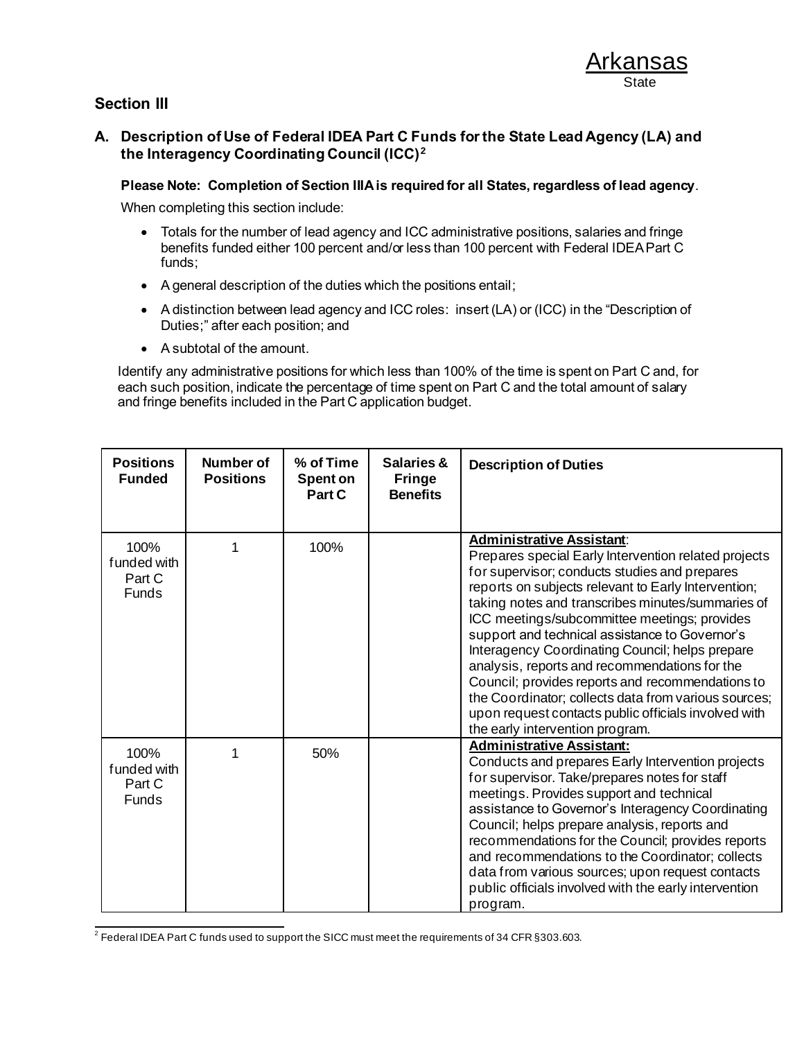### **Section III**

#### **A. Description of Use of Federal IDEA Part C Funds for the State Lead Agency (LA) and the Interagency Coordinating Council (ICC)<sup>2</sup>**

#### **Please Note: Completion of Section IIIA is required for all States, regardless of lead agency**.

When completing this section include:

- Totals for the number of lead agency and ICC administrative positions, salaries and fringe benefits funded either 100 percent and/or less than 100 percent with Federal IDEA Part C funds;
- A general description of the duties which the positions entail;
- A distinction between lead agency and ICC roles: insert (LA) or (ICC) in the "Description of Duties;" after each position; and
- A subtotal of the amount.

Identify any administrative positions for which less than 100% of the time is spent on Part C and, for each such position, indicate the percentage of time spent on Part C and the total amount of salary and fringe benefits included in the Part C application budget.

| <b>Positions</b><br><b>Funded</b>              | Number of<br><b>Positions</b> | % of Time<br>Spent on<br>Part C | Salaries &<br><b>Fringe</b><br><b>Benefits</b> | <b>Description of Duties</b>                                                                                                                                                                                                                                                                                                                                                                                                                                                                                                                                                                                                                                       |
|------------------------------------------------|-------------------------------|---------------------------------|------------------------------------------------|--------------------------------------------------------------------------------------------------------------------------------------------------------------------------------------------------------------------------------------------------------------------------------------------------------------------------------------------------------------------------------------------------------------------------------------------------------------------------------------------------------------------------------------------------------------------------------------------------------------------------------------------------------------------|
| 100%<br>f unded with<br>Part C<br><b>Funds</b> |                               | 100%                            |                                                | <b>Administrative Assistant:</b><br>Prepares special Early Intervention related projects<br>for supervisor; conducts studies and prepares<br>reports on subjects relevant to Early Intervention;<br>taking notes and transcribes minutes/summaries of<br>ICC meetings/subcommittee meetings; provides<br>support and technical assistance to Governor's<br>Interagency Coordinating Council; helps prepare<br>analysis, reports and recommendations for the<br>Council; provides reports and recommendations to<br>the Coordinator; collects data from various sources;<br>upon request contacts public officials involved with<br>the early intervention program. |
| 100%<br>funded with<br>Part C<br><b>Funds</b>  |                               | 50%                             |                                                | <b>Administrative Assistant:</b><br>Conducts and prepares Early Intervention projects<br>for supervisor. Take/prepares notes for staff<br>meetings. Provides support and technical<br>assistance to Governor's Interagency Coordinating<br>Council; helps prepare analysis, reports and<br>recommendations for the Council; provides reports<br>and recommendations to the Coordinator; collects<br>data from various sources; upon request contacts<br>public officials involved with the early intervention<br>program.                                                                                                                                          |

 $^2$  Federal IDEA Part C funds used to support the SICC must meet the requirements of 34 CFR §303.603.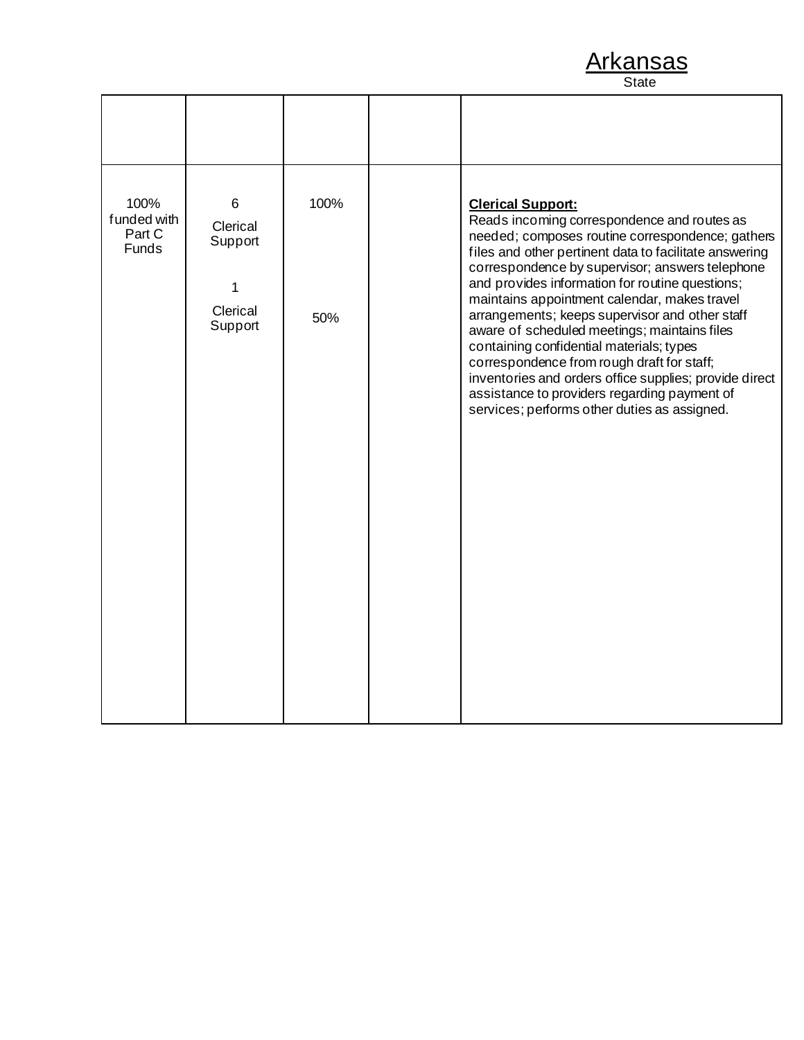| 100%<br>funded with<br>Part C<br><b>Funds</b> | 6<br>Clerical<br>Support<br>1<br>Clerical<br>Support | 100%<br>50% | <b>Clerical Support:</b><br>Reads incoming correspondence and routes as<br>needed; composes routine correspondence; gathers<br>files and other pertinent data to facilitate answering<br>correspondence by supervisor; answers telephone<br>and provides information for routine questions;<br>maintains appointment calendar, makes travel<br>arrangements; keeps supervisor and other staff<br>aware of scheduled meetings; maintains files<br>containing confidential materials; types<br>correspondence from rough draft for staff;<br>inventories and orders office supplies; provide direct<br>assistance to providers regarding payment of<br>services; performs other duties as assigned. |
|-----------------------------------------------|------------------------------------------------------|-------------|---------------------------------------------------------------------------------------------------------------------------------------------------------------------------------------------------------------------------------------------------------------------------------------------------------------------------------------------------------------------------------------------------------------------------------------------------------------------------------------------------------------------------------------------------------------------------------------------------------------------------------------------------------------------------------------------------|
|                                               |                                                      |             |                                                                                                                                                                                                                                                                                                                                                                                                                                                                                                                                                                                                                                                                                                   |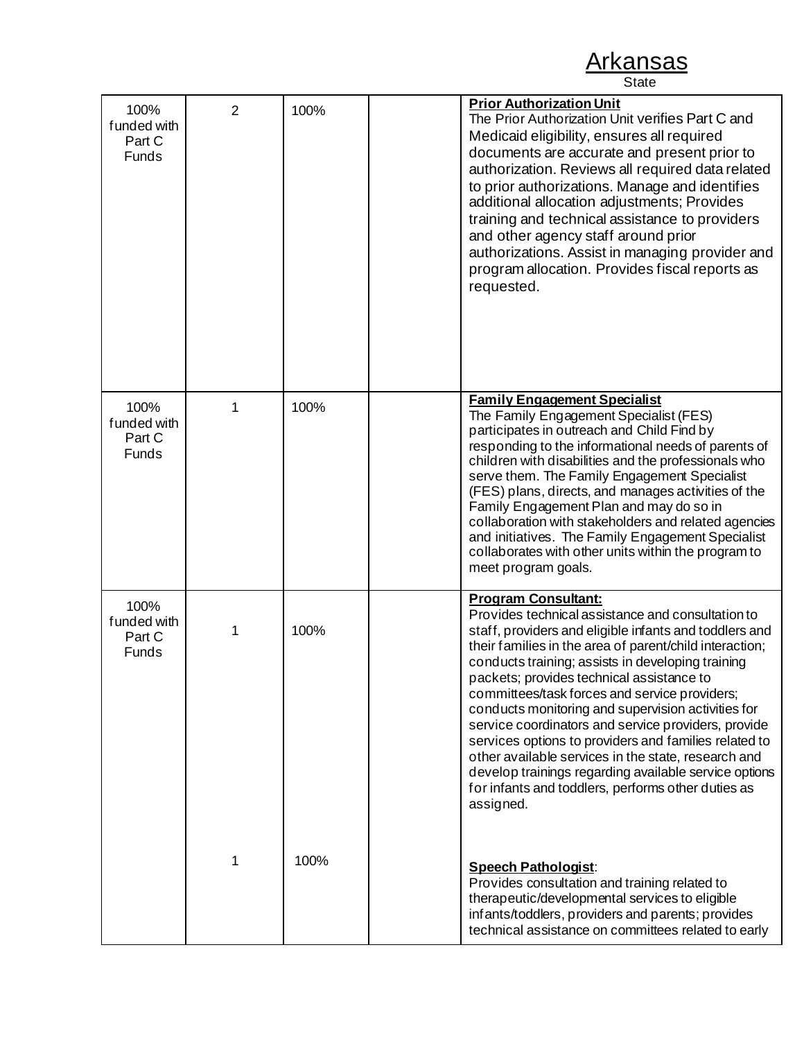| 100%<br>funded with<br>Part C<br>Funds | $\overline{2}$ | 100% | <b>Prior Authorization Unit</b><br>The Prior Authorization Unit verifies Part C and<br>Medicaid eligibility, ensures all required<br>documents are accurate and present prior to<br>authorization. Reviews all required data related<br>to prior authorizations. Manage and identifies<br>additional allocation adjustments; Provides<br>training and technical assistance to providers<br>and other agency staff around prior<br>authorizations. Assist in managing provider and<br>program allocation. Provides fiscal reports as<br>requested.                                                                                                                                                                |
|----------------------------------------|----------------|------|------------------------------------------------------------------------------------------------------------------------------------------------------------------------------------------------------------------------------------------------------------------------------------------------------------------------------------------------------------------------------------------------------------------------------------------------------------------------------------------------------------------------------------------------------------------------------------------------------------------------------------------------------------------------------------------------------------------|
| 100%<br>funded with<br>Part C<br>Funds | 1              | 100% | <b>Family Engagement Specialist</b><br>The Family Engagement Specialist (FES)<br>participates in outreach and Child Find by<br>responding to the informational needs of parents of<br>children with disabilities and the professionals who<br>serve them. The Family Engagement Specialist<br>(FES) plans, directs, and manages activities of the<br>Family Engagement Plan and may do so in<br>collaboration with stakeholders and related agencies<br>and initiatives. The Family Engagement Specialist<br>collaborates with other units within the program to<br>meet program goals.                                                                                                                          |
| 100%<br>funded with<br>Part C<br>Funds | 1              | 100% | <b>Program Consultant:</b><br>Provides technical assistance and consultation to<br>staff, providers and eligible infants and toddlers and<br>their families in the area of parent/child interaction;<br>conducts training; assists in developing training<br>packets; provides technical assistance to<br>committees/task forces and service providers;<br>conducts monitoring and supervision activities for<br>service coordinators and service providers, provide<br>services options to providers and families related to<br>other available services in the state, research and<br>develop trainings regarding available service options<br>for infants and toddlers, performs other duties as<br>assigned. |
|                                        |                | 100% | <b>Speech Pathologist:</b><br>Provides consultation and training related to<br>therapeutic/developmental services to eligible<br>infants/toddlers, providers and parents; provides<br>technical assistance on committees related to early                                                                                                                                                                                                                                                                                                                                                                                                                                                                        |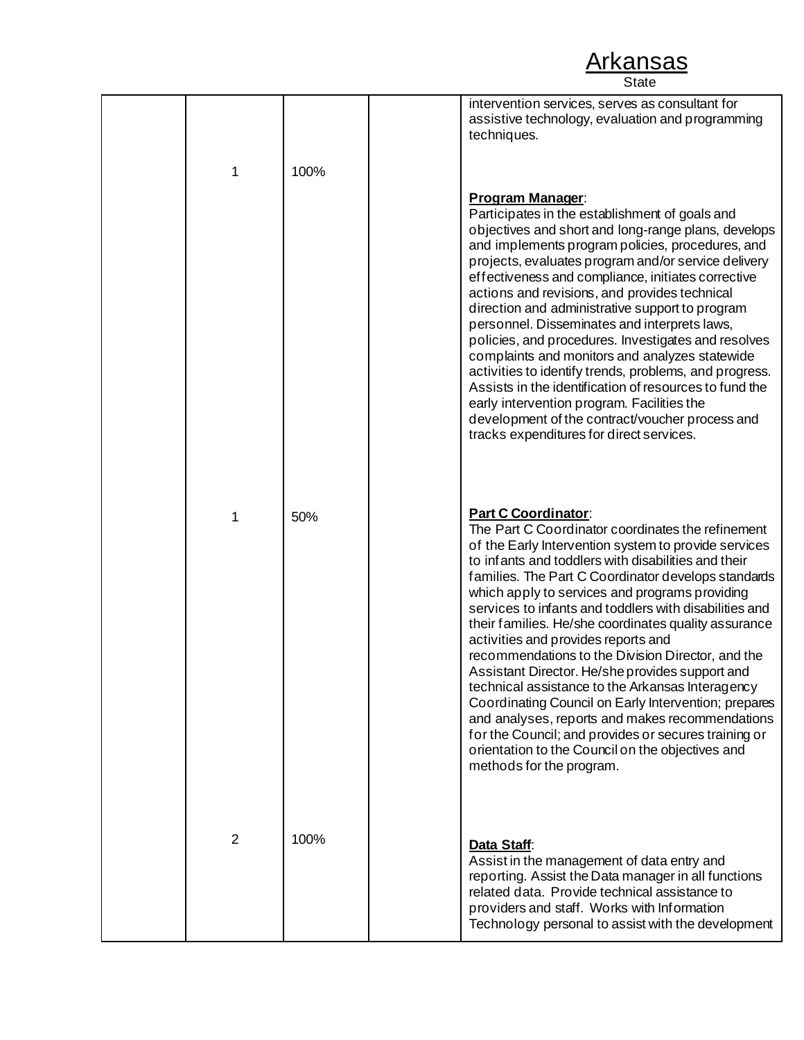|                |      | intervention services, serves as consultant for<br>assistive technology, evaluation and programming<br>techniques.                                                                                                                                                                                                                                                                                                                                                                                                                                                                                                                                                                                                                                                                                                                                                              |
|----------------|------|---------------------------------------------------------------------------------------------------------------------------------------------------------------------------------------------------------------------------------------------------------------------------------------------------------------------------------------------------------------------------------------------------------------------------------------------------------------------------------------------------------------------------------------------------------------------------------------------------------------------------------------------------------------------------------------------------------------------------------------------------------------------------------------------------------------------------------------------------------------------------------|
| 1              | 100% |                                                                                                                                                                                                                                                                                                                                                                                                                                                                                                                                                                                                                                                                                                                                                                                                                                                                                 |
|                |      | <b>Program Manager:</b><br>Participates in the establishment of goals and<br>objectives and short and long-range plans, develops<br>and implements program policies, procedures, and<br>projects, evaluates program and/or service delivery<br>effectiveness and compliance, initiates corrective<br>actions and revisions, and provides technical<br>direction and administrative support to program<br>personnel. Disseminates and interprets laws,<br>policies, and procedures. Investigates and resolves<br>complaints and monitors and analyzes statewide<br>activities to identify trends, problems, and progress.<br>Assists in the identification of resources to fund the<br>early intervention program. Facilities the<br>development of the contract/voucher process and<br>tracks expenditures for direct services.                                                 |
| 1              | 50%  | <b>Part C Coordinator:</b><br>The Part C Coordinator coordinates the refinement<br>of the Early Intervention system to provide services<br>to infants and toddlers with disabilities and their<br>families. The Part C Coordinator develops standards<br>which apply to services and programs providing<br>services to infants and toddlers with disabilities and<br>their families. He/she coordinates quality assurance<br>activities and provides reports and<br>recommendations to the Division Director, and the<br>Assistant Director. He/she provides support and<br>technical assistance to the Arkansas Interagency<br>Coordinating Council on Early Intervention; prepares<br>and analyses, reports and makes recommendations<br>for the Council; and provides or secures training or<br>orientation to the Council on the objectives and<br>methods for the program. |
| $\overline{2}$ | 100% | Data Staff:<br>Assist in the management of data entry and<br>reporting. Assist the Data manager in all functions<br>related data. Provide technical assistance to<br>providers and staff. Works with Information<br>Technology personal to assist with the development                                                                                                                                                                                                                                                                                                                                                                                                                                                                                                                                                                                                          |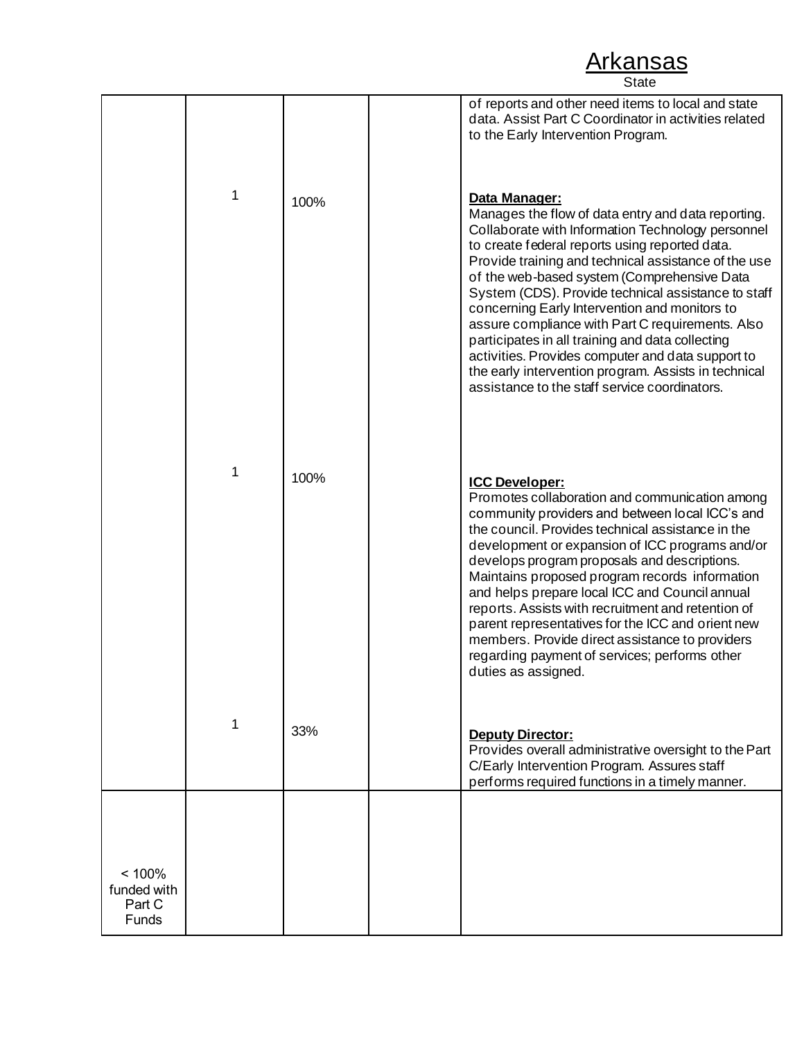|                                          |   |      | of reports and other need items to local and state<br>data. Assist Part C Coordinator in activities related<br>to the Early Intervention Program.                                                                                                                                                                                                                                                                                                                                                                                                                                                                                                               |
|------------------------------------------|---|------|-----------------------------------------------------------------------------------------------------------------------------------------------------------------------------------------------------------------------------------------------------------------------------------------------------------------------------------------------------------------------------------------------------------------------------------------------------------------------------------------------------------------------------------------------------------------------------------------------------------------------------------------------------------------|
|                                          | 1 | 100% | Data Manager:<br>Manages the flow of data entry and data reporting.<br>Collaborate with Information Technology personnel<br>to create federal reports using reported data.<br>Provide training and technical assistance of the use<br>of the web-based system (Comprehensive Data<br>System (CDS). Provide technical assistance to staff<br>concerning Early Intervention and monitors to<br>assure compliance with Part C requirements. Also<br>participates in all training and data collecting<br>activities. Provides computer and data support to<br>the early intervention program. Assists in technical<br>assistance to the staff service coordinators. |
|                                          | 1 | 100% | <b>ICC Developer:</b><br>Promotes collaboration and communication among<br>community providers and between local ICC's and<br>the council. Provides technical assistance in the<br>development or expansion of ICC programs and/or<br>develops program proposals and descriptions.<br>Maintains proposed program records information<br>and helps prepare local ICC and Council annual<br>reports. Assists with recruitment and retention of<br>parent representatives for the ICC and orient new<br>members. Provide direct assistance to providers<br>regarding payment of services; performs other<br>duties as assigned.                                    |
|                                          | 1 | 33%  | Deputy Director:<br>Provides overall administrative oversight to the Part<br>C/Early Intervention Program. Assures staff<br>performs required functions in a timely manner.                                                                                                                                                                                                                                                                                                                                                                                                                                                                                     |
|                                          |   |      |                                                                                                                                                                                                                                                                                                                                                                                                                                                                                                                                                                                                                                                                 |
| < 100%<br>funded with<br>Part C<br>Funds |   |      |                                                                                                                                                                                                                                                                                                                                                                                                                                                                                                                                                                                                                                                                 |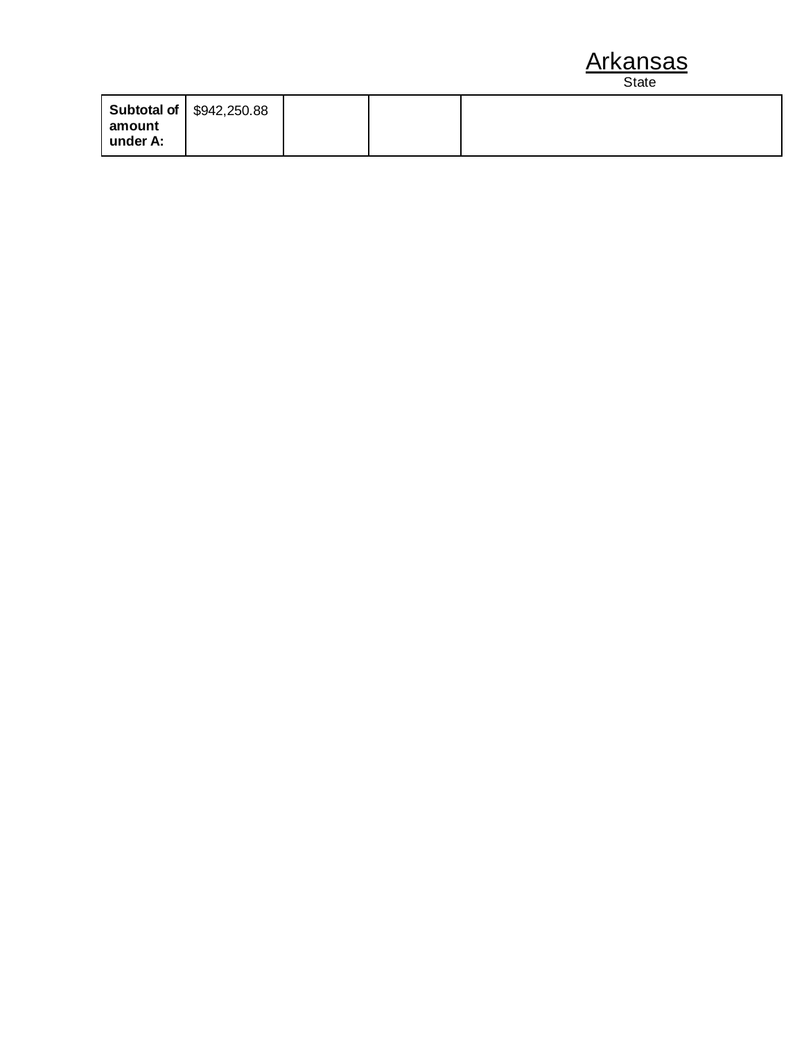|                    | Subtotal of   \$942,250.88 |  |  |
|--------------------|----------------------------|--|--|
| amount<br>under A: |                            |  |  |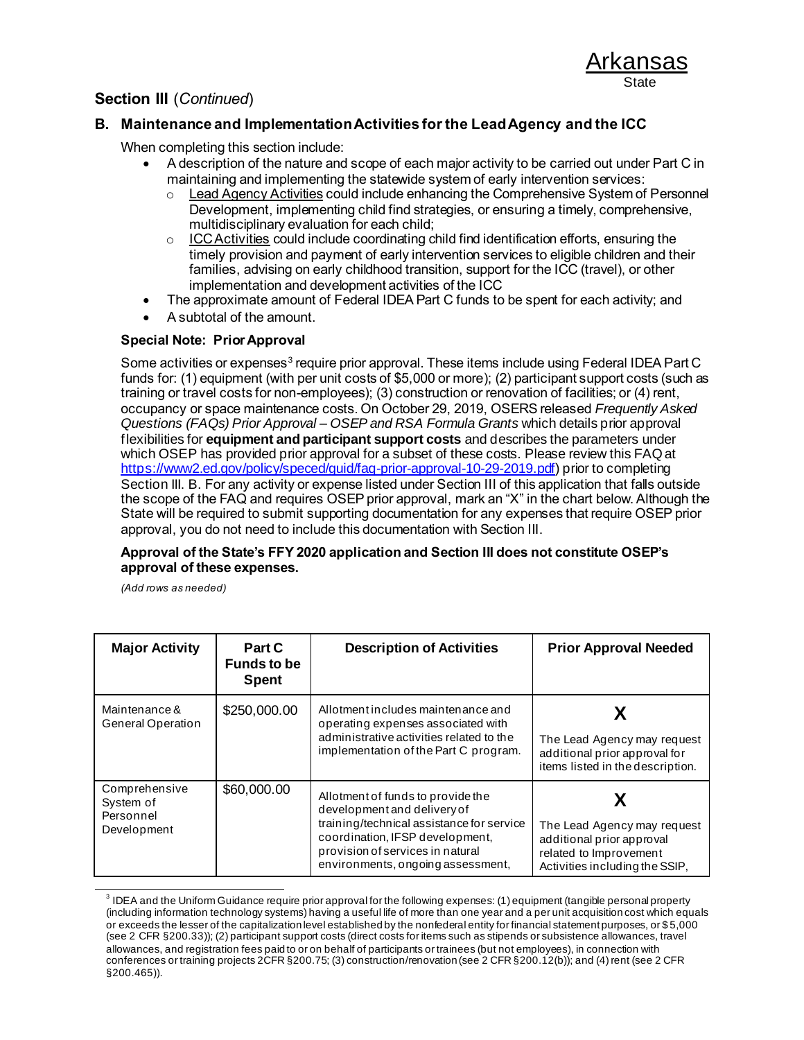### **B. Maintenance and Implementation Activities for the Lead Agency and the ICC**

When completing this section include:

- A description of the nature and scope of each major activity to be carried out under Part C in maintaining and implementing the statewide system of early intervention services:
	- o Lead Agency Activities could include enhancing the Comprehensive System of Personnel Development, implementing child find strategies, or ensuring a timely, comprehensive, multidisciplinary evaluation for each child;
	- $\circ$  ICC Activities could include coordinating child find identification efforts, ensuring the timely provision and payment of early intervention services to eligible children and their families, advising on early childhood transition, support for the ICC (travel), or other implementation and development activities of the ICC
- The approximate amount of Federal IDEA Part C funds to be spent for each activity; and
- A subtotal of the amount.

#### **Special Note: Prior Approval**

Some activities or expenses<sup>3</sup> require prior approval. These items include using Federal IDEA Part C funds for: (1) equipment (with per unit costs of \$5,000 or more); (2) participant support costs (such as training or travel costs for non-employees); (3) construction or renovation of facilities; or (4) rent, occupancy or space maintenance costs. On October 29, 2019, OSERS released *Frequently Asked Questions (FAQs) Prior Approval – OSEP and RSA Formula Grants* which details prior approval flexibilities for **equipment and participant support costs** and describes the parameters under which OSEP has provided prior approval for a subset of these costs. Please review this FAQ at <https://www2.ed.gov/policy/speced/guid/faq-prior-approval-10-29-2019.pdf>) prior to completing Section III. B. For any activity or expense listed under Section III of this application that falls outside the scope of the FAQ and requires OSEP prior approval, mark an "X" in the chart below. Although the State will be required to submit supporting documentation for any expenses that require OSEP prior approval, you do not need to include this documentation with Section III.

#### **Approval of the State's FFY 2020 application and Section III does not constitute OSEP's approval of these expenses.**

*(Add rows as needed)*

| <b>Major Activity</b>                                  | Part C<br><b>Funds to be</b><br><b>Spent</b> | <b>Description of Activities</b>                                                                                                                                                                                          | <b>Prior Approval Needed</b>                                                                                         |
|--------------------------------------------------------|----------------------------------------------|---------------------------------------------------------------------------------------------------------------------------------------------------------------------------------------------------------------------------|----------------------------------------------------------------------------------------------------------------------|
| Maintenance &<br>General Operation                     | \$250,000.00                                 | Allotment includes maintenance and<br>operating expenses associated with<br>administrative activities related to the<br>implementation of the Part C program.                                                             | The Lead Agency may request<br>additional prior approval for<br>items listed in the description.                     |
| Comprehensive<br>System of<br>Personnel<br>Development | \$60,000.00                                  | Allotment of funds to provide the<br>development and delivery of<br>training/technical assistance for service<br>coordination, IFSP development,<br>provision of services in natural<br>environments, ongoing assessment, | The Lead Agency may request<br>additional prior approval<br>related to Improvement<br>Activities including the SSIP, |

<sup>&</sup>lt;sup>3</sup> IDEA and the Uniform Guidance require prior approval for the following expenses: (1) equipment (tangible personal property (including information technology systems) having a useful life of more than one year and a per unit acquisition cost which equals or exceeds the lesser of the capitalization level established by the nonfederal entity for financial statement purposes, or \$ 5,000 (see 2 CFR §200.33)); (2) participant support costs (direct costs for items such as stipends or subsistence allowances, travel allowances, and registration fees paid to or on behalf of participants or trainees (but not employees), in connection with conferences or training projects 2CFR §200.75; (3) construction/renovation (see 2 CFR §200.12(b)); and (4) rent (see 2 CFR §200.465)).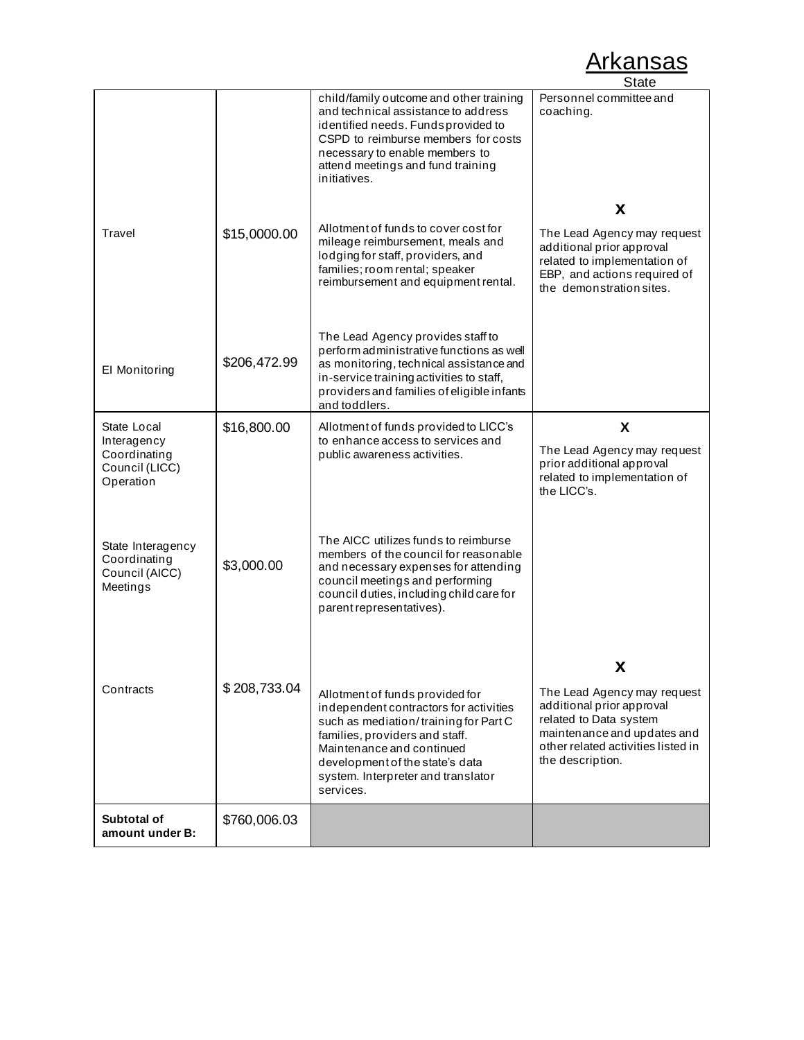|                                                                           |              |                                                                                                                                                                                                                                                                         | <b>State</b>                                                                                                                                                                |
|---------------------------------------------------------------------------|--------------|-------------------------------------------------------------------------------------------------------------------------------------------------------------------------------------------------------------------------------------------------------------------------|-----------------------------------------------------------------------------------------------------------------------------------------------------------------------------|
|                                                                           |              | child/family outcome and other training<br>and technical assistance to address<br>identified needs. Fundsprovided to<br>CSPD to reimburse members for costs<br>necessary to enable members to<br>attend meetings and fund training<br>initiatives.                      | Personnel committee and<br>coaching.                                                                                                                                        |
| Travel                                                                    | \$15,0000.00 | Allotment of funds to cover cost for<br>mileage reimbursement, meals and<br>lodging for staff, providers, and<br>families; room rental; speaker<br>reimbursement and equipment rental.                                                                                  | X<br>The Lead Agency may request<br>additional prior approval<br>related to implementation of<br>EBP, and actions required of<br>the demonstration sites.                   |
| El Monitoring                                                             | \$206,472.99 | The Lead Agency provides staff to<br>perform administrative functions as well<br>as monitoring, technical assistance and<br>in-service training activities to staff,<br>providers and families of eligible infants<br>and toddlers.                                     |                                                                                                                                                                             |
| State Local<br>Interagency<br>Coordinating<br>Council (LICC)<br>Operation | \$16,800.00  | Allotment of funds provided to LICC's<br>to enhance access to services and<br>public awareness activities.                                                                                                                                                              | X<br>The Lead Agency may request<br>prior additional approval<br>related to implementation of<br>the LICC's.                                                                |
| State Interagency<br>Coordinating<br>Council (AICC)<br>Meetings           | \$3,000.00   | The AICC utilizes funds to reimburse<br>members of the council for reasonable<br>and necessary expenses for attending<br>council meetings and performing<br>council duties, including child care for<br>parent representatives).                                        |                                                                                                                                                                             |
|                                                                           |              |                                                                                                                                                                                                                                                                         | X                                                                                                                                                                           |
| Contracts                                                                 | \$208,733.04 | Allotment of funds provided for<br>independent contractors for activities<br>such as mediation/training for Part C<br>families, providers and staff.<br>Maintenance and continued<br>development of the state's data<br>system. Interpreter and translator<br>services. | The Lead Agency may request<br>additional prior approval<br>related to Data system<br>maintenance and updates and<br>other related activities listed in<br>the description. |
| Subtotal of<br>amount under B:                                            | \$760,006.03 |                                                                                                                                                                                                                                                                         |                                                                                                                                                                             |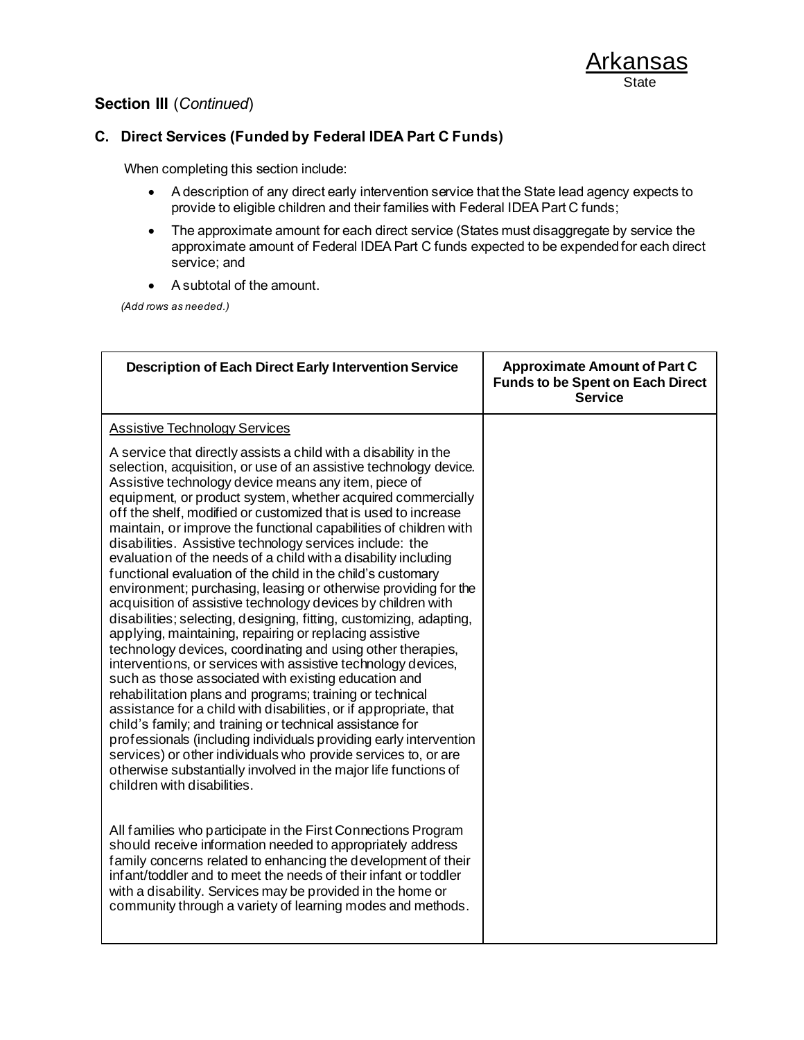### **C. Direct Services (Funded by Federal IDEA Part C Funds)**

When completing this section include:

- A description of any direct early intervention service that the State lead agency expects to provide to eligible children and their families with Federal IDEA Part C funds;
- The approximate amount for each direct service (States must disaggregate by service the approximate amount of Federal IDEA Part C funds expected to be expended for each direct service; and
- A subtotal of the amount.

*(Add rows as needed.)*

| <b>Description of Each Direct Early Intervention Service</b>                                                                                                                                                                                                                                                                                                                                                                                                                                                                                                                                                                                                                                                                                                                                                                                                                                                                                                                                                                                                                                                                                                                                                                                                                                                                                                                                                                                                                                        | <b>Approximate Amount of Part C</b><br><b>Funds to be Spent on Each Direct</b><br><b>Service</b> |
|-----------------------------------------------------------------------------------------------------------------------------------------------------------------------------------------------------------------------------------------------------------------------------------------------------------------------------------------------------------------------------------------------------------------------------------------------------------------------------------------------------------------------------------------------------------------------------------------------------------------------------------------------------------------------------------------------------------------------------------------------------------------------------------------------------------------------------------------------------------------------------------------------------------------------------------------------------------------------------------------------------------------------------------------------------------------------------------------------------------------------------------------------------------------------------------------------------------------------------------------------------------------------------------------------------------------------------------------------------------------------------------------------------------------------------------------------------------------------------------------------------|--------------------------------------------------------------------------------------------------|
| <b>Assistive Technology Services</b>                                                                                                                                                                                                                                                                                                                                                                                                                                                                                                                                                                                                                                                                                                                                                                                                                                                                                                                                                                                                                                                                                                                                                                                                                                                                                                                                                                                                                                                                |                                                                                                  |
| A service that directly assists a child with a disability in the<br>selection, acquisition, or use of an assistive technology device.<br>Assistive technology device means any item, piece of<br>equipment, or product system, whether acquired commercially<br>off the shelf, modified or customized that is used to increase<br>maintain, or improve the functional capabilities of children with<br>disabilities. Assistive technology services include: the<br>evaluation of the needs of a child with a disability including<br>functional evaluation of the child in the child's customary<br>environment; purchasing, leasing or otherwise providing for the<br>acquisition of assistive technology devices by children with<br>disabilities; selecting, designing, fitting, customizing, adapting,<br>applying, maintaining, repairing or replacing assistive<br>technology devices, coordinating and using other therapies,<br>interventions, or services with assistive technology devices,<br>such as those associated with existing education and<br>rehabilitation plans and programs; training or technical<br>assistance for a child with disabilities, or if appropriate, that<br>child's family; and training or technical assistance for<br>professionals (including individuals providing early intervention<br>services) or other individuals who provide services to, or are<br>otherwise substantially involved in the major life functions of<br>children with disabilities. |                                                                                                  |
| All families who participate in the First Connections Program<br>should receive information needed to appropriately address<br>family concerns related to enhancing the development of their<br>infant/toddler and to meet the needs of their infant or toddler<br>with a disability. Services may be provided in the home or<br>community through a variety of learning modes and methods.                                                                                                                                                                                                                                                                                                                                                                                                                                                                                                                                                                                                                                                                                                                                                                                                                                                                                                                                                                                                                                                                                                         |                                                                                                  |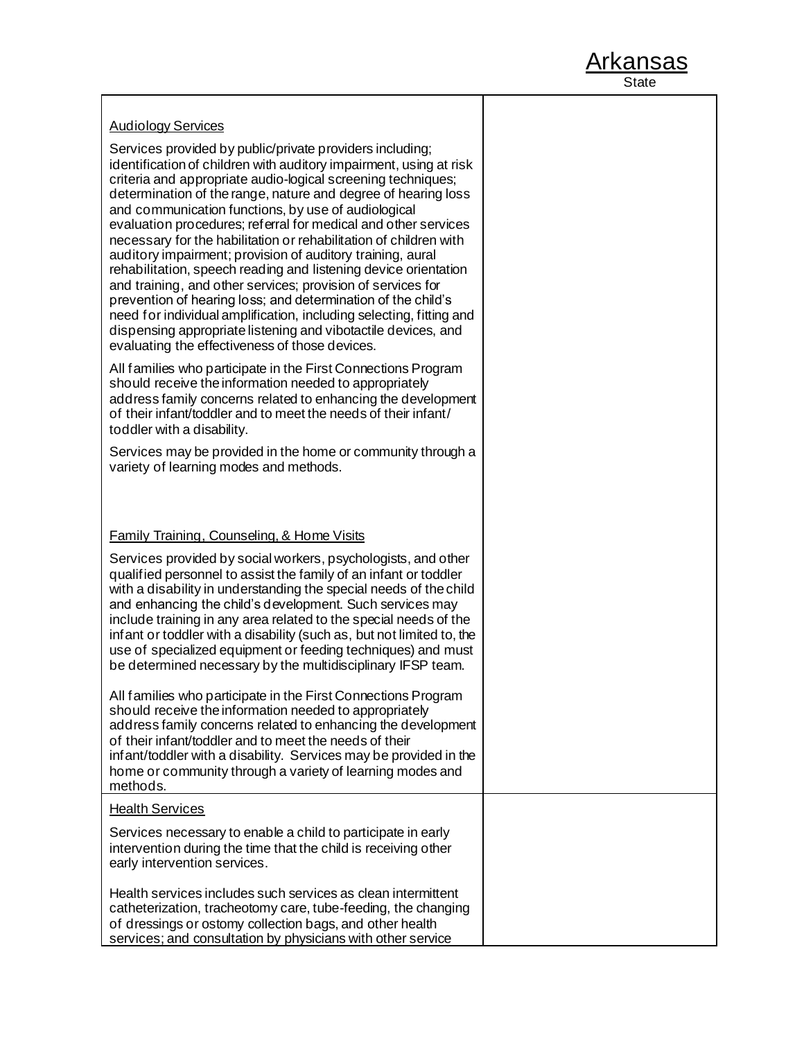| <b>Audiology Services</b>                                                                                                                                                                                                                                                                                                                                                                                                                                                                                                                                                                                                                                                                                                                                                                                                                                                                                               |  |
|-------------------------------------------------------------------------------------------------------------------------------------------------------------------------------------------------------------------------------------------------------------------------------------------------------------------------------------------------------------------------------------------------------------------------------------------------------------------------------------------------------------------------------------------------------------------------------------------------------------------------------------------------------------------------------------------------------------------------------------------------------------------------------------------------------------------------------------------------------------------------------------------------------------------------|--|
| Services provided by public/private providers including;<br>identification of children with auditory impairment, using at risk<br>criteria and appropriate audio-logical screening techniques;<br>determination of the range, nature and degree of hearing loss<br>and communication functions, by use of audiological<br>evaluation procedures; referral for medical and other services<br>necessary for the habilitation or rehabilitation of children with<br>auditory impairment; provision of auditory training, aural<br>rehabilitation, speech reading and listening device orientation<br>and training, and other services; provision of services for<br>prevention of hearing loss; and determination of the child's<br>need for individual amplification, including selecting, fitting and<br>dispensing appropriate listening and vibotactile devices, and<br>evaluating the effectiveness of those devices. |  |
| All families who participate in the First Connections Program<br>should receive the information needed to appropriately<br>address family concerns related to enhancing the development<br>of their infant/toddler and to meet the needs of their infant/<br>toddler with a disability.                                                                                                                                                                                                                                                                                                                                                                                                                                                                                                                                                                                                                                 |  |
| Services may be provided in the home or community through a<br>variety of learning modes and methods.                                                                                                                                                                                                                                                                                                                                                                                                                                                                                                                                                                                                                                                                                                                                                                                                                   |  |
|                                                                                                                                                                                                                                                                                                                                                                                                                                                                                                                                                                                                                                                                                                                                                                                                                                                                                                                         |  |
| <b>Family Training, Counseling, &amp; Home Visits</b>                                                                                                                                                                                                                                                                                                                                                                                                                                                                                                                                                                                                                                                                                                                                                                                                                                                                   |  |
| Services provided by social workers, psychologists, and other<br>qualified personnel to assist the family of an infant or toddler<br>with a disability in understanding the special needs of the child<br>and enhancing the child's development. Such services may<br>include training in any area related to the special needs of the<br>infant or toddler with a disability (such as, but not limited to, the<br>use of specialized equipment or feeding techniques) and must<br>be determined necessary by the multidisciplinary IFSP team.                                                                                                                                                                                                                                                                                                                                                                          |  |
| All families who participate in the First Connections Program<br>should receive the information needed to appropriately<br>address family concerns related to enhancing the development<br>of their infant/toddler and to meet the needs of their<br>infant/toddler with a disability. Services may be provided in the<br>home or community through a variety of learning modes and<br>methods.                                                                                                                                                                                                                                                                                                                                                                                                                                                                                                                         |  |
| <b>Health Services</b>                                                                                                                                                                                                                                                                                                                                                                                                                                                                                                                                                                                                                                                                                                                                                                                                                                                                                                  |  |
| Services necessary to enable a child to participate in early<br>intervention during the time that the child is receiving other<br>early intervention services.                                                                                                                                                                                                                                                                                                                                                                                                                                                                                                                                                                                                                                                                                                                                                          |  |
| Health services includes such services as clean intermittent<br>catheterization, tracheotomy care, tube-feeding, the changing<br>of dressings or ostomy collection bags, and other health<br>services; and consultation by physicians with other service                                                                                                                                                                                                                                                                                                                                                                                                                                                                                                                                                                                                                                                                |  |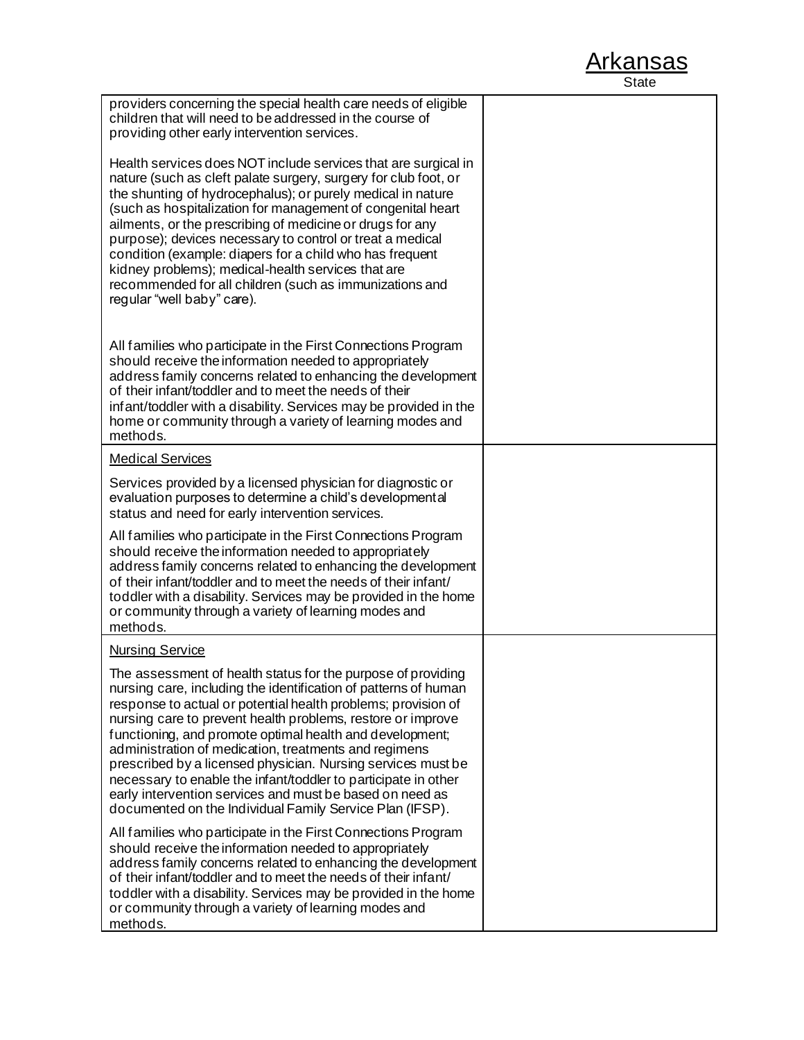| providers concerning the special health care needs of eligible<br>children that will need to be addressed in the course of<br>providing other early intervention services.                                                                                                                                                                                                                                                                                                                                                                                                                                                                     |  |
|------------------------------------------------------------------------------------------------------------------------------------------------------------------------------------------------------------------------------------------------------------------------------------------------------------------------------------------------------------------------------------------------------------------------------------------------------------------------------------------------------------------------------------------------------------------------------------------------------------------------------------------------|--|
| Health services does NOT include services that are surgical in<br>nature (such as cleft palate surgery, surgery for club foot, or<br>the shunting of hydrocephalus); or purely medical in nature<br>(such as hospitalization for management of congenital heart<br>ailments, or the prescribing of medicine or drugs for any<br>purpose); devices necessary to control or treat a medical<br>condition (example: diapers for a child who has frequent<br>kidney problems); medical-health services that are<br>recommended for all children (such as immunizations and<br>regular "well baby" care).                                           |  |
| All families who participate in the First Connections Program<br>should receive the information needed to appropriately<br>address family concerns related to enhancing the development<br>of their infant/toddler and to meet the needs of their<br>infant/toddler with a disability. Services may be provided in the<br>home or community through a variety of learning modes and<br>methods.                                                                                                                                                                                                                                                |  |
| <b>Medical Services</b>                                                                                                                                                                                                                                                                                                                                                                                                                                                                                                                                                                                                                        |  |
| Services provided by a licensed physician for diagnostic or<br>evaluation purposes to determine a child's developmental<br>status and need for early intervention services.                                                                                                                                                                                                                                                                                                                                                                                                                                                                    |  |
| All families who participate in the First Connections Program<br>should receive the information needed to appropriately<br>address family concerns related to enhancing the development<br>of their infant/toddler and to meet the needs of their infant/<br>toddler with a disability. Services may be provided in the home<br>or community through a variety of learning modes and<br>methods.                                                                                                                                                                                                                                               |  |
| <b>Nursing Service</b>                                                                                                                                                                                                                                                                                                                                                                                                                                                                                                                                                                                                                         |  |
| The assessment of health status for the purpose of providing<br>nursing care, including the identification of patterns of human<br>response to actual or potential health problems; provision of<br>nursing care to prevent health problems, restore or improve<br>functioning, and promote optimal health and development;<br>administration of medication, treatments and regimens<br>prescribed by a licensed physician. Nursing services must be<br>necessary to enable the infant/toddler to participate in other<br>early intervention services and must be based on need as<br>documented on the Individual Family Service Plan (IFSP). |  |
| All families who participate in the First Connections Program<br>should receive the information needed to appropriately<br>address family concerns related to enhancing the development<br>of their infant/toddler and to meet the needs of their infant/<br>toddler with a disability. Services may be provided in the home<br>or community through a variety of learning modes and<br>methods.                                                                                                                                                                                                                                               |  |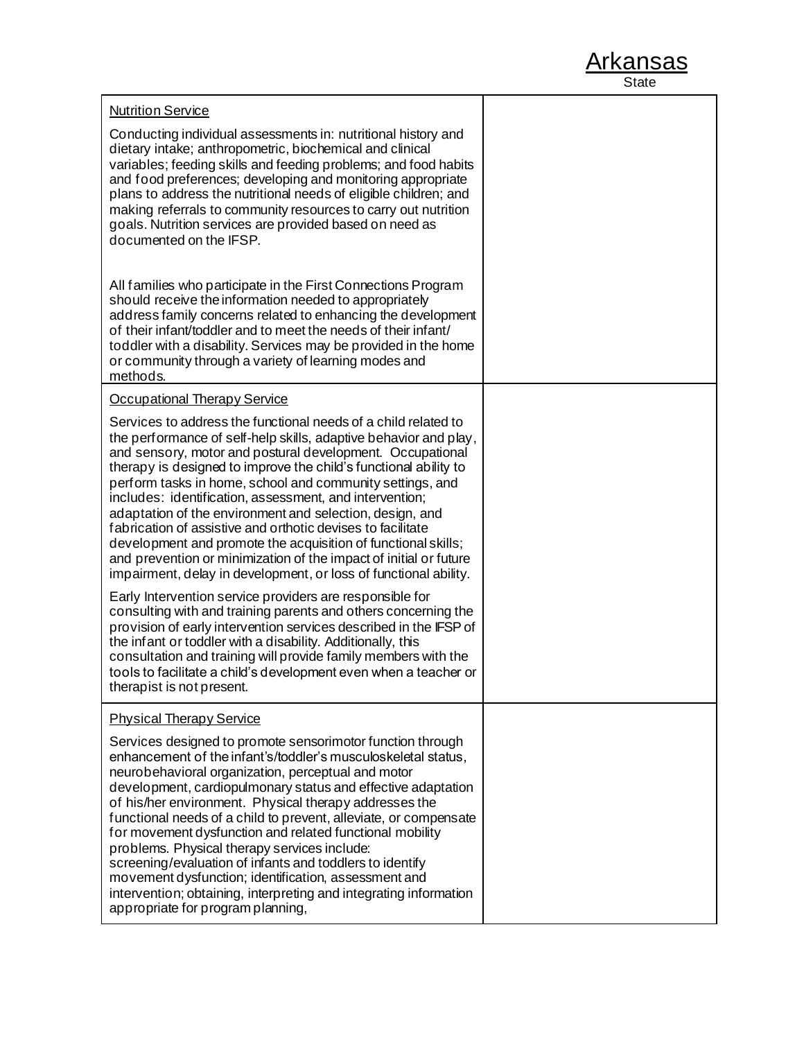| <b>Arkansas</b> |
|-----------------|
| State           |

| <b>Nutrition Service</b><br>Conducting individual assessments in: nutritional history and<br>dietary intake; anthropometric, biochemical and clinical<br>variables; feeding skills and feeding problems; and food habits<br>and food preferences; developing and monitoring appropriate<br>plans to address the nutritional needs of eligible children; and<br>making referrals to community resources to carry out nutrition<br>goals. Nutrition services are provided based on need as<br>documented on the IFSP.                                                                                                                                                                                                                                                                                                                                                                                                                                                                                |  |
|----------------------------------------------------------------------------------------------------------------------------------------------------------------------------------------------------------------------------------------------------------------------------------------------------------------------------------------------------------------------------------------------------------------------------------------------------------------------------------------------------------------------------------------------------------------------------------------------------------------------------------------------------------------------------------------------------------------------------------------------------------------------------------------------------------------------------------------------------------------------------------------------------------------------------------------------------------------------------------------------------|--|
| All families who participate in the First Connections Program<br>should receive the information needed to appropriately<br>address family concerns related to enhancing the development<br>of their infant/toddler and to meet the needs of their infant/<br>toddler with a disability. Services may be provided in the home<br>or community through a variety of learning modes and<br>methods.                                                                                                                                                                                                                                                                                                                                                                                                                                                                                                                                                                                                   |  |
| <b>Occupational Therapy Service</b>                                                                                                                                                                                                                                                                                                                                                                                                                                                                                                                                                                                                                                                                                                                                                                                                                                                                                                                                                                |  |
| Services to address the functional needs of a child related to<br>the performance of self-help skills, adaptive behavior and play,<br>and sensory, motor and postural development. Occupational<br>therapy is designed to improve the child's functional ability to<br>perform tasks in home, school and community settings, and<br>includes: identification, assessment, and intervention;<br>adaptation of the environment and selection, design, and<br>fabrication of assistive and orthotic devises to facilitate<br>development and promote the acquisition of functional skills;<br>and prevention or minimization of the impact of initial or future<br>impairment, delay in development, or loss of functional ability.<br>Early Intervention service providers are responsible for<br>consulting with and training parents and others concerning the<br>provision of early intervention services described in the IFSP of<br>the infant or toddler with a disability. Additionally, this |  |
| consultation and training will provide family members with the<br>tools to facilitate a child's development even when a teacher or<br>therapist is not present.                                                                                                                                                                                                                                                                                                                                                                                                                                                                                                                                                                                                                                                                                                                                                                                                                                    |  |
| <b>Physical Therapy Service</b>                                                                                                                                                                                                                                                                                                                                                                                                                                                                                                                                                                                                                                                                                                                                                                                                                                                                                                                                                                    |  |
| Services designed to promote sensorimotor function through<br>enhancement of the infant's/toddler's musculoskeletal status,<br>neurobehavioral organization, perceptual and motor<br>development, cardiopulmonary status and effective adaptation<br>of his/her environment. Physical therapy addresses the<br>functional needs of a child to prevent, alleviate, or compensate<br>for movement dysfunction and related functional mobility<br>problems. Physical therapy services include:<br>screening/evaluation of infants and toddlers to identify<br>movement dysfunction; identification, assessment and<br>intervention; obtaining, interpreting and integrating information<br>appropriate for program planning,                                                                                                                                                                                                                                                                          |  |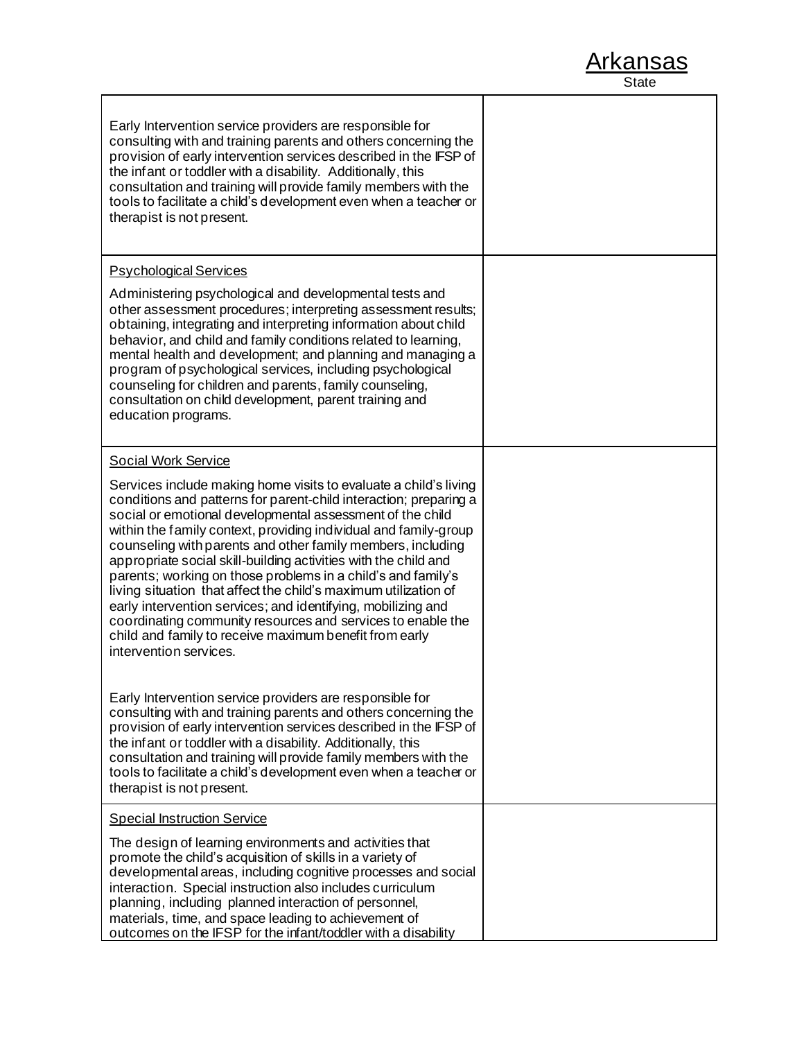

٦

| Early Intervention service providers are responsible for<br>consulting with and training parents and others concerning the<br>provision of early intervention services described in the IFSP of<br>the infant or toddler with a disability. Additionally, this<br>consultation and training will provide family members with the<br>tools to facilitate a child's development even when a teacher or<br>therapist is not present.                                                                                                                                                                                                                                                                                                                              |  |
|----------------------------------------------------------------------------------------------------------------------------------------------------------------------------------------------------------------------------------------------------------------------------------------------------------------------------------------------------------------------------------------------------------------------------------------------------------------------------------------------------------------------------------------------------------------------------------------------------------------------------------------------------------------------------------------------------------------------------------------------------------------|--|
| <b>Psychological Services</b><br>Administering psychological and developmental tests and                                                                                                                                                                                                                                                                                                                                                                                                                                                                                                                                                                                                                                                                       |  |
| other assessment procedures; interpreting assessment results;<br>obtaining, integrating and interpreting information about child<br>behavior, and child and family conditions related to learning,<br>mental health and development; and planning and managing a<br>program of psychological services, including psychological<br>counseling for children and parents, family counseling,<br>consultation on child development, parent training and<br>education programs.                                                                                                                                                                                                                                                                                     |  |
| <b>Social Work Service</b>                                                                                                                                                                                                                                                                                                                                                                                                                                                                                                                                                                                                                                                                                                                                     |  |
| Services include making home visits to evaluate a child's living<br>conditions and patterns for parent-child interaction; preparing a<br>social or emotional developmental assessment of the child<br>within the family context, providing individual and family-group<br>counseling with parents and other family members, including<br>appropriate social skill-building activities with the child and<br>parents; working on those problems in a child's and family's<br>living situation that affect the child's maximum utilization of<br>early intervention services; and identifying, mobilizing and<br>coordinating community resources and services to enable the<br>child and family to receive maximum benefit from early<br>intervention services. |  |
| Early Intervention service providers are responsible for<br>consulting with and training parents and others concerning the<br>provision of early intervention services described in the IFSP of<br>the infant or toddler with a disability. Additionally, this<br>consultation and training will provide family members with the<br>tools to facilitate a child's development even when a teacher or<br>therapist is not present.                                                                                                                                                                                                                                                                                                                              |  |
| <b>Special Instruction Service</b>                                                                                                                                                                                                                                                                                                                                                                                                                                                                                                                                                                                                                                                                                                                             |  |
| The design of learning environments and activities that<br>promote the child's acquisition of skills in a variety of<br>developmental areas, including cognitive processes and social<br>interaction. Special instruction also includes curriculum<br>planning, including planned interaction of personnel,<br>materials, time, and space leading to achievement of<br>outcomes on the IFSP for the infant/toddler with a disability                                                                                                                                                                                                                                                                                                                           |  |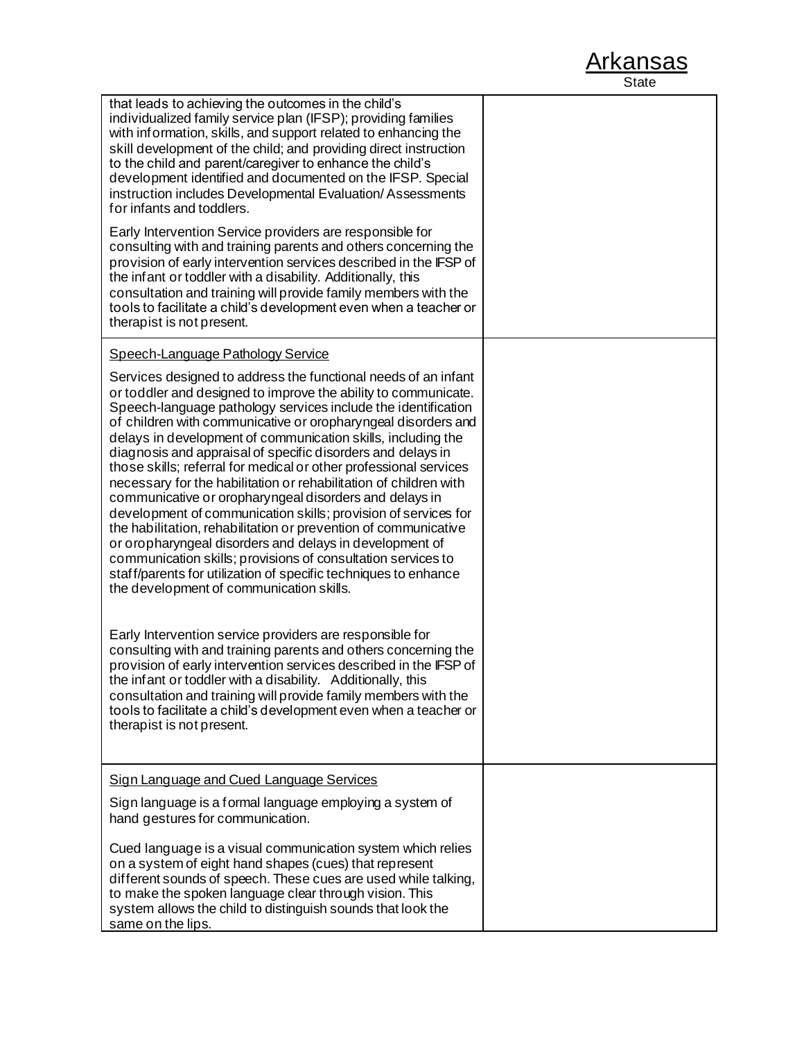| that leads to achieving the outcomes in the child's<br>individualized family service plan (IFSP); providing families<br>with information, skills, and support related to enhancing the<br>skill development of the child; and providing direct instruction<br>to the child and parent/caregiver to enhance the child's<br>development identified and documented on the IFSP. Special<br>instruction includes Developmental Evaluation/Assessments<br>for infants and toddlers.                                                                                                                                                                                                                                                                                                                                                                                                                                                                                                       |  |
|--------------------------------------------------------------------------------------------------------------------------------------------------------------------------------------------------------------------------------------------------------------------------------------------------------------------------------------------------------------------------------------------------------------------------------------------------------------------------------------------------------------------------------------------------------------------------------------------------------------------------------------------------------------------------------------------------------------------------------------------------------------------------------------------------------------------------------------------------------------------------------------------------------------------------------------------------------------------------------------|--|
| Early Intervention Service providers are responsible for<br>consulting with and training parents and others concerning the<br>provision of early intervention services described in the IFSP of<br>the infant or toddler with a disability. Additionally, this<br>consultation and training will provide family members with the<br>tools to facilitate a child's development even when a teacher or<br>therapist is not present.                                                                                                                                                                                                                                                                                                                                                                                                                                                                                                                                                    |  |
| Speech-Language Pathology Service                                                                                                                                                                                                                                                                                                                                                                                                                                                                                                                                                                                                                                                                                                                                                                                                                                                                                                                                                    |  |
| Services designed to address the functional needs of an infant<br>or toddler and designed to improve the ability to communicate.<br>Speech-language pathology services include the identification<br>of children with communicative or oropharyngeal disorders and<br>delays in development of communication skills, including the<br>diagnosis and appraisal of specific disorders and delays in<br>those skills; referral for medical or other professional services<br>necessary for the habilitation or rehabilitation of children with<br>communicative or oropharyngeal disorders and delays in<br>development of communication skills; provision of services for<br>the habilitation, rehabilitation or prevention of communicative<br>or oropharyngeal disorders and delays in development of<br>communication skills; provisions of consultation services to<br>staff/parents for utilization of specific techniques to enhance<br>the development of communication skills. |  |
| Early Intervention service providers are responsible for<br>consulting with and training parents and others concerning the<br>provision of early intervention services described in the IFSP of<br>the infant or toddler with a disability. Additionally, this<br>consultation and training will provide family members with the<br>tools to facilitate a child's development even when a teacher or<br>therapist is not present.                                                                                                                                                                                                                                                                                                                                                                                                                                                                                                                                                    |  |
| <b>Sign Language and Cued Language Services</b>                                                                                                                                                                                                                                                                                                                                                                                                                                                                                                                                                                                                                                                                                                                                                                                                                                                                                                                                      |  |
| Sign language is a formal language employing a system of<br>hand gestures for communication.                                                                                                                                                                                                                                                                                                                                                                                                                                                                                                                                                                                                                                                                                                                                                                                                                                                                                         |  |
| Cued language is a visual communication system which relies<br>on a system of eight hand shapes (cues) that represent<br>different sounds of speech. These cues are used while talking,<br>to make the spoken language clear through vision. This<br>system allows the child to distinguish sounds that look the<br>same on the lips.                                                                                                                                                                                                                                                                                                                                                                                                                                                                                                                                                                                                                                                |  |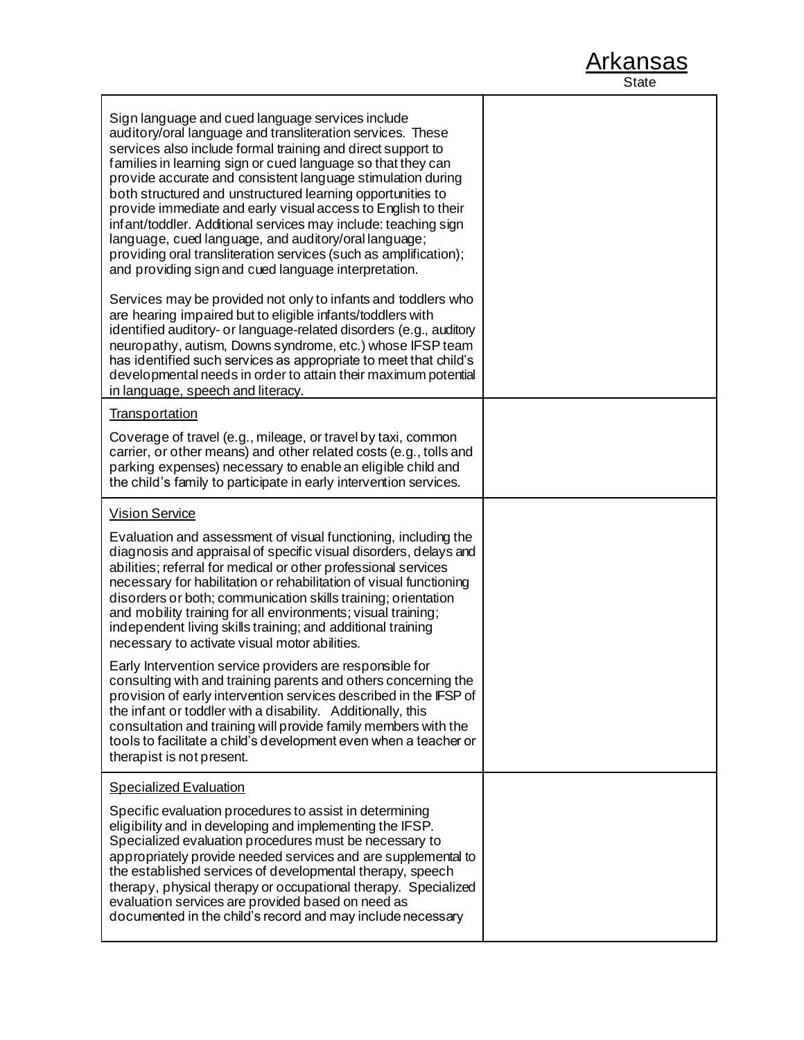| Sign language and cued language services include<br>auditory/oral language and transliteration services. These<br>services also include formal training and direct support to<br>families in learning sign or cued language so that they can<br>provide accurate and consistent language stimulation during<br>both structured and unstructured learning opportunities to<br>provide immediate and early visual access to English to their<br>infant/toddler. Additional services may include: teaching sign<br>language, cued language, and auditory/oral language;<br>providing oral transliteration services (such as amplification);<br>and providing sign and cued language interpretation. |  |
|--------------------------------------------------------------------------------------------------------------------------------------------------------------------------------------------------------------------------------------------------------------------------------------------------------------------------------------------------------------------------------------------------------------------------------------------------------------------------------------------------------------------------------------------------------------------------------------------------------------------------------------------------------------------------------------------------|--|
| Services may be provided not only to infants and toddlers who<br>are hearing impaired but to eligible infants/toddlers with<br>identified auditory- or language-related disorders (e.g., auditory<br>neuropathy, autism, Downs syndrome, etc.) whose IFSP team<br>has identified such services as appropriate to meet that child's<br>developmental needs in order to attain their maximum potential<br>in language, speech and literacy.                                                                                                                                                                                                                                                        |  |
| <b>Transportation</b>                                                                                                                                                                                                                                                                                                                                                                                                                                                                                                                                                                                                                                                                            |  |
| Coverage of travel (e.g., mileage, or travel by taxi, common<br>carrier, or other means) and other related costs (e.g., tolls and<br>parking expenses) necessary to enable an eligible child and<br>the child's family to participate in early intervention services.                                                                                                                                                                                                                                                                                                                                                                                                                            |  |
| <b>Vision Service</b>                                                                                                                                                                                                                                                                                                                                                                                                                                                                                                                                                                                                                                                                            |  |
| Evaluation and assessment of visual functioning, including the<br>diagnosis and appraisal of specific visual disorders, delays and<br>abilities; referral for medical or other professional services<br>necessary for habilitation or rehabilitation of visual functioning<br>disorders or both; communication skills training; orientation<br>and mobility training for all environments; visual training;<br>independent living skills training; and additional training<br>necessary to activate visual motor abilities.                                                                                                                                                                      |  |
| Early Intervention service providers are responsible for<br>consulting with and training parents and others concerning the<br>provision of early intervention services described in the IFSP of<br>the infant or toddler with a disability. Additionally, this<br>consultation and training will provide family members with the<br>tools to facilitate a child's development even when a teacher or<br>therapist is not present.                                                                                                                                                                                                                                                                |  |
| <b>Specialized Evaluation</b>                                                                                                                                                                                                                                                                                                                                                                                                                                                                                                                                                                                                                                                                    |  |
| Specific evaluation procedures to assist in determining<br>eligibility and in developing and implementing the IFSP.<br>Specialized evaluation procedures must be necessary to<br>appropriately provide needed services and are supplemental to<br>the established services of developmental therapy, speech<br>therapy, physical therapy or occupational therapy. Specialized<br>evaluation services are provided based on need as<br>documented in the child's record and may include necessary                                                                                                                                                                                                 |  |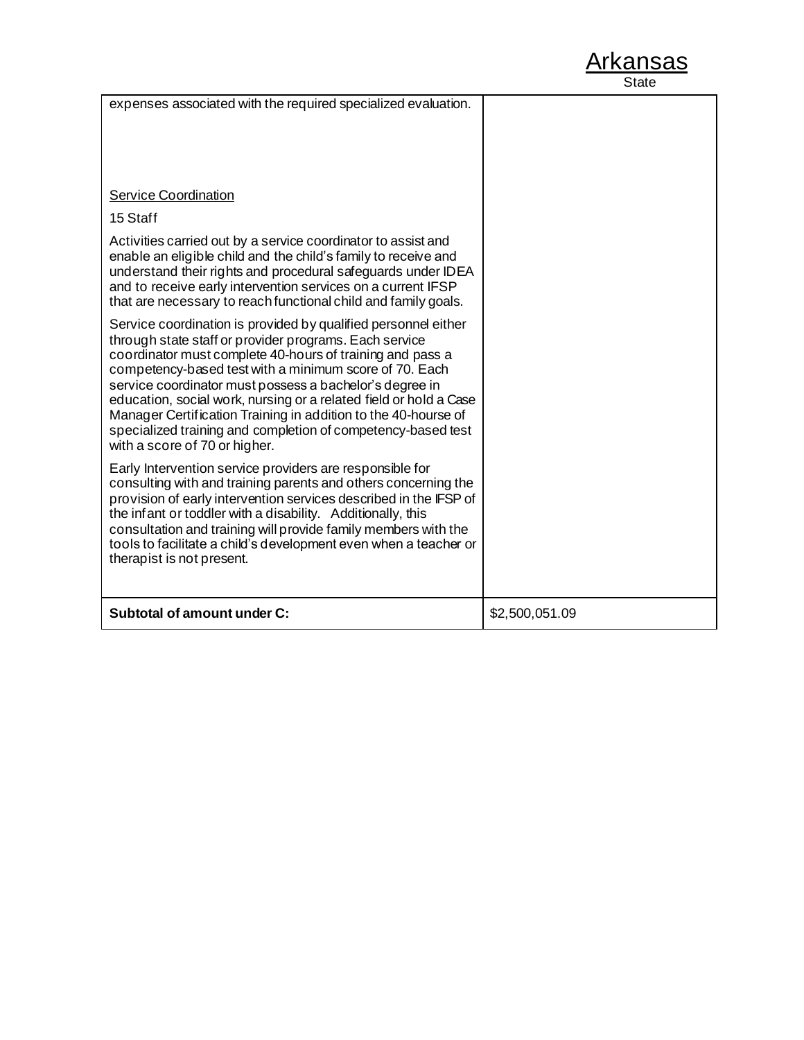| expenses associated with the required specialized evaluation.                                                                                                                                                                                                                                                                                                                                                                                                                                                                                      |                |
|----------------------------------------------------------------------------------------------------------------------------------------------------------------------------------------------------------------------------------------------------------------------------------------------------------------------------------------------------------------------------------------------------------------------------------------------------------------------------------------------------------------------------------------------------|----------------|
| <b>Service Coordination</b><br>15 Staff<br>Activities carried out by a service coordinator to assist and<br>enable an eligible child and the child's family to receive and<br>understand their rights and procedural safeguards under IDEA<br>and to receive early intervention services on a current IFSP<br>that are necessary to reach functional child and family goals.                                                                                                                                                                       |                |
| Service coordination is provided by qualified personnel either<br>through state staff or provider programs. Each service<br>coordinator must complete 40-hours of training and pass a<br>competency-based test with a minimum score of 70. Each<br>service coordinator must possess a bachelor's degree in<br>education, social work, nursing or a related field or hold a Case<br>Manager Certification Training in addition to the 40-hourse of<br>specialized training and completion of competency-based test<br>with a score of 70 or higher. |                |
| Early Intervention service providers are responsible for<br>consulting with and training parents and others concerning the<br>provision of early intervention services described in the IFSP of<br>the infant or toddler with a disability. Additionally, this<br>consultation and training will provide family members with the<br>tools to facilitate a child's development even when a teacher or<br>therapist is not present.                                                                                                                  |                |
| Subtotal of amount under C:                                                                                                                                                                                                                                                                                                                                                                                                                                                                                                                        | \$2,500,051.09 |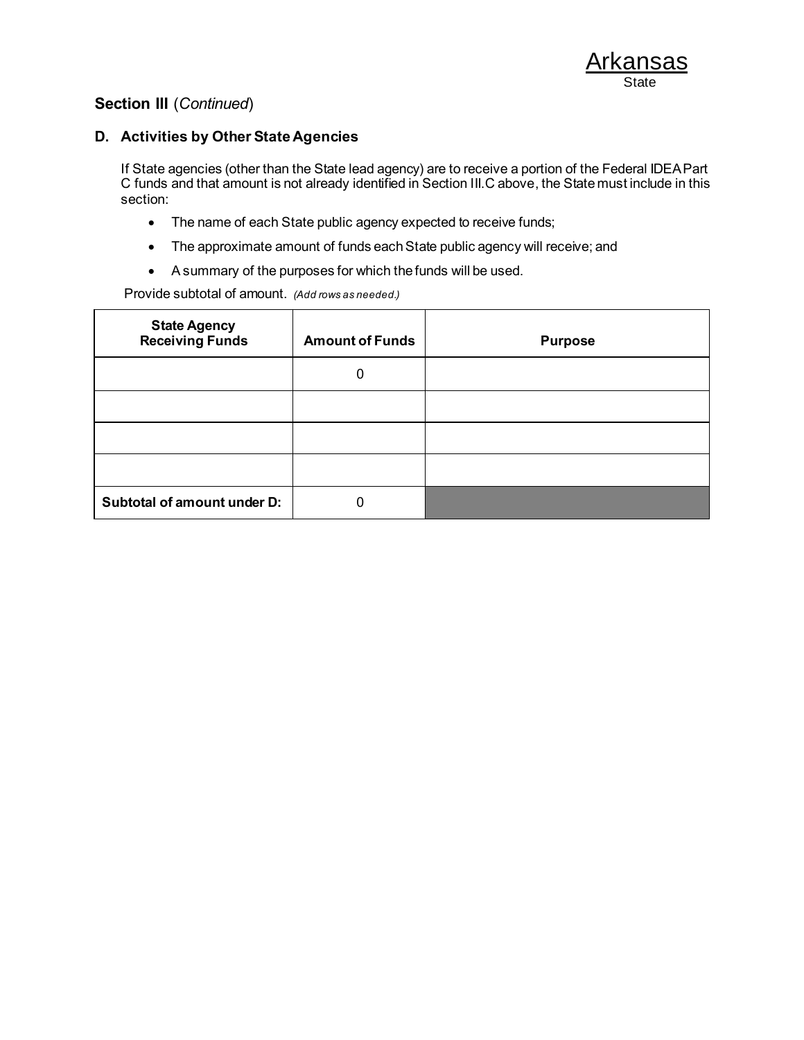#### **D. Activities by Other State Agencies**

If State agencies (other than the State lead agency) are to receive a portion of the Federal IDEA Part C funds and that amount is not already identified in Section III.C above, the State must include in this section:

- The name of each State public agency expected to receive funds;
- The approximate amount of funds each State public agency will receive; and
- A summary of the purposes for which the funds will be used.

Provide subtotal of amount. *(Add rows as needed.)*

| <b>State Agency</b><br><b>Receiving Funds</b> | <b>Amount of Funds</b> | <b>Purpose</b> |
|-----------------------------------------------|------------------------|----------------|
|                                               |                        |                |
|                                               |                        |                |
|                                               |                        |                |
|                                               |                        |                |
| Subtotal of amount under D:                   |                        |                |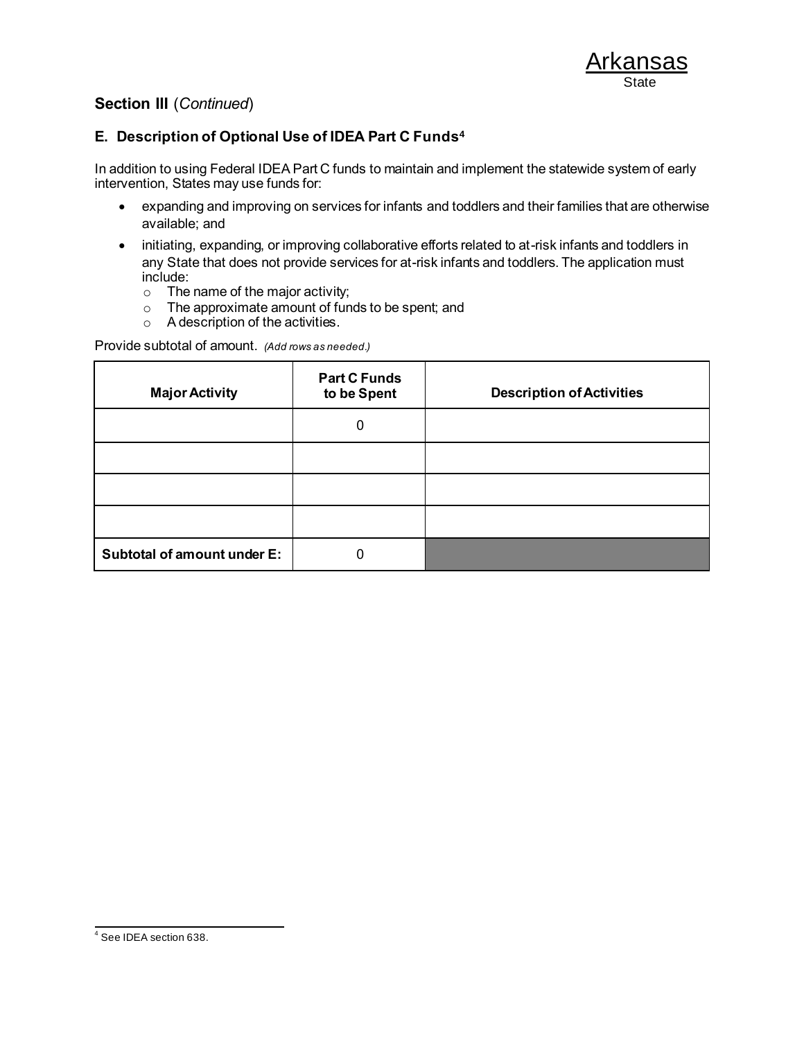### **E. Description of Optional Use of IDEA Part C Funds<sup>4</sup>**

In addition to using Federal IDEA Part C funds to maintain and implement the statewide system of early intervention, States may use funds for:

- expanding and improving on services for infants and toddlers and their families that are otherwise available; and
- initiating, expanding, or improving collaborative efforts related to at-risk infants and toddlers in any State that does not provide services for at-risk infants and toddlers. The application must include:
	- o The name of the major activity;
	- o The approximate amount of funds to be spent; and
	- $\circ$  A description of the activities.

Provide subtotal of amount. *(Add rows as needed.)*

| <b>Major Activity</b>       | <b>Part C Funds</b><br>to be Spent | <b>Description of Activities</b> |
|-----------------------------|------------------------------------|----------------------------------|
|                             | 0                                  |                                  |
|                             |                                    |                                  |
|                             |                                    |                                  |
|                             |                                    |                                  |
| Subtotal of amount under E: |                                    |                                  |

<sup>4</sup> See IDEA section 638.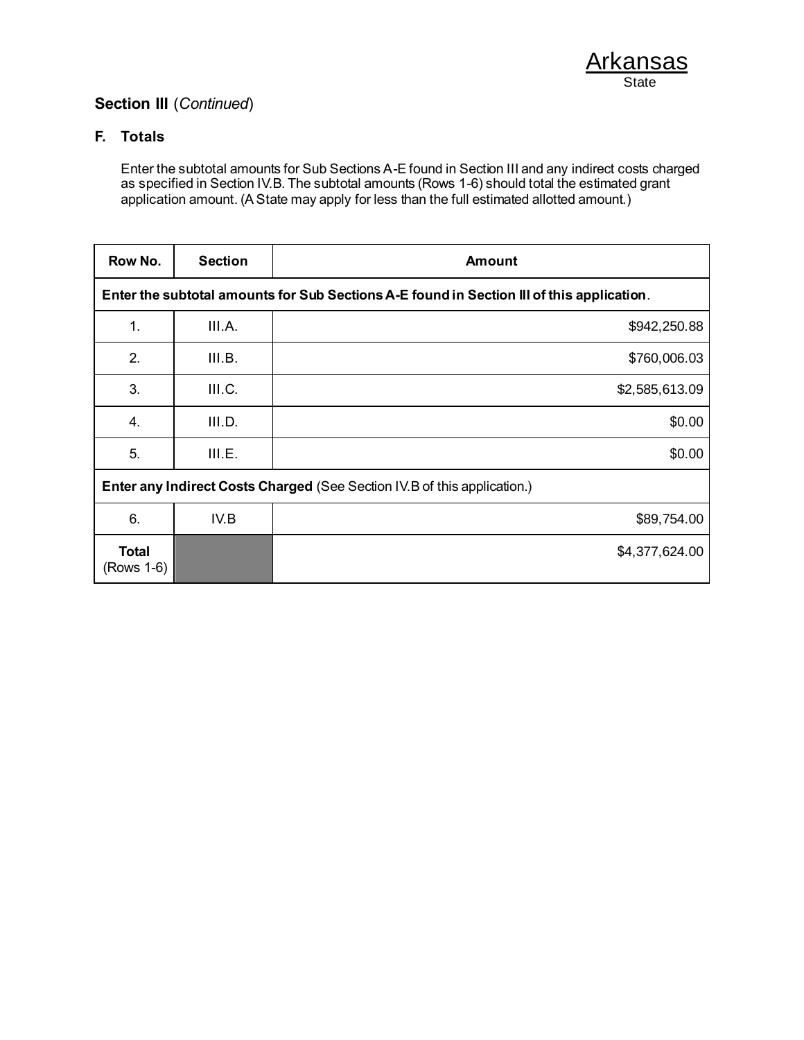### **F. Totals**

Enter the subtotal amounts for Sub Sections A-E found in Section III and any indirect costs charged as specified in Section IV.B. The subtotal amounts (Rows 1-6) should total the estimated grant application amount. (A State may apply for less than the full estimated allotted amount.)

| Row No.                                                                  | <b>Section</b>                                                                            | <b>Amount</b>  |  |
|--------------------------------------------------------------------------|-------------------------------------------------------------------------------------------|----------------|--|
|                                                                          | Enter the subtotal amounts for Sub Sections A-E found in Section III of this application. |                |  |
| 1.                                                                       | III.A.                                                                                    | \$942,250.88   |  |
| 2.                                                                       | III.B.                                                                                    | \$760,006.03   |  |
| 3.                                                                       | III.C.                                                                                    | \$2,585,613.09 |  |
| 4.                                                                       | III.D.                                                                                    | \$0.00         |  |
| 5.                                                                       | III.E.                                                                                    | \$0.00         |  |
| Enter any Indirect Costs Charged (See Section IV.B of this application.) |                                                                                           |                |  |
| 6.                                                                       | IV.B                                                                                      | \$89,754.00    |  |
| <b>Total</b><br>(Rows 1-6)                                               |                                                                                           | \$4,377,624.00 |  |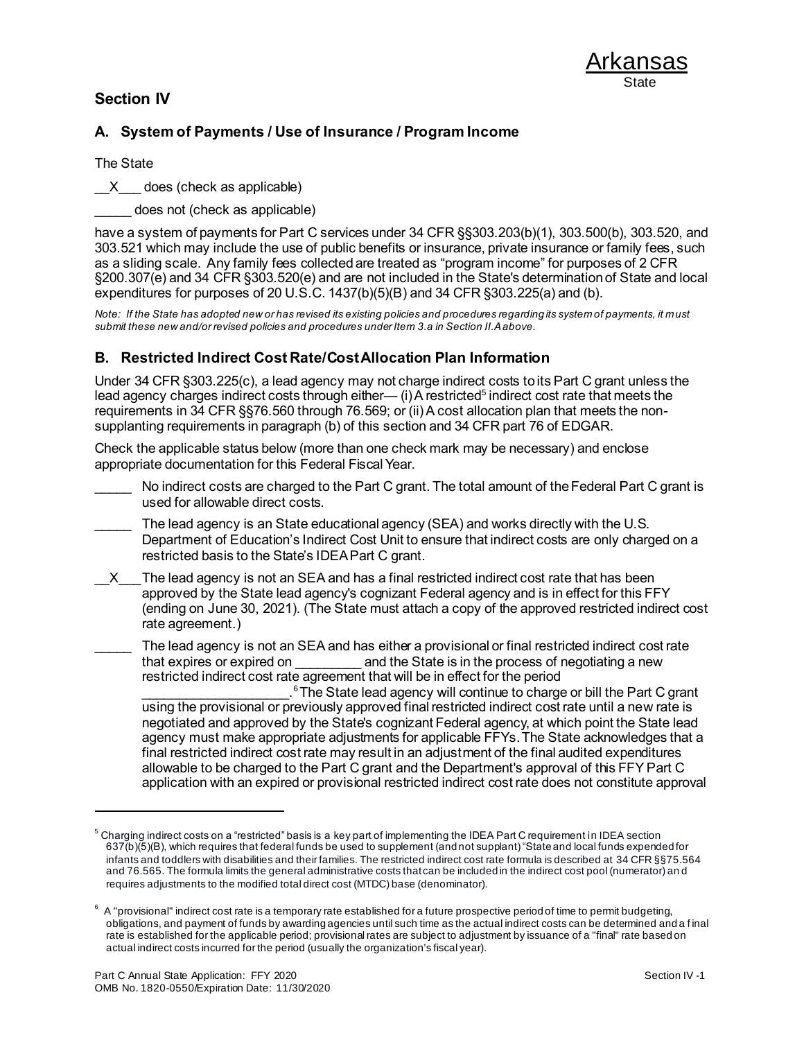### **Section IV**



### **A. System of Payments / Use of Insurance / Program Income**

The State

X does (check as applicable)

does not (check as applicable)

have a system of payments for Part C services under 34 CFR §§303.203(b)(1), 303.500(b), 303.520, and 303.521 which may include the use of public benefits or insurance, private insurance or family fees, such as a sliding scale. Any family fees collected are treated as "program income" for purposes of 2 CFR §200.307(e) and 34 CFR §303.520(e) and are not included in the State's determination of State and local expenditures for purposes of 20 U.S.C.  $1437(b)(5)(B)$  and  $34$  CFR  $\S 303.225(a)$  and (b).

*Note: If the State has adopted new or has revised its existing policies and procedures regarding its system of payments, it must submit these new and/or revised policies and procedures under Item 3.a in Section II.A above.*

#### **B. Restricted Indirect Cost Rate/Cost Allocation Plan Information**

Under 34 CFR §303.225(c), a lead agency may not charge indirect costs to its Part C grant unless the lead agency charges indirect costs through either— (i) A restricted<sup>5</sup> indirect cost rate that meets the requirements in 34 CFR §§76.560 through 76.569; or (ii) A cost allocation plan that meets the nonsupplanting requirements in paragraph (b) of this section and 34 CFR part 76 of EDGAR.

Check the applicable status below (more than one check mark may be necessary) and enclose appropriate documentation for this Federal Fiscal Year.

- No indirect costs are charged to the Part C grant. The total amount of the Federal Part C grant is used for allowable direct costs.
- The lead agency is an State educational agency (SEA) and works directly with the U.S. Department of Education's Indirect Cost Unit to ensure that indirect costs are only charged on a restricted basis to the State's IDEA Part C grant.
- X The lead agency is not an SEA and has a final restricted indirect cost rate that has been approved by the State lead agency's cognizant Federal agency and is in effect for this FFY (ending on June 30, 2021). (The State must attach a copy of the approved restricted indirect cost rate agreement.)
- The lead agency is not an SEA and has either a provisional or final restricted indirect cost rate that expires or expired on example and the State is in the process of negotiating a new restricted indirect cost rate agreement that will be in effect for the period

 $\mathcal{L}_\mathcal{L}$  , where  $\mathcal{L}_\mathcal{L}$  , we have the set of the set of the set of the set of the set of the set of the set of the set of the set of the set of the set of the set of the set of the set of the set of the set <sup>6</sup>The State lead agency will continue to charge or bill the Part C grant using the provisional or previously approved final restricted indirect cost rate until a new rate is negotiated and approved by the State's cognizant Federal agency, at which point the State lead agency must make appropriate adjustments for applicable FFYs. The State acknowledges that a final restricted indirect cost rate may result in an adjustment of the final audited expenditures allowable to be charged to the Part C grant and the Department's approval of this FFY Part C application with an expired or provisional restricted indirect cost rate does not constitute approval

<sup>&</sup>lt;sup>5</sup> Charging indirect costs on a "restricted" basis is a key part of implementing the IDEA Part C requirement in IDEA section 637(b)(5)(B), which requires that federal funds be used to supplement (and not supplant) "State and local funds expended for infants and toddlers with disabilities and their families. The restricted indirect cost rate formula is described at 34 CFR §§75.564 and 76.565. The formula limits the general administrative costs that can be included in the indirect cost pool (numerator) an d requires adjustments to the modified total direct cost (MTDC) base (denominator).

 $^6$  A "provisional" indirect cost rate is a temporary rate established for a future prospective period of time to permit budgeting, obligations, and payment of funds by awarding agencies until such time as the actual indirect costs can be determined and a f inal rate is established for the applicable period; provisional rates are subject to adjustment by issuance of a "final" rate based on actual indirect costs incurred for the period (usually the organization's fiscal year).